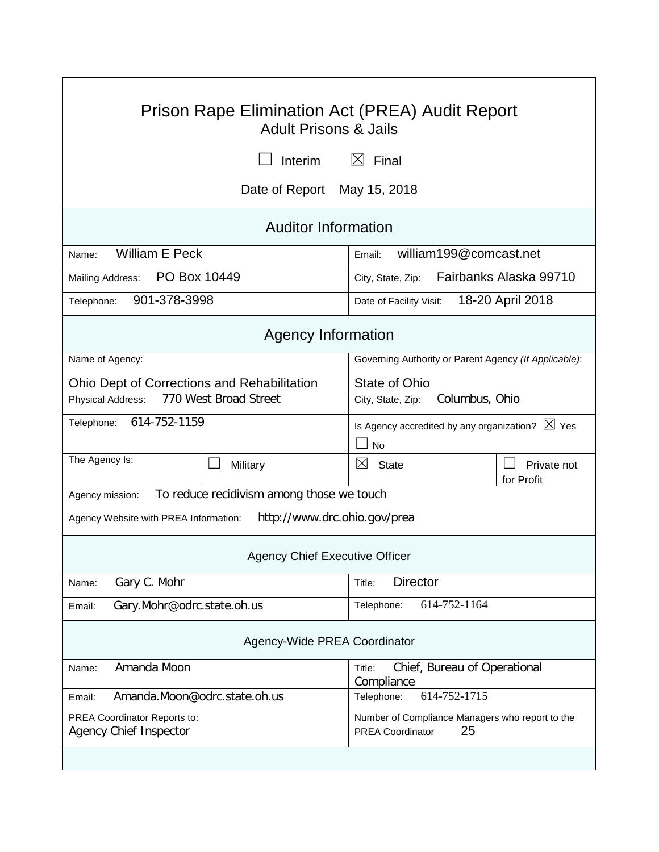| Prison Rape Elimination Act (PREA) Audit Report<br><b>Adult Prisons &amp; Jails</b> |                                                                                  |  |  |  |  |
|-------------------------------------------------------------------------------------|----------------------------------------------------------------------------------|--|--|--|--|
| Interim                                                                             | $\boxtimes$ Final                                                                |  |  |  |  |
| Date of Report May 15, 2018                                                         |                                                                                  |  |  |  |  |
| <b>Auditor Information</b>                                                          |                                                                                  |  |  |  |  |
| <b>William E Peck</b><br>Name:                                                      | william199@comcast.net<br>Email:                                                 |  |  |  |  |
| PO Box 10449<br>Mailing Address:                                                    | Fairbanks Alaska 99710<br>City, State, Zip:                                      |  |  |  |  |
| 901-378-3998<br>Telephone:                                                          | 18-20 April 2018<br>Date of Facility Visit:                                      |  |  |  |  |
| <b>Agency Information</b>                                                           |                                                                                  |  |  |  |  |
| Name of Agency:                                                                     | Governing Authority or Parent Agency (If Applicable):                            |  |  |  |  |
| <b>Ohio Dept of Corrections and Rehabilitation</b>                                  | State of Ohio                                                                    |  |  |  |  |
| 770 West Broad Street<br>Physical Address:                                          | Columbus, Ohio<br>City, State, Zip:                                              |  |  |  |  |
| 614-752-1159<br>Telephone:                                                          | Is Agency accredited by any organization? $\boxtimes$ Yes<br><b>No</b>           |  |  |  |  |
| The Agency Is:<br>Military                                                          | ⊠<br><b>State</b><br>Private not<br>for Profit                                   |  |  |  |  |
| To reduce recidivism among those we touch<br>Agency mission:                        |                                                                                  |  |  |  |  |
| http://www.drc.ohio.gov/prea<br>Agency Website with PREA Information:               |                                                                                  |  |  |  |  |
| <b>Agency Chief Executive Officer</b>                                               |                                                                                  |  |  |  |  |
| Gary C. Mohr<br>Name:                                                               | <b>Director</b><br>Title:                                                        |  |  |  |  |
| Gary.Mohr@odrc.state.oh.us<br>Email:                                                | 614-752-1164<br>Telephone:                                                       |  |  |  |  |
| Agency-Wide PREA Coordinator                                                        |                                                                                  |  |  |  |  |
| Amanda Moon<br>Name:                                                                | Chief, Bureau of Operational<br>Title:<br>Compliance                             |  |  |  |  |
| Amanda.Moon@odrc.state.oh.us<br>Email:                                              | 614-752-1715<br>Telephone:                                                       |  |  |  |  |
| PREA Coordinator Reports to:<br><b>Agency Chief Inspector</b>                       | Number of Compliance Managers who report to the<br>25<br><b>PREA Coordinator</b> |  |  |  |  |
|                                                                                     |                                                                                  |  |  |  |  |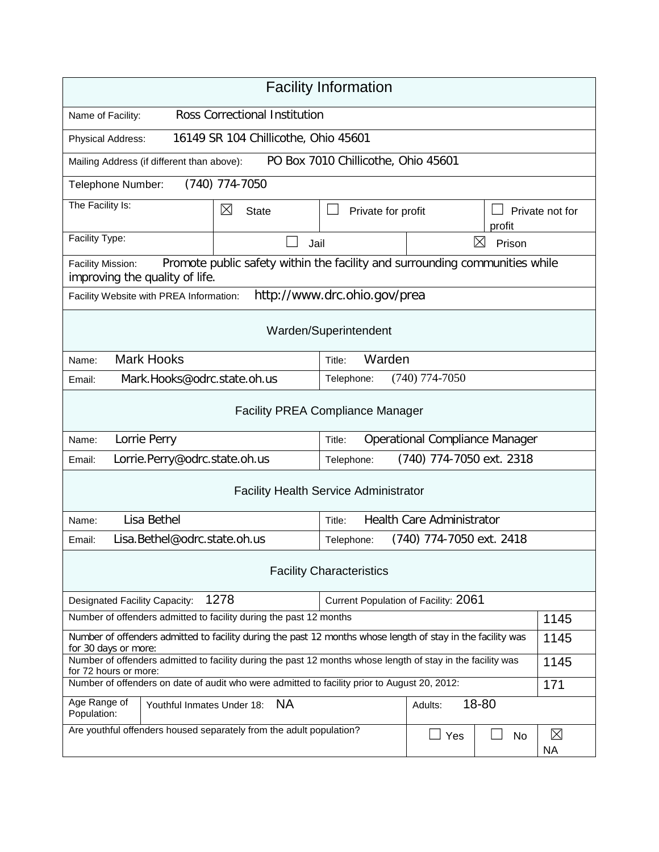| <b>Facility Information</b>                                                                                                          |                                                                             |                                              |                                       |                          |                 |
|--------------------------------------------------------------------------------------------------------------------------------------|-----------------------------------------------------------------------------|----------------------------------------------|---------------------------------------|--------------------------|-----------------|
| <b>Ross Correctional Institution</b><br>Name of Facility:                                                                            |                                                                             |                                              |                                       |                          |                 |
| Physical Address:                                                                                                                    | 16149 SR 104 Chillicothe, Ohio 45601                                        |                                              |                                       |                          |                 |
| Mailing Address (if different than above):                                                                                           |                                                                             | PO Box 7010 Chillicothe, Ohio 45601          |                                       |                          |                 |
| Telephone Number:                                                                                                                    | $(740)$ 774-7050                                                            |                                              |                                       |                          |                 |
| The Facility Is:                                                                                                                     | $\boxtimes$<br><b>State</b>                                                 | Private for profit                           |                                       | profit                   | Private not for |
| Facility Type:                                                                                                                       | Jail                                                                        | $\boxtimes$<br>Prison                        |                                       |                          |                 |
| Facility Mission:<br>improving the quality of life.                                                                                  | Promote public safety within the facility and surrounding communities while |                                              |                                       |                          |                 |
| Facility Website with PREA Information:                                                                                              |                                                                             | http://www.drc.ohio.gov/prea                 |                                       |                          |                 |
| Warden/Superintendent                                                                                                                |                                                                             |                                              |                                       |                          |                 |
| <b>Mark Hooks</b><br>Name:                                                                                                           |                                                                             | Warden<br>Title:                             |                                       |                          |                 |
| Mark.Hooks@odrc.state.oh.us<br>Email:                                                                                                |                                                                             | Telephone:                                   | $(740)$ 774-7050                      |                          |                 |
| <b>Facility PREA Compliance Manager</b>                                                                                              |                                                                             |                                              |                                       |                          |                 |
| Lorrie Perry<br>Name:                                                                                                                |                                                                             | Title:                                       | <b>Operational Compliance Manager</b> |                          |                 |
| Email:                                                                                                                               | Lorrie.Perry@odrc.state.oh.us<br>(740) 774-7050 ext. 2318<br>Telephone:     |                                              |                                       |                          |                 |
|                                                                                                                                      |                                                                             | <b>Facility Health Service Administrator</b> |                                       |                          |                 |
| Lisa Bethel<br><b>Health Care Administrator</b><br>Title:<br>Name:                                                                   |                                                                             |                                              |                                       |                          |                 |
| Lisa.Bethel@odrc.state.oh.us<br>Email:                                                                                               |                                                                             | Telephone:                                   | (740) 774-7050 ext. 2418              |                          |                 |
| <b>Facility Characteristics</b>                                                                                                      |                                                                             |                                              |                                       |                          |                 |
| 1278<br>Current Population of Facility: 2061<br><b>Designated Facility Capacity:</b>                                                 |                                                                             |                                              |                                       |                          |                 |
| Number of offenders admitted to facility during the past 12 months                                                                   |                                                                             | 1145                                         |                                       |                          |                 |
| Number of offenders admitted to facility during the past 12 months whose length of stay in the facility was<br>for 30 days or more:  |                                                                             |                                              | 1145                                  |                          |                 |
| Number of offenders admitted to facility during the past 12 months whose length of stay in the facility was<br>for 72 hours or more: |                                                                             |                                              | 1145                                  |                          |                 |
| Number of offenders on date of audit who were admitted to facility prior to August 20, 2012:                                         |                                                                             |                                              | 171                                   |                          |                 |
| Age Range of<br><b>NA</b><br>Youthful Inmates Under 18:<br>Population:                                                               |                                                                             | Adults:                                      | 18-80                                 |                          |                 |
| Are youthful offenders housed separately from the adult population?                                                                  |                                                                             | ⊿ Yes                                        | No                                    | $\boxtimes$<br><b>NA</b> |                 |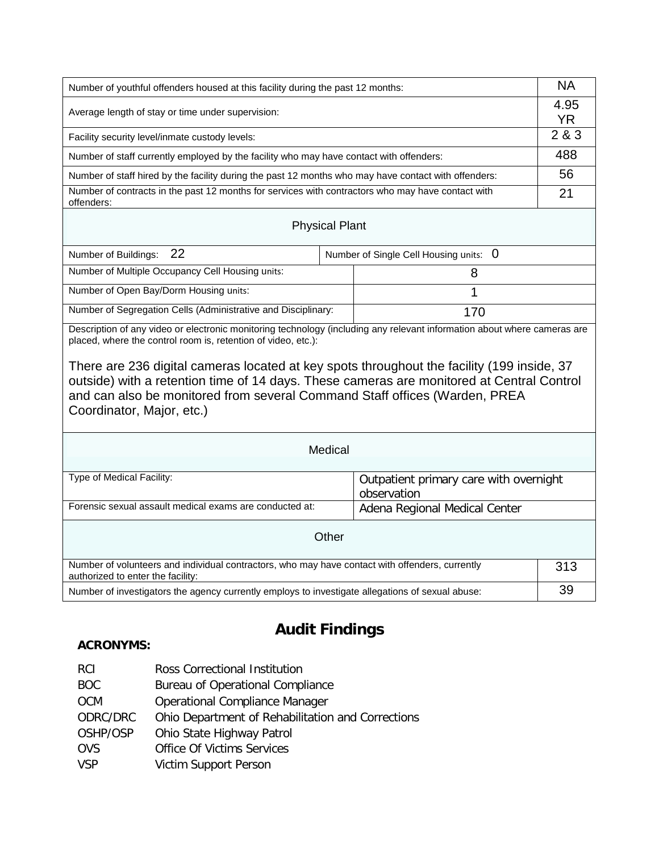| Number of youthful offenders housed at this facility during the past 12 months:                                                                                                                                                                                                                                                                                                                                                                                                                 |  |                                                                                        | <b>NA</b>         |  |  |
|-------------------------------------------------------------------------------------------------------------------------------------------------------------------------------------------------------------------------------------------------------------------------------------------------------------------------------------------------------------------------------------------------------------------------------------------------------------------------------------------------|--|----------------------------------------------------------------------------------------|-------------------|--|--|
| Average length of stay or time under supervision:                                                                                                                                                                                                                                                                                                                                                                                                                                               |  |                                                                                        | 4.95<br><b>YR</b> |  |  |
| Facility security level/inmate custody levels:                                                                                                                                                                                                                                                                                                                                                                                                                                                  |  |                                                                                        | 2&8&3             |  |  |
| Number of staff currently employed by the facility who may have contact with offenders:                                                                                                                                                                                                                                                                                                                                                                                                         |  |                                                                                        | 488               |  |  |
| Number of staff hired by the facility during the past 12 months who may have contact with offenders:                                                                                                                                                                                                                                                                                                                                                                                            |  |                                                                                        | 56                |  |  |
| Number of contracts in the past 12 months for services with contractors who may have contact with<br>offenders:                                                                                                                                                                                                                                                                                                                                                                                 |  |                                                                                        | 21                |  |  |
| <b>Physical Plant</b>                                                                                                                                                                                                                                                                                                                                                                                                                                                                           |  |                                                                                        |                   |  |  |
| 22<br>Number of Buildings:                                                                                                                                                                                                                                                                                                                                                                                                                                                                      |  | Number of Single Cell Housing units: 0                                                 |                   |  |  |
| Number of Multiple Occupancy Cell Housing units:                                                                                                                                                                                                                                                                                                                                                                                                                                                |  | 8                                                                                      |                   |  |  |
| Number of Open Bay/Dorm Housing units:                                                                                                                                                                                                                                                                                                                                                                                                                                                          |  | 1                                                                                      |                   |  |  |
| Number of Segregation Cells (Administrative and Disciplinary:                                                                                                                                                                                                                                                                                                                                                                                                                                   |  | 170                                                                                    |                   |  |  |
| Description of any video or electronic monitoring technology (including any relevant information about where cameras are<br>placed, where the control room is, retention of video, etc.):<br>There are 236 digital cameras located at key spots throughout the facility (199 inside, 37<br>outside) with a retention time of 14 days. These cameras are monitored at Central Control<br>and can also be monitored from several Command Staff offices (Warden, PREA<br>Coordinator, Major, etc.) |  |                                                                                        |                   |  |  |
| Medical                                                                                                                                                                                                                                                                                                                                                                                                                                                                                         |  |                                                                                        |                   |  |  |
| Type of Medical Facility:<br>Forensic sexual assault medical exams are conducted at:                                                                                                                                                                                                                                                                                                                                                                                                            |  | Outpatient primary care with overnight<br>observation<br>Adena Regional Medical Center |                   |  |  |
| Other                                                                                                                                                                                                                                                                                                                                                                                                                                                                                           |  |                                                                                        |                   |  |  |
| Number of volunteers and individual contractors, who may have contact with offenders, currently<br>authorized to enter the facility:                                                                                                                                                                                                                                                                                                                                                            |  | 313                                                                                    |                   |  |  |
| Number of investigators the agency currently employs to investigate allegations of sexual abuse:                                                                                                                                                                                                                                                                                                                                                                                                |  | 39                                                                                     |                   |  |  |

# **Audit Findings**

# **ACRONYMS:**

| RCI | Ross Correctional Institution |  |
|-----|-------------------------------|--|
|     |                               |  |

- BOC Bureau of Operational Compliance
- OCM Operational Compliance Manager<br>ODRC/DRC Ohio Department of Rehabilitation
- Ohio Department of Rehabilitation and Corrections
- OSHP/OSP Ohio State Highway Patrol
- OVS Office Of Victims Services<br>
VSP Victim Support Person
- Victim Support Person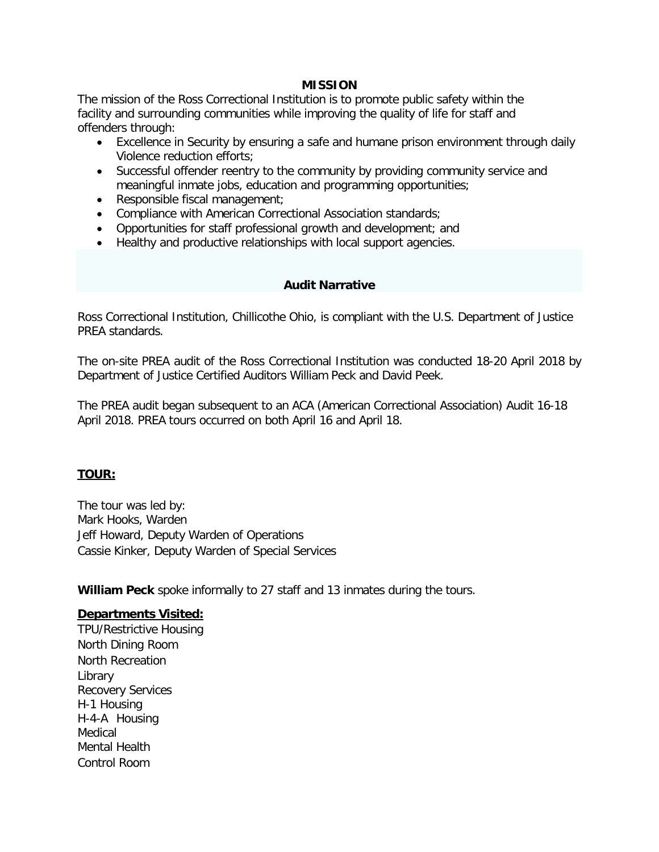#### **MISSION**

The mission of the Ross Correctional Institution is to promote public safety within the facility and surrounding communities while improving the quality of life for staff and offenders through:

- Excellence in Security by ensuring a safe and humane prison environment through daily Violence reduction efforts;
- Successful offender reentry to the community by providing community service and meaningful inmate jobs, education and programming opportunities;
- Responsible fiscal management;
- Compliance with American Correctional Association standards;
- Opportunities for staff professional growth and development; and
- Healthy and productive relationships with local support agencies.

#### **Audit Narrative**

Ross Correctional Institution, Chillicothe Ohio, is compliant with the U.S. Department of Justice PREA standards.

The on-site PREA audit of the Ross Correctional Institution was conducted 18-20 April 2018 by Department of Justice Certified Auditors William Peck and David Peek.

The PREA audit began subsequent to an ACA (American Correctional Association) Audit 16-18 April 2018. PREA tours occurred on both April 16 and April 18.

### **TOUR:**

The tour was led by: Mark Hooks, Warden Jeff Howard, Deputy Warden of Operations Cassie Kinker, Deputy Warden of Special Services

**William Peck** spoke informally to 27 staff and 13 inmates during the tours.

### **Departments Visited:**

TPU/Restrictive Housing North Dining Room North Recreation Library Recovery Services H-1 Housing H-4-A Housing Medical Mental Health Control Room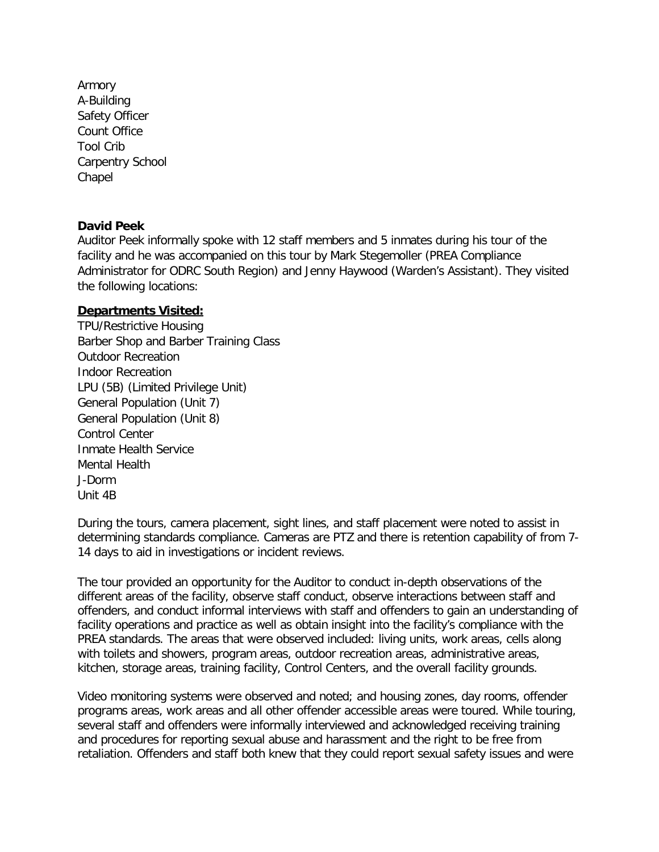Armory A-Building Safety Officer Count Office Tool Crib Carpentry School Chapel

### **David Peek**

Auditor Peek informally spoke with 12 staff members and 5 inmates during his tour of the facility and he was accompanied on this tour by Mark Stegemoller (PREA Compliance Administrator for ODRC South Region) and Jenny Haywood (Warden's Assistant). They visited the following locations:

### **Departments Visited:**

TPU/Restrictive Housing Barber Shop and Barber Training Class Outdoor Recreation Indoor Recreation LPU (5B) (Limited Privilege Unit) General Population (Unit 7) General Population (Unit 8) Control Center Inmate Health Service Mental Health J-Dorm Unit 4B

During the tours, camera placement, sight lines, and staff placement were noted to assist in determining standards compliance. Cameras are PTZ and there is retention capability of from 7- 14 days to aid in investigations or incident reviews.

The tour provided an opportunity for the Auditor to conduct in-depth observations of the different areas of the facility, observe staff conduct, observe interactions between staff and offenders, and conduct informal interviews with staff and offenders to gain an understanding of facility operations and practice as well as obtain insight into the facility's compliance with the PREA standards. The areas that were observed included: living units, work areas, cells along with toilets and showers, program areas, outdoor recreation areas, administrative areas, kitchen, storage areas, training facility, Control Centers, and the overall facility grounds.

Video monitoring systems were observed and noted; and housing zones, day rooms, offender programs areas, work areas and all other offender accessible areas were toured. While touring, several staff and offenders were informally interviewed and acknowledged receiving training and procedures for reporting sexual abuse and harassment and the right to be free from retaliation. Offenders and staff both knew that they could report sexual safety issues and were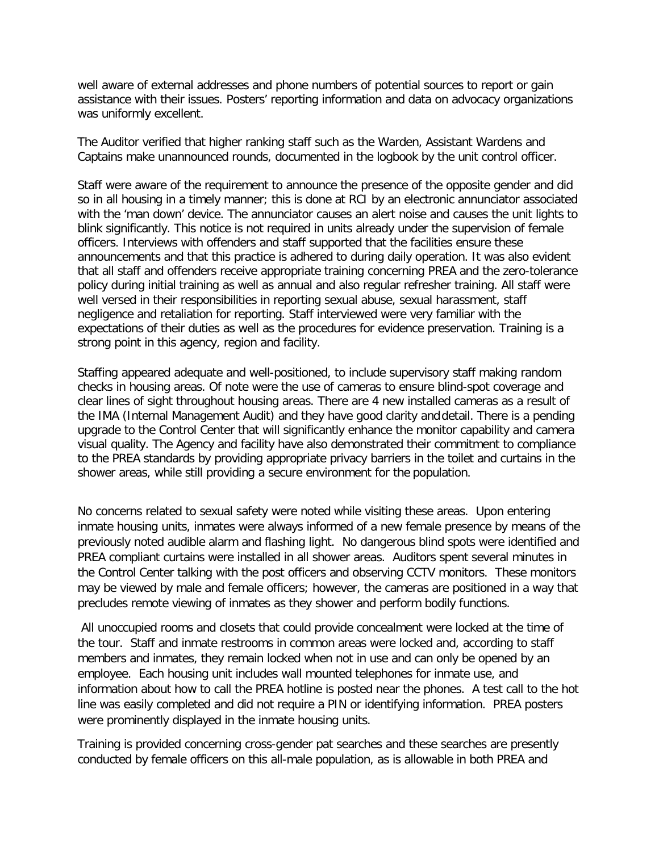well aware of external addresses and phone numbers of potential sources to report or gain assistance with their issues. Posters' reporting information and data on advocacy organizations was uniformly excellent.

The Auditor verified that higher ranking staff such as the Warden, Assistant Wardens and Captains make unannounced rounds, documented in the logbook by the unit control officer.

Staff were aware of the requirement to announce the presence of the opposite gender and did so in all housing in a timely manner; this is done at RCI by an electronic annunciator associated with the 'man down' device. The annunciator causes an alert noise and causes the unit lights to blink significantly. This notice is not required in units already under the supervision of female officers. Interviews with offenders and staff supported that the facilities ensure these announcements and that this practice is adhered to during daily operation. It was also evident that all staff and offenders receive appropriate training concerning PREA and the zero-tolerance policy during initial training as well as annual and also regular refresher training. All staff were well versed in their responsibilities in reporting sexual abuse, sexual harassment, staff negligence and retaliation for reporting. Staff interviewed were very familiar with the expectations of their duties as well as the procedures for evidence preservation. Training is a strong point in this agency, region and facility.

Staffing appeared adequate and well-positioned, to include supervisory staff making random checks in housing areas. Of note were the use of cameras to ensure blind-spot coverage and clear lines of sight throughout housing areas. There are 4 new installed cameras as a result of the IMA (Internal Management Audit) and they have good clarity anddetail. There is a pending upgrade to the Control Center that will significantly enhance the monitor capability and camera visual quality. The Agency and facility have also demonstrated their commitment to compliance to the PREA standards by providing appropriate privacy barriers in the toilet and curtains in the shower areas, while still providing a secure environment for the population.

No concerns related to sexual safety were noted while visiting these areas. Upon entering inmate housing units, inmates were always informed of a new female presence by means of the previously noted audible alarm and flashing light. No dangerous blind spots were identified and PREA compliant curtains were installed in all shower areas. Auditors spent several minutes in the Control Center talking with the post officers and observing CCTV monitors. These monitors may be viewed by male and female officers; however, the cameras are positioned in a way that precludes remote viewing of inmates as they shower and perform bodily functions.

All unoccupied rooms and closets that could provide concealment were locked at the time of the tour. Staff and inmate restrooms in common areas were locked and, according to staff members and inmates, they remain locked when not in use and can only be opened by an employee. Each housing unit includes wall mounted telephones for inmate use, and information about how to call the PREA hotline is posted near the phones. A test call to the hot line was easily completed and did not require a PIN or identifying information. PREA posters were prominently displayed in the inmate housing units.

Training is provided concerning cross-gender pat searches and these searches are presently conducted by female officers on this all-male population, as is allowable in both PREA and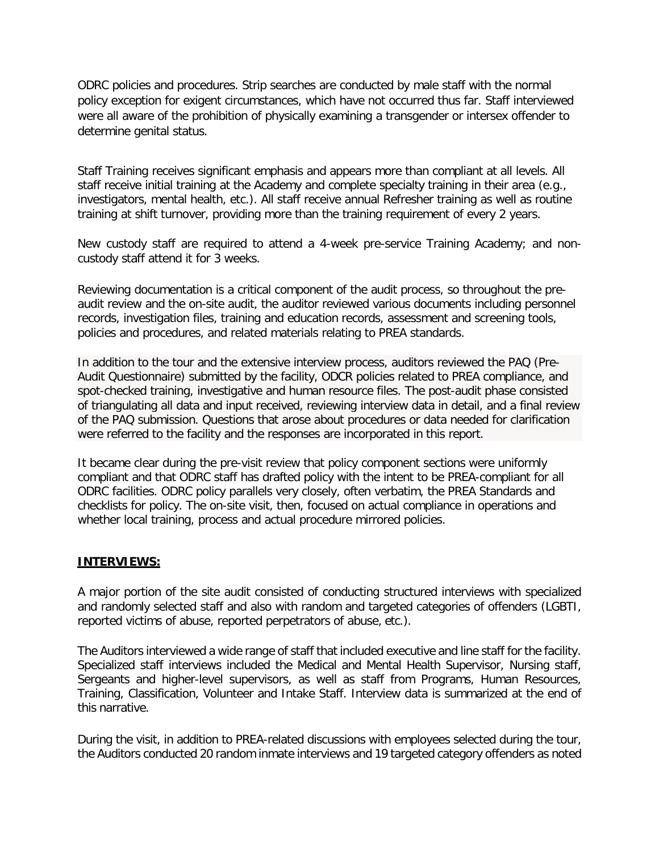ODRC policies and procedures. Strip searches are conducted by male staff with the normal policy exception for exigent circumstances, which have not occurred thus far. Staff interviewed were all aware of the prohibition of physically examining a transgender or intersex offender to determine genital status.

Staff Training receives significant emphasis and appears more than compliant at all levels. All staff receive initial training at the Academy and complete specialty training in their area (e.g., investigators, mental health, etc.). All staff receive annual Refresher training as well as routine training at shift turnover, providing more than the training requirement of every 2 years.

New custody staff are required to attend a 4-week pre-service Training Academy; and noncustody staff attend it for 3 weeks.

Reviewing documentation is a critical component of the audit process, so throughout the preaudit review and the on-site audit, the auditor reviewed various documents including personnel records, investigation files, training and education records, assessment and screening tools, policies and procedures, and related materials relating to PREA standards.

In addition to the tour and the extensive interview process, auditors reviewed the PAQ (Pre-Audit Questionnaire) submitted by the facility, ODCR policies related to PREA compliance, and spot-checked training, investigative and human resource files. The post-audit phase consisted of triangulating all data and input received, reviewing interview data in detail, and a final review of the PAQ submission. Questions that arose about procedures or data needed for clarification were referred to the facility and the responses are incorporated in this report.

It became clear during the pre-visit review that policy component sections were uniformly compliant and that ODRC staff has drafted policy with the intent to be PREA-compliant for all ODRC facilities. ODRC policy parallels very closely, often verbatim, the PREA Standards and checklists for policy. The on-site visit, then, focused on actual compliance in operations and whether local training, process and actual procedure mirrored policies.

#### **INTERVIEWS:**

A major portion of the site audit consisted of conducting structured interviews with specialized and randomly selected staff and also with random and targeted categories of offenders (LGBTI, reported victims of abuse, reported perpetrators of abuse, etc.).

The Auditors interviewed a wide range of staff that included executive and line staff for the facility. Specialized staff interviews included the Medical and Mental Health Supervisor, Nursing staff, Sergeants and higher-level supervisors, as well as staff from Programs, Human Resources, Training, Classification, Volunteer and Intake Staff. Interview data is summarized at the end of this narrative.

During the visit, in addition to PREA-related discussions with employees selected during the tour, the Auditors conducted 20 random inmate interviews and 19 targeted category offenders as noted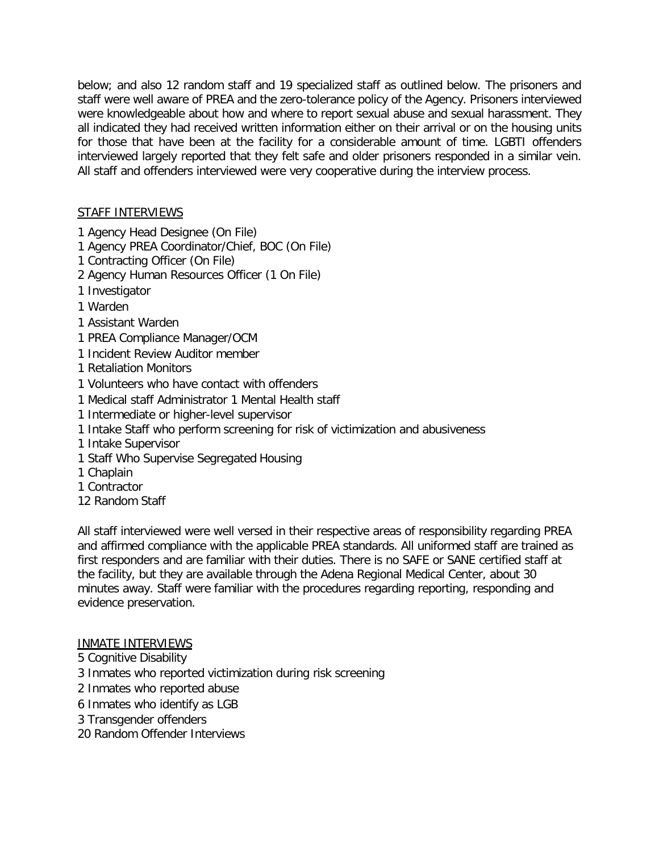below; and also 12 random staff and 19 specialized staff as outlined below. The prisoners and staff were well aware of PREA and the zero-tolerance policy of the Agency. Prisoners interviewed were knowledgeable about how and where to report sexual abuse and sexual harassment. They all indicated they had received written information either on their arrival or on the housing units for those that have been at the facility for a considerable amount of time. LGBTI offenders interviewed largely reported that they felt safe and older prisoners responded in a similar vein. All staff and offenders interviewed were very cooperative during the interview process.

# STAFF INTERVIEWS

- 1 Agency Head Designee (On File)
- 1 Agency PREA Coordinator/Chief, BOC (On File)
- 1 Contracting Officer (On File)
- 2 Agency Human Resources Officer (1 On File)
- 1 Investigator
- 1 Warden
- 1 Assistant Warden
- 1 PREA Compliance Manager/OCM
- 1 Incident Review Auditor member
- 1 Retaliation Monitors
- 1 Volunteers who have contact with offenders
- 1 Medical staff Administrator 1 Mental Health staff
- 1 Intermediate or higher-level supervisor
- 1 Intake Staff who perform screening for risk of victimization and abusiveness
- 1 Intake Supervisor
- 1 Staff Who Supervise Segregated Housing
- 1 Chaplain
- 1 Contractor
- 12 Random Staff

All staff interviewed were well versed in their respective areas of responsibility regarding PREA and affirmed compliance with the applicable PREA standards. All uniformed staff are trained as first responders and are familiar with their duties. There is no SAFE or SANE certified staff at the facility, but they are available through the Adena Regional Medical Center, about 30 minutes away. Staff were familiar with the procedures regarding reporting, responding and evidence preservation.

# INMATE INTERVIEWS

- 5 Cognitive Disability
- 3 Inmates who reported victimization during risk screening
- 2 Inmates who reported abuse
- 6 Inmates who identify as LGB
- 3 Transgender offenders
- 20 Random Offender Interviews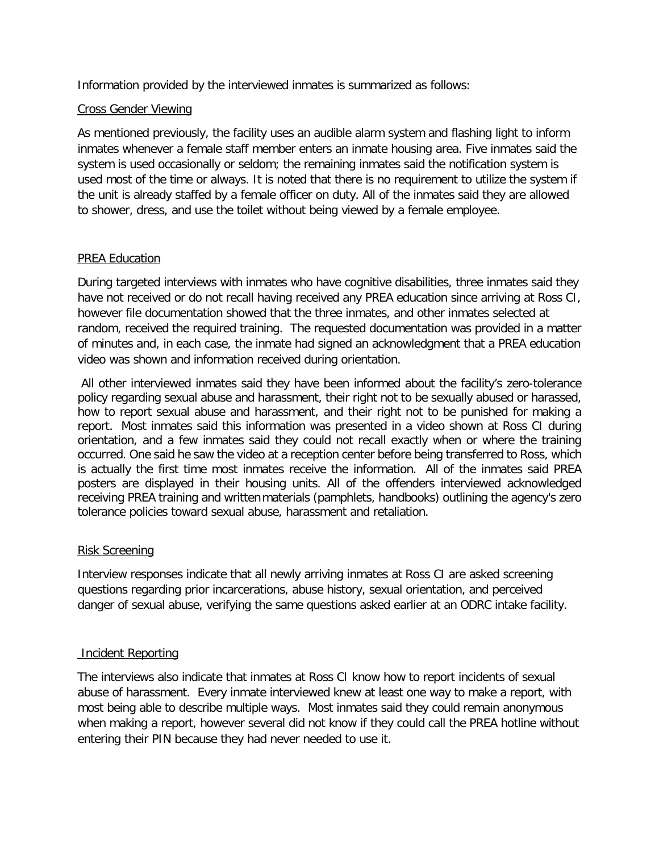Information provided by the interviewed inmates is summarized as follows:

### Cross Gender Viewing

As mentioned previously, the facility uses an audible alarm system and flashing light to inform inmates whenever a female staff member enters an inmate housing area. Five inmates said the system is used occasionally or seldom; the remaining inmates said the notification system is used most of the time or always. It is noted that there is no requirement to utilize the system if the unit is already staffed by a female officer on duty. All of the inmates said they are allowed to shower, dress, and use the toilet without being viewed by a female employee.

### PREA Education

During targeted interviews with inmates who have cognitive disabilities, three inmates said they have not received or do not recall having received any PREA education since arriving at Ross CI, however file documentation showed that the three inmates, and other inmates selected at random, received the required training. The requested documentation was provided in a matter of minutes and, in each case, the inmate had signed an acknowledgment that a PREA education video was shown and information received during orientation.

All other interviewed inmates said they have been informed about the facility's zero-tolerance policy regarding sexual abuse and harassment, their right not to be sexually abused or harassed, how to report sexual abuse and harassment, and their right not to be punished for making a report. Most inmates said this information was presented in a video shown at Ross CI during orientation, and a few inmates said they could not recall exactly when or where the training occurred. One said he saw the video at a reception center before being transferred to Ross, which is actually the first time most inmates receive the information. All of the inmates said PREA posters are displayed in their housing units. All of the offenders interviewed acknowledged receiving PREA training and writtenmaterials (pamphlets, handbooks) outlining the agency's zero tolerance policies toward sexual abuse, harassment and retaliation.

# Risk Screening

Interview responses indicate that all newly arriving inmates at Ross CI are asked screening questions regarding prior incarcerations, abuse history, sexual orientation, and perceived danger of sexual abuse, verifying the same questions asked earlier at an ODRC intake facility.

### Incident Reporting

The interviews also indicate that inmates at Ross CI know how to report incidents of sexual abuse of harassment. Every inmate interviewed knew at least one way to make a report, with most being able to describe multiple ways. Most inmates said they could remain anonymous when making a report, however several did not know if they could call the PREA hotline without entering their PIN because they had never needed to use it.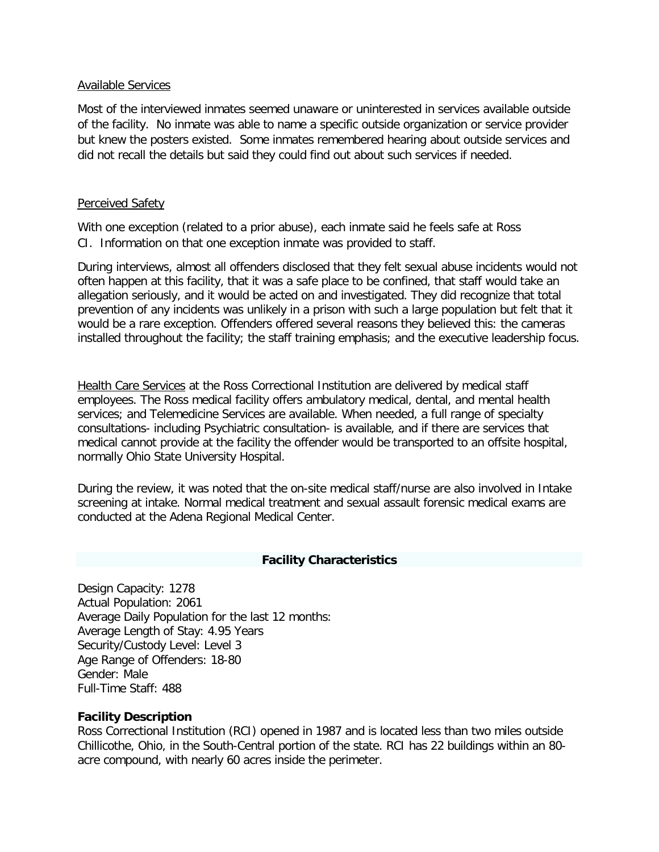#### Available Services

Most of the interviewed inmates seemed unaware or uninterested in services available outside of the facility. No inmate was able to name a specific outside organization or service provider but knew the posters existed. Some inmates remembered hearing about outside services and did not recall the details but said they could find out about such services if needed.

#### Perceived Safety

With one exception (related to a prior abuse), each inmate said he feels safe at Ross CI. Information on that one exception inmate was provided to staff.

During interviews, almost all offenders disclosed that they felt sexual abuse incidents would not often happen at this facility, that it was a safe place to be confined, that staff would take an allegation seriously, and it would be acted on and investigated. They did recognize that total prevention of any incidents was unlikely in a prison with such a large population but felt that it would be a rare exception. Offenders offered several reasons they believed this: the cameras installed throughout the facility; the staff training emphasis; and the executive leadership focus.

Health Care Services at the Ross Correctional Institution are delivered by medical staff employees. The Ross medical facility offers ambulatory medical, dental, and mental health services; and Telemedicine Services are available. When needed, a full range of specialty consultations- including Psychiatric consultation- is available, and if there are services that medical cannot provide at the facility the offender would be transported to an offsite hospital, normally Ohio State University Hospital.

During the review, it was noted that the on-site medical staff/nurse are also involved in Intake screening at intake. Normal medical treatment and sexual assault forensic medical exams are conducted at the Adena Regional Medical Center.

### **Facility Characteristics**

Design Capacity: 1278 Actual Population: 2061 Average Daily Population for the last 12 months: Average Length of Stay: 4.95 Years Security/Custody Level: Level 3 Age Range of Offenders: 18-80 Gender: Male Full-Time Staff: 488

#### **Facility Description**

Ross Correctional Institution (RCI) opened in 1987 and is located less than two miles outside Chillicothe, Ohio, in the South-Central portion of the state. RCI has 22 buildings within an 80 acre compound, with nearly 60 acres inside the perimeter.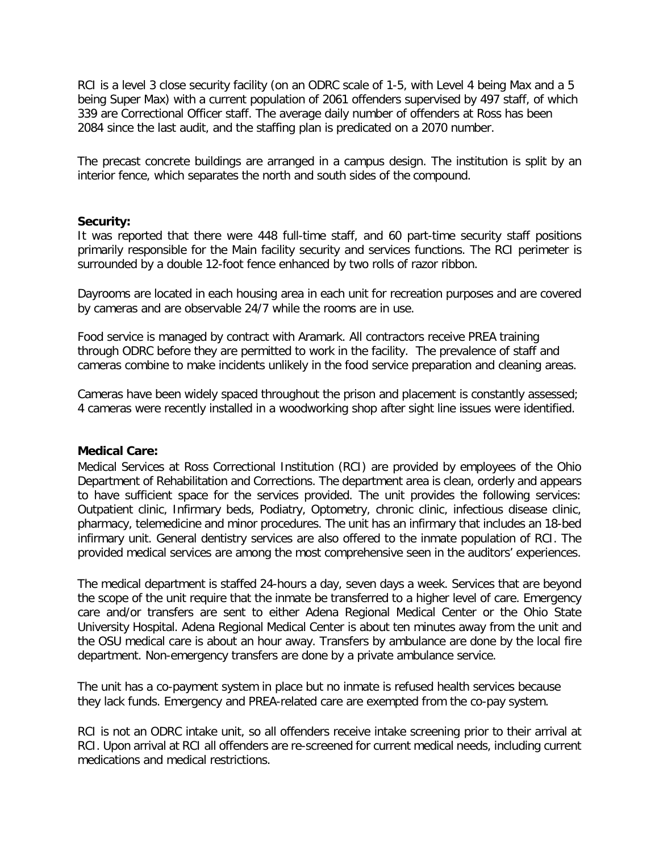RCI is a level 3 close security facility (on an ODRC scale of 1-5, with Level 4 being Max and a 5 being Super Max) with a current population of 2061 offenders supervised by 497 staff, of which 339 are Correctional Officer staff. The average daily number of offenders at Ross has been 2084 since the last audit, and the staffing plan is predicated on a 2070 number.

The precast concrete buildings are arranged in a campus design. The institution is split by an interior fence, which separates the north and south sides of the compound.

#### **Security:**

It was reported that there were 448 full-time staff, and 60 part-time security staff positions primarily responsible for the Main facility security and services functions. The RCI perimeter is surrounded by a double 12-foot fence enhanced by two rolls of razor ribbon.

Dayrooms are located in each housing area in each unit for recreation purposes and are covered by cameras and are observable 24/7 while the rooms are in use.

Food service is managed by contract with Aramark. All contractors receive PREA training through ODRC before they are permitted to work in the facility. The prevalence of staff and cameras combine to make incidents unlikely in the food service preparation and cleaning areas.

Cameras have been widely spaced throughout the prison and placement is constantly assessed; 4 cameras were recently installed in a woodworking shop after sight line issues were identified.

#### **Medical Care:**

Medical Services at Ross Correctional Institution (RCI) are provided by employees of the Ohio Department of Rehabilitation and Corrections. The department area is clean, orderly and appears to have sufficient space for the services provided. The unit provides the following services: Outpatient clinic, Infirmary beds, Podiatry, Optometry, chronic clinic, infectious disease clinic, pharmacy, telemedicine and minor procedures. The unit has an infirmary that includes an 18-bed infirmary unit. General dentistry services are also offered to the inmate population of RCI. The provided medical services are among the most comprehensive seen in the auditors' experiences.

The medical department is staffed 24-hours a day, seven days a week. Services that are beyond the scope of the unit require that the inmate be transferred to a higher level of care. Emergency care and/or transfers are sent to either Adena Regional Medical Center or the Ohio State University Hospital. Adena Regional Medical Center is about ten minutes away from the unit and the OSU medical care is about an hour away. Transfers by ambulance are done by the local fire department. Non-emergency transfers are done by a private ambulance service.

The unit has a co-payment system in place but no inmate is refused health services because they lack funds. Emergency and PREA-related care are exempted from the co-pay system.

RCI is not an ODRC intake unit, so all offenders receive intake screening prior to their arrival at RCI. Upon arrival at RCI all offenders are re-screened for current medical needs, including current medications and medical restrictions.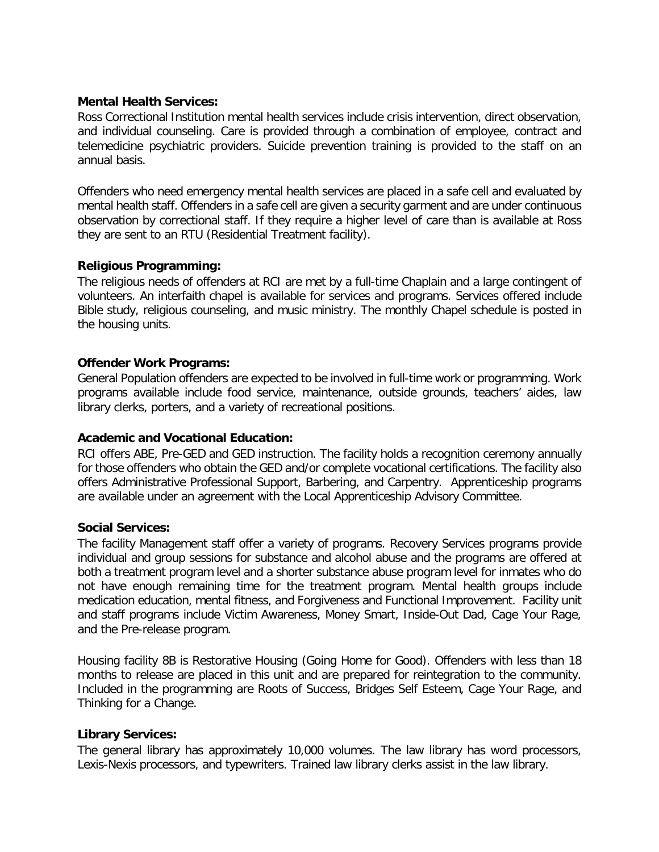### **Mental Health Services:**

Ross Correctional Institution mental health services include crisis intervention, direct observation, and individual counseling. Care is provided through a combination of employee, contract and telemedicine psychiatric providers. Suicide prevention training is provided to the staff on an annual basis.

Offenders who need emergency mental health services are placed in a safe cell and evaluated by mental health staff. Offenders in a safe cell are given a security garment and are under continuous observation by correctional staff. If they require a higher level of care than is available at Ross they are sent to an RTU (Residential Treatment facility).

### **Religious Programming:**

The religious needs of offenders at RCI are met by a full-time Chaplain and a large contingent of volunteers. An interfaith chapel is available for services and programs. Services offered include Bible study, religious counseling, and music ministry. The monthly Chapel schedule is posted in the housing units.

### **Offender Work Programs:**

General Population offenders are expected to be involved in full-time work or programming. Work programs available include food service, maintenance, outside grounds, teachers' aides, law library clerks, porters, and a variety of recreational positions.

# **Academic and Vocational Education:**

RCI offers ABE, Pre-GED and GED instruction. The facility holds a recognition ceremony annually for those offenders who obtain the GED and/or complete vocational certifications. The facility also offers Administrative Professional Support, Barbering, and Carpentry. Apprenticeship programs are available under an agreement with the Local Apprenticeship Advisory Committee.

### **Social Services:**

The facility Management staff offer a variety of programs. Recovery Services programs provide individual and group sessions for substance and alcohol abuse and the programs are offered at both a treatment program level and a shorter substance abuse program level for inmates who do not have enough remaining time for the treatment program. Mental health groups include medication education, mental fitness, and Forgiveness and Functional Improvement. Facility unit and staff programs include Victim Awareness, Money Smart, Inside-Out Dad, Cage Your Rage, and the Pre-release program.

Housing facility 8B is Restorative Housing (Going Home for Good). Offenders with less than 18 months to release are placed in this unit and are prepared for reintegration to the community. Included in the programming are Roots of Success, Bridges Self Esteem, Cage Your Rage, and Thinking for a Change.

### **Library Services:**

The general library has approximately 10,000 volumes. The law library has word processors, Lexis-Nexis processors, and typewriters. Trained law library clerks assist in the law library.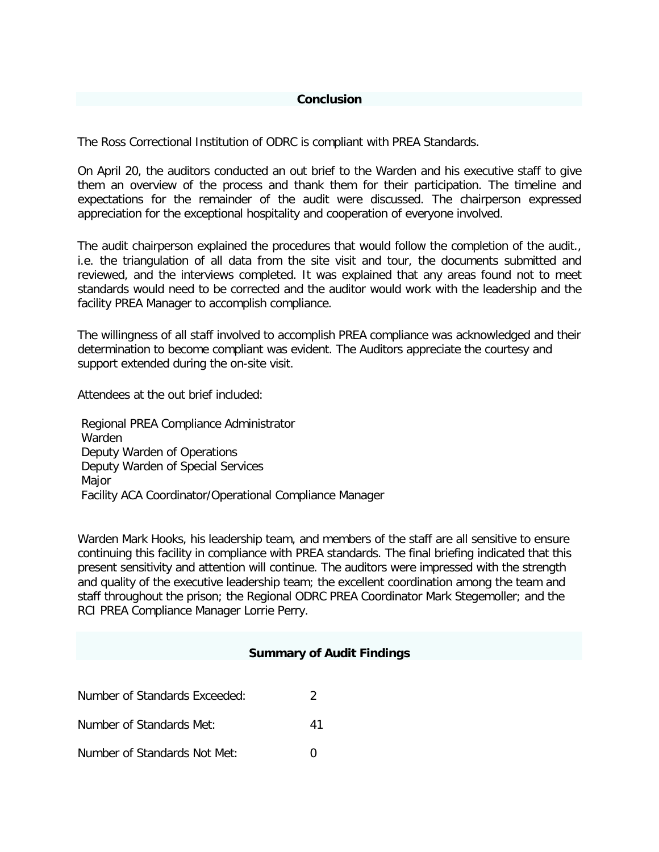#### **Conclusion**

The Ross Correctional Institution of ODRC is compliant with PREA Standards.

On April 20, the auditors conducted an out brief to the Warden and his executive staff to give them an overview of the process and thank them for their participation. The timeline and expectations for the remainder of the audit were discussed. The chairperson expressed appreciation for the exceptional hospitality and cooperation of everyone involved.

The audit chairperson explained the procedures that would follow the completion of the audit., i.e. the triangulation of all data from the site visit and tour, the documents submitted and reviewed, and the interviews completed. It was explained that any areas found not to meet standards would need to be corrected and the auditor would work with the leadership and the facility PREA Manager to accomplish compliance.

The willingness of all staff involved to accomplish PREA compliance was acknowledged and their determination to become compliant was evident. The Auditors appreciate the courtesy and support extended during the on-site visit.

Attendees at the out brief included:

Regional PREA Compliance Administrator Warden Deputy Warden of Operations Deputy Warden of Special Services Major Facility ACA Coordinator/Operational Compliance Manager

Warden Mark Hooks, his leadership team, and members of the staff are all sensitive to ensure continuing this facility in compliance with PREA standards. The final briefing indicated that this present sensitivity and attention will continue. The auditors were impressed with the strength and quality of the executive leadership team; the excellent coordination among the team and staff throughout the prison; the Regional ODRC PREA Coordinator Mark Stegemoller; and the RCI PREA Compliance Manager Lorrie Perry.

### **Summary of Audit Findings**

| Number of Standards Exceeded: |    |
|-------------------------------|----|
| Number of Standards Met:      | 41 |
| Number of Standards Not Met:  |    |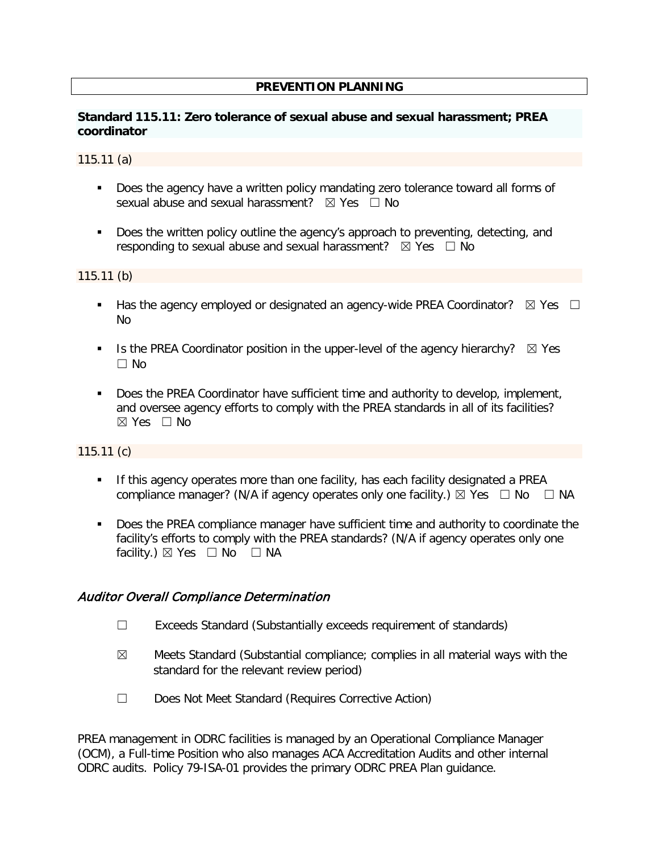### **PREVENTION PLANNING**

### **Standard 115.11: Zero tolerance of sexual abuse and sexual harassment; PREA coordinator**

#### 115.11 (a)

- **Does the agency have a written policy mandating zero tolerance toward all forms of** sexual abuse and sexual harassment?  $\boxtimes$  Yes  $\Box$  No
- Does the written policy outline the agency's approach to preventing, detecting, and responding to sexual abuse and sexual harassment?  $\boxtimes$  Yes  $\Box$  No

115.11 (b)

- Has the agency employed or designated an agency-wide PREA Coordinator?  $\boxtimes$  Yes  $\Box$ No
- Is the PREA Coordinator position in the upper-level of the agency hierarchy?  $\boxtimes$  Yes  $\Box$  No
- **Does the PREA Coordinator have sufficient time and authority to develop, implement,** and oversee agency efforts to comply with the PREA standards in all of its facilities?  $\boxtimes$  Yes  $\Box$  No

### 115.11 (c)

- If this agency operates more than one facility, has each facility designated a PREA compliance manager? (N/A if agency operates only one facility.)  $\boxtimes$  Yes  $\Box$  No  $\Box$  NA
- Does the PREA compliance manager have sufficient time and authority to coordinate the facility's efforts to comply with the PREA standards? (N/A if agency operates only one facility.)  $\boxtimes$  Yes  $\Box$  No  $\Box$  NA

### Auditor Overall Compliance Determination

- ☐ Exceeds Standard (Substantially exceeds requirement of standards)
- $\boxtimes$  Meets Standard (Substantial compliance; complies in all material ways with the standard for the relevant review period)
- ☐ Does Not Meet Standard (Requires Corrective Action)

PREA management in ODRC facilities is managed by an Operational Compliance Manager (OCM), a Full-time Position who also manages ACA Accreditation Audits and other internal ODRC audits.Policy 79-ISA-01 provides the primary ODRC PREA Plan guidance.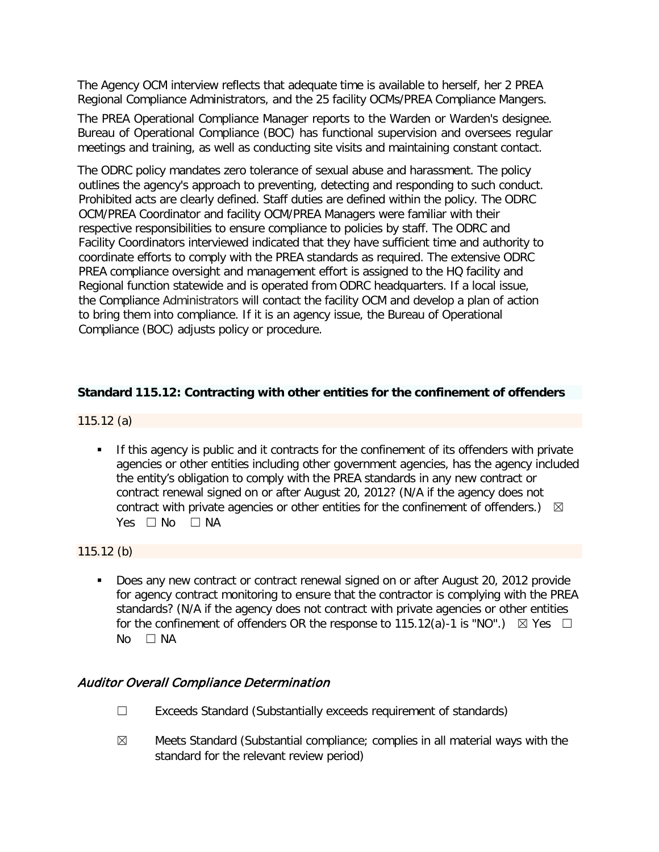The Agency OCM interview reflects that adequate time is available to herself, her 2 PREA Regional Compliance Administrators, and the 25 facility OCMs/PREA Compliance Mangers.

The PREA Operational Compliance Manager reports to the Warden or Warden's designee. Bureau of Operational Compliance (BOC) has functional supervision and oversees regular meetings and training, as well as conducting site visits and maintaining constant contact.

The ODRC policy mandates zero tolerance of sexual abuse and harassment. The policy outlines the agency's approach to preventing, detecting and responding to such conduct. Prohibited acts are clearly defined. Staff duties are defined within the policy. The ODRC OCM/PREA Coordinator and facility OCM/PREA Managers were familiar with their respective responsibilities to ensure compliance to policies by staff. The ODRC and Facility Coordinators interviewed indicated that they have sufficient time and authority to coordinate efforts to comply with the PREA standards as required. The extensive ODRC PREA compliance oversight and management effort is assigned to the HQ facility and Regional function statewide and is operated from ODRC headquarters. If a local issue, the Compliance Administrators will contact the facility OCM and develop a plan of action to bring them into compliance. If it is an agency issue, the Bureau of Operational Compliance (BOC) adjusts policy or procedure.

### **Standard 115.12: Contracting with other entities for the confinement of offenders**

115.12 (a)

If this agency is public and it contracts for the confinement of its offenders with private agencies or other entities including other government agencies, has the agency included the entity's obligation to comply with the PREA standards in any new contract or contract renewal signed on or after August 20, 2012? (N/A if the agency does not contract with private agencies or other entities for the confinement of offenders.)  $\boxtimes$ Yes □ No □ NA

115.12 (b)

 Does any new contract or contract renewal signed on or after August 20, 2012 provide for agency contract monitoring to ensure that the contractor is complying with the PREA standards? (N/A if the agency does not contract with private agencies or other entities for the confinement of offenders OR the response to 115.12(a)-1 is "NO".)  $\boxtimes$  Yes  $\Box$ No □ NA

### Auditor Overall Compliance Determination

- ☐ Exceeds Standard (Substantially exceeds requirement of standards)
- $\boxtimes$  Meets Standard (Substantial compliance; complies in all material ways with the standard for the relevant review period)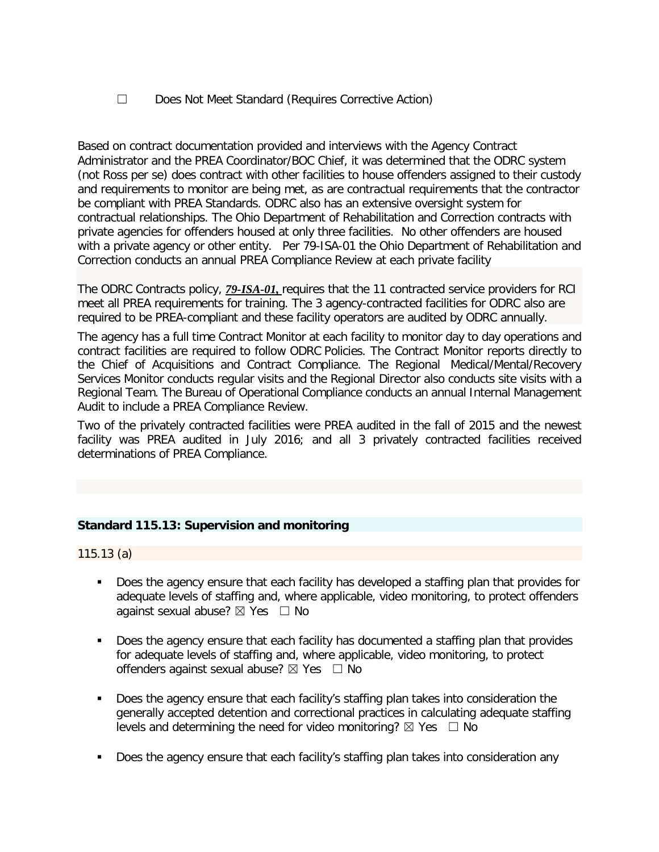☐ Does Not Meet Standard (Requires Corrective Action)

Based on contract documentation provided and interviews with the Agency Contract Administrator and the PREA Coordinator/BOC Chief, it was determined that the ODRC system (not Ross per se) does contract with other facilities to house offenders assigned to their custody and requirements to monitor are being met, as are contractual requirements that the contractor be compliant with PREA Standards. ODRC also has an extensive oversight system for contractual relationships. The Ohio Department of Rehabilitation and Correction contracts with private agencies for offenders housed at only three facilities. No other offenders are housed with a private agency or other entity.Per [79-ISA-01](file://codata/biasc/Staff%20Folder%20-%20Stegemoller/2018%20PREA%20Audits/2018%20MASTER%20COPIES/115.12/79-ISA-01%20115.12a.pdf) the Ohio Department of Rehabilitation and Correction conducts an annual PREA Compliance Review at each private facility

The ODRC Contracts policy, *[79-ISA-01,](file://codata/biasc/Staff%20Folder%20-%20Stegemoller/2018%20PREA%20Audits/2018%20MASTER%20COPIES/115.12/79-ISA-01%20115.12a.pdf)* requires that the 11 contracted service providers for RCI meet all PREA requirements for training. The 3 agency-contracted facilities for ODRC also are required to be PREA-compliant and these facility operators are audited by ODRC annually.

The agency has a full time Contract Monitor at each facility to monitor day to day operations and contract facilities are required to follow ODRC Policies. The Contract Monitor reports directly to the Chief of Acquisitions and Contract Compliance. The Regional Medical/Mental/Recovery Services Monitor conducts regular visits and the Regional Director also conducts site visits with a Regional Team. The Bureau of Operational Compliance conducts an annual Internal Management Audit to include a PREA Compliance Review.

Two of the privately contracted facilities were PREA audited in the fall of 2015 and the newest facility was PREA audited in July 2016; and all 3 privately contracted facilities received determinations of PREA Compliance.

### **Standard 115.13: Supervision and monitoring**

115.13 (a)

- Does the agency ensure that each facility has developed a staffing plan that provides for adequate levels of staffing and, where applicable, video monitoring, to protect offenders against sexual abuse?  $\boxtimes$  Yes  $\Box$  No
- Does the agency ensure that each facility has documented a staffing plan that provides for adequate levels of staffing and, where applicable, video monitoring, to protect offenders against sexual abuse?  $\boxtimes$  Yes  $\Box$  No
- Does the agency ensure that each facility's staffing plan takes into consideration the generally accepted detention and correctional practices in calculating adequate staffing levels and determining the need for video monitoring?  $\boxtimes$  Yes  $\Box$  No
- Does the agency ensure that each facility's staffing plan takes into consideration any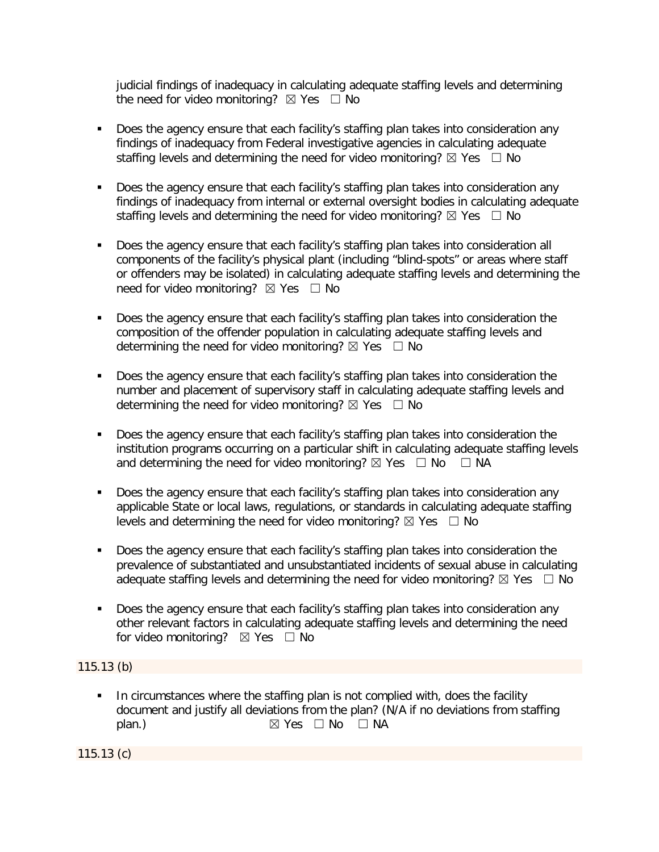judicial findings of inadequacy in calculating adequate staffing levels and determining the need for video monitoring?  $\boxtimes$  Yes  $\Box$  No

- Does the agency ensure that each facility's staffing plan takes into consideration any findings of inadequacy from Federal investigative agencies in calculating adequate staffing levels and determining the need for video monitoring?  $\boxtimes$  Yes  $\Box$  No
- Does the agency ensure that each facility's staffing plan takes into consideration any findings of inadequacy from internal or external oversight bodies in calculating adequate staffing levels and determining the need for video monitoring?  $\boxtimes$  Yes  $\Box$  No
- Does the agency ensure that each facility's staffing plan takes into consideration all components of the facility's physical plant (including "blind-spots" or areas where staff or offenders may be isolated) in calculating adequate staffing levels and determining the need for video monitoring?  $\boxtimes$  Yes  $\Box$  No
- Does the agency ensure that each facility's staffing plan takes into consideration the composition of the offender population in calculating adequate staffing levels and determining the need for video monitoring?  $\boxtimes$  Yes  $\Box$  No
- Does the agency ensure that each facility's staffing plan takes into consideration the number and placement of supervisory staff in calculating adequate staffing levels and determining the need for video monitoring?  $\boxtimes$  Yes  $\Box$  No
- Does the agency ensure that each facility's staffing plan takes into consideration the institution programs occurring on a particular shift in calculating adequate staffing levels and determining the need for video monitoring?  $\boxtimes$  Yes  $\Box$  No  $\Box$  NA
- Does the agency ensure that each facility's staffing plan takes into consideration any applicable State or local laws, regulations, or standards in calculating adequate staffing levels and determining the need for video monitoring?  $\boxtimes$  Yes  $\Box$  No
- Does the agency ensure that each facility's staffing plan takes into consideration the prevalence of substantiated and unsubstantiated incidents of sexual abuse in calculating adequate staffing levels and determining the need for video monitoring?  $\boxtimes$  Yes  $\Box$  No
- Does the agency ensure that each facility's staffing plan takes into consideration any other relevant factors in calculating adequate staffing levels and determining the need for video monitoring?  $\boxtimes$  Yes  $\Box$  No

# 115.13 (b)

In circumstances where the staffing plan is not complied with, does the facility document and justify all deviations from the plan? (N/A if no deviations from staffing plan.)  $\boxtimes$  Yes  $\Box$  No  $\Box$  NA

115.13 (c)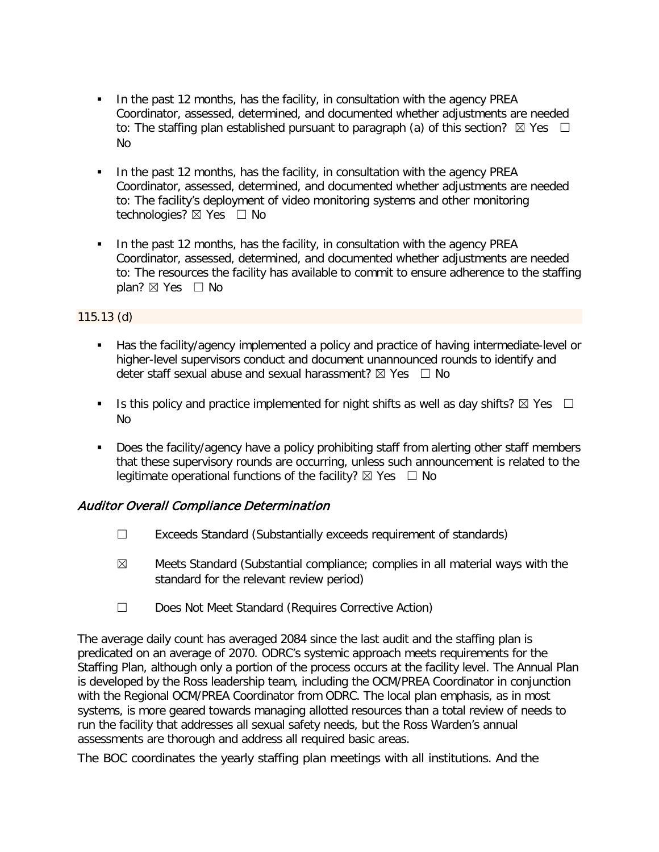- In the past 12 months, has the facility, in consultation with the agency PREA Coordinator, assessed, determined, and documented whether adjustments are needed to: The staffing plan established pursuant to paragraph (a) of this section?  $\boxtimes$  Yes  $\Box$ No
- In the past 12 months, has the facility, in consultation with the agency PREA Coordinator, assessed, determined, and documented whether adjustments are needed to: The facility's deployment of video monitoring systems and other monitoring technologies? ⊠ Yes □ No
- In the past 12 months, has the facility, in consultation with the agency PREA Coordinator, assessed, determined, and documented whether adjustments are needed to: The resources the facility has available to commit to ensure adherence to the staffing plan? ⊠ Yes □ No

### 115.13 (d)

- Has the facility/agency implemented a policy and practice of having intermediate-level or higher-level supervisors conduct and document unannounced rounds to identify and deter staff sexual abuse and sexual harassment?  $\boxtimes$  Yes  $\Box$  No
- Is this policy and practice implemented for night shifts as well as day shifts?  $\boxtimes$  Yes  $\Box$ No
- Does the facility/agency have a policy prohibiting staff from alerting other staff members that these supervisory rounds are occurring, unless such announcement is related to the legitimate operational functions of the facility?  $\boxtimes$  Yes  $\Box$  No

# Auditor Overall Compliance Determination

- ☐ Exceeds Standard (Substantially exceeds requirement of standards)
- $\boxtimes$  Meets Standard (Substantial compliance; complies in all material ways with the standard for the relevant review period)
- ☐ Does Not Meet Standard (Requires Corrective Action)

The average daily count has averaged 2084 since the last audit and the staffing plan is predicated on an average of 2070. ODRC's systemic approach meets requirements for the Staffing Plan, although only a portion of the process occurs at the facility level. The Annual Plan is developed by the Ross leadership team, including the OCM/PREA Coordinator in conjunction with the Regional OCM/PREA Coordinator from ODRC. The local plan emphasis, as in most systems, is more geared towards managing allotted resources than a total review of needs to run the facility that addresses all sexual safety needs, but the Ross Warden's annual assessments are thorough and address all required basic areas.

The BOC coordinates the yearly staffing plan meetings with all institutions. And the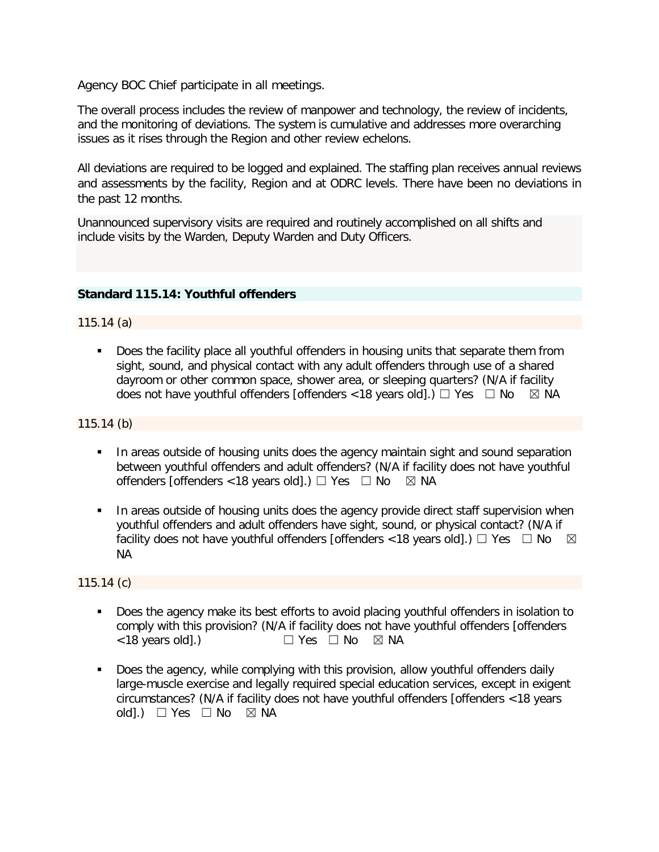Agency BOC Chief participate in all meetings.

The overall process includes the review of manpower and technology, the review of incidents, and the monitoring of deviations. The system is cumulative and addresses more overarching issues as it rises through the Region and other review echelons.

All deviations are required to be logged and explained. The staffing plan receives annual reviews and assessments by the facility, Region and at ODRC levels. There have been no deviations in the past 12 months.

Unannounced supervisory visits are required and routinely accomplished on all shifts and include visits by the Warden, Deputy Warden and Duty Officers.

### **Standard 115.14: Youthful offenders**

115.14 (a)

 Does the facility place all youthful offenders in housing units that separate them from sight, sound, and physical contact with any adult offenders through use of a shared dayroom or other common space, shower area, or sleeping quarters? (N/A if facility does not have youthful offenders [offenders < 18 years old].)  $\Box$  Yes  $\Box$  No  $\Box$  NA does not have youthful offenders [offenders <18 years old].)  $\Box$  Yes  $\Box$  No

### 115.14 (b)

- In areas outside of housing units does the agency maintain sight and sound separation between youthful offenders and adult offenders? (N/A if facility does not have youthful offenders [offenders <18 years old].)  $\Box$  Yes  $\Box$  No  $\boxtimes$  NA
- In areas outside of housing units does the agency provide direct staff supervision when youthful offenders and adult offenders have sight, sound, or physical contact? (N/A if facility does not have youthful offenders [offenders <18 years old].)  $\Box$  Yes  $\Box$  No  $\boxtimes$ NA

115.14 (c)

- Does the agency make its best efforts to avoid placing youthful offenders in isolation to comply with this provision? (N/A if facility does not have youthful offenders [offenders <18 years old].) ☐ Yes ☐ No ☒ NA
- Does the agency, while complying with this provision, allow youthful offenders daily large-muscle exercise and legally required special education services, except in exigent circumstances? (N/A if facility does not have youthful offenders [offenders <18 years old].)  $\Box$  Yes  $\Box$  No  $\boxtimes$  NA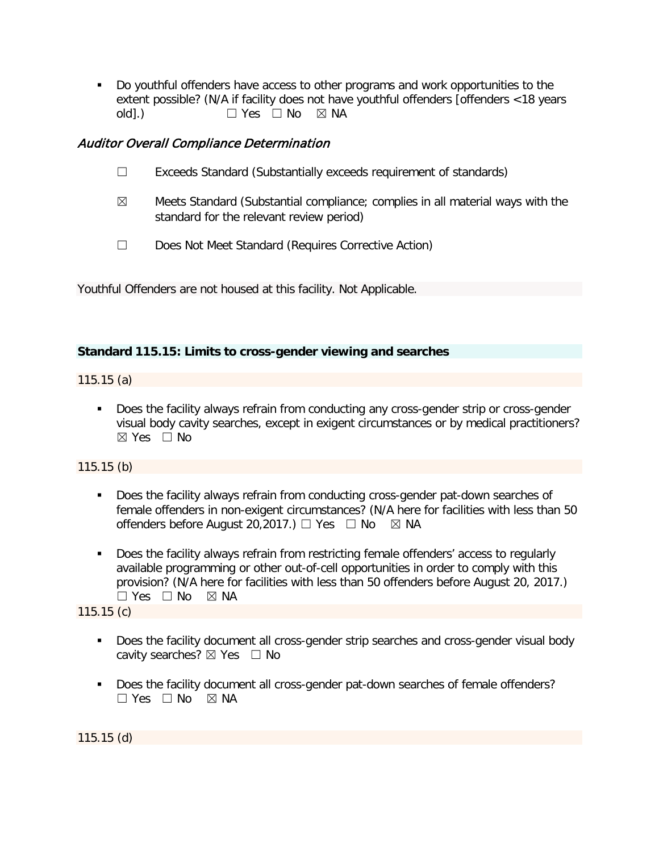Do youthful offenders have access to other programs and work opportunities to the extent possible? (N/A if facility does not have youthful offenders [offenders <18 years  $old.$ )  $\Box$  Yes  $\Box$  No  $\boxtimes$  NA

# Auditor Overall Compliance Determination

- ☐ Exceeds Standard (Substantially exceeds requirement of standards)
- $\boxtimes$  Meets Standard (Substantial compliance; complies in all material ways with the standard for the relevant review period)
- ☐ Does Not Meet Standard (Requires Corrective Action)

Youthful Offenders are not housed at this facility. Not Applicable.

### **Standard 115.15: Limits to cross-gender viewing and searches**

115.15 (a)

Does the facility always refrain from conducting any cross-gender strip or cross-gender visual body cavity searches, except in exigent circumstances or by medical practitioners? ☒ Yes ☐ No

115.15 (b)

- Does the facility always refrain from conducting cross-gender pat-down searches of female offenders in non-exigent circumstances? (N/A here for facilities with less than 50 offenders before August 20,2017.)  $\Box$  Yes  $\Box$  No  $\boxtimes$  NA
- Does the facility always refrain from restricting female offenders' access to regularly available programming or other out-of-cell opportunities in order to comply with this provision? (N/A here for facilities with less than 50 offenders before August 20, 2017.)  $\square$  Yes  $\square$  No  $\square$  NA

115.15 (c)

- Does the facility document all cross-gender strip searches and cross-gender visual body cavity searches?  $\boxtimes$  Yes  $\Box$  No
- Does the facility document all cross-gender pat-down searches of female offenders?  $\Box$  Yes  $\Box$  No  $\boxtimes$  NA

115.15 (d)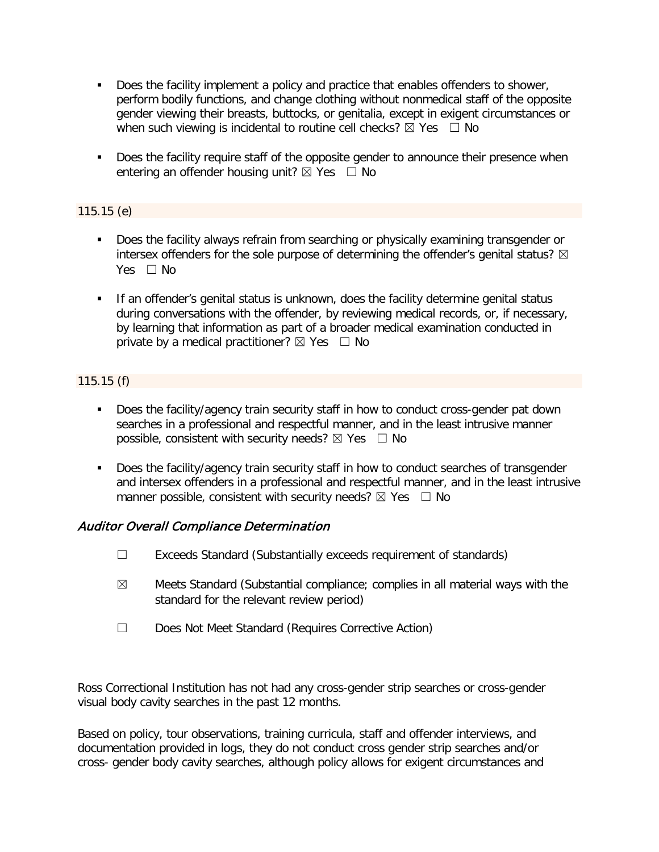- Does the facility implement a policy and practice that enables offenders to shower, perform bodily functions, and change clothing without nonmedical staff of the opposite gender viewing their breasts, buttocks, or genitalia, except in exigent circumstances or when such viewing is incidental to routine cell checks?  $\boxtimes$  Yes  $\Box$  No
- Does the facility require staff of the opposite gender to announce their presence when entering an offender housing unit?  $\boxtimes$  Yes  $\Box$  No

### 115.15 (e)

- Does the facility always refrain from searching or physically examining transgender or intersex offenders for the sole purpose of determining the offender's genital status?  $\boxtimes$ Yes □ No
- **If an offender's genital status is unknown, does the facility determine genital status** during conversations with the offender, by reviewing medical records, or, if necessary, by learning that information as part of a broader medical examination conducted in private by a medical practitioner?  $\boxtimes$  Yes  $\Box$  No

# 115.15 (f)

- Does the facility/agency train security staff in how to conduct cross-gender pat down searches in a professional and respectful manner, and in the least intrusive manner possible, consistent with security needs?  $\boxtimes$  Yes  $\Box$  No
- Does the facility/agency train security staff in how to conduct searches of transgender and intersex offenders in a professional and respectful manner, and in the least intrusive manner possible, consistent with security needs?  $\boxtimes$  Yes  $\Box$  No

# Auditor Overall Compliance Determination

- ☐ Exceeds Standard (Substantially exceeds requirement of standards)
- $\boxtimes$  Meets Standard (Substantial compliance; complies in all material ways with the standard for the relevant review period)
- ☐ Does Not Meet Standard (Requires Corrective Action)

Ross Correctional Institution has not had any cross-gender strip searches or cross-gender visual body cavity searches in the past 12 months.

Based on policy, tour observations, training curricula, staff and offender interviews, and documentation provided in logs, they do not conduct cross gender strip searches and/or cross- gender body cavity searches, although policy allows for exigent circumstances and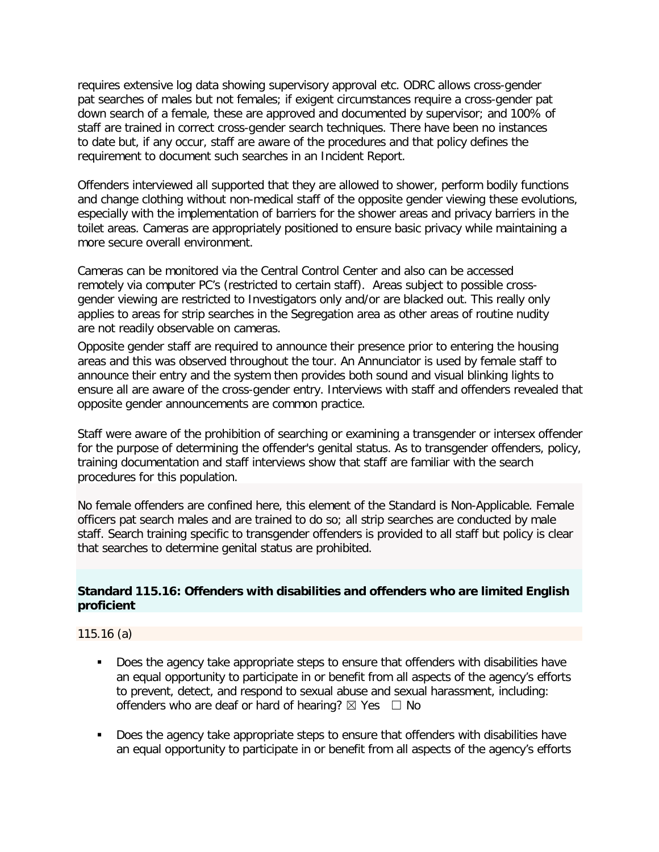requires extensive log data showing supervisory approval etc. ODRC allows cross-gender pat searches of males but not females; if exigent circumstances require a cross-gender pat down search of a female, these are approved and documented by supervisor; and 100% of staff are trained in correct cross-gender search techniques. There have been no instances to date but, if any occur, staff are aware of the procedures and that policy defines the requirement to document such searches in an Incident Report.

Offenders interviewed all supported that they are allowed to shower, perform bodily functions and change clothing without non-medical staff of the opposite gender viewing these evolutions, especially with the implementation of barriers for the shower areas and privacy barriers in the toilet areas. Cameras are appropriately positioned to ensure basic privacy while maintaining a more secure overall environment.

Cameras can be monitored via the Central Control Center and also can be accessed remotely via computer PC's (restricted to certain staff). Areas subject to possible crossgender viewing are restricted to Investigators only and/or are blacked out. This really only applies to areas for strip searches in the Segregation area as other areas of routine nudity are not readily observable on cameras.

Opposite gender staff are required to announce their presence prior to entering the housing areas and this was observed throughout the tour. An Annunciator is used by female staff to announce their entry and the system then provides both sound and visual blinking lights to ensure all are aware of the cross-gender entry. Interviews with staff and offenders revealed that opposite gender announcements are common practice.

Staff were aware of the prohibition of searching or examining a transgender or intersex offender for the purpose of determining the offender's genital status. As to transgender offenders, policy, training documentation and staff interviews show that staff are familiar with the search procedures for this population.

No female offenders are confined here, this element of the Standard is Non-Applicable. Female officers pat search males and are trained to do so; all strip searches are conducted by male staff. Search training specific to transgender offenders is provided to all staff but policy is clear that searches to determine genital status are prohibited.

### **Standard 115.16: Offenders with disabilities and offenders who are limited English proficient**

115.16 (a)

- Does the agency take appropriate steps to ensure that offenders with disabilities have an equal opportunity to participate in or benefit from all aspects of the agency's efforts to prevent, detect, and respond to sexual abuse and sexual harassment, including: offenders who are deaf or hard of hearing?  $\boxtimes$  Yes  $\Box$  No
- Does the agency take appropriate steps to ensure that offenders with disabilities have an equal opportunity to participate in or benefit from all aspects of the agency's efforts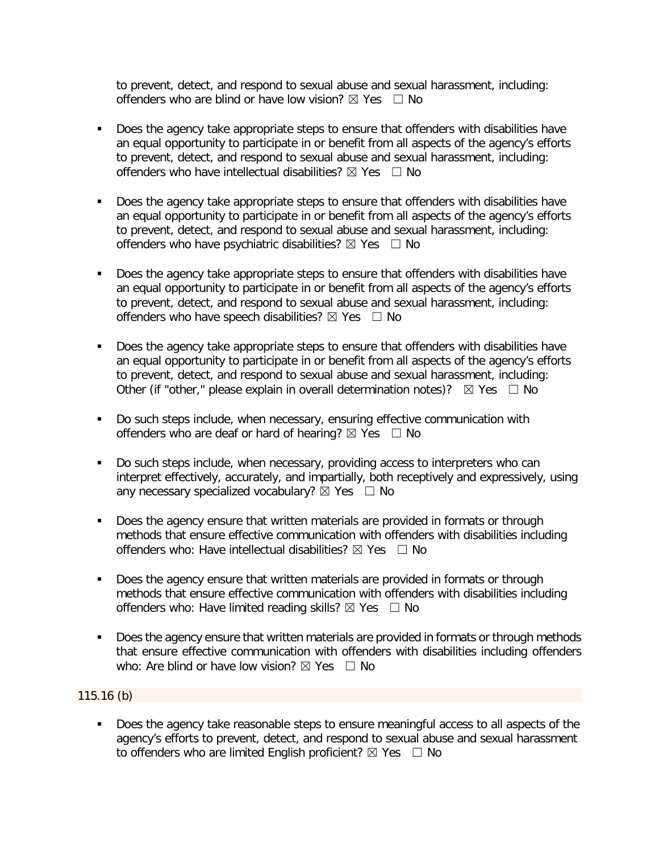to prevent, detect, and respond to sexual abuse and sexual harassment, including: offenders who are blind or have low vision?  $\boxtimes$  Yes  $\Box$  No

- Does the agency take appropriate steps to ensure that offenders with disabilities have an equal opportunity to participate in or benefit from all aspects of the agency's efforts to prevent, detect, and respond to sexual abuse and sexual harassment, including: offenders who have intellectual disabilities?  $\boxtimes$  Yes  $\Box$  No
- Does the agency take appropriate steps to ensure that offenders with disabilities have an equal opportunity to participate in or benefit from all aspects of the agency's efforts to prevent, detect, and respond to sexual abuse and sexual harassment, including: offenders who have psychiatric disabilities?  $\boxtimes$  Yes  $\Box$  No
- Does the agency take appropriate steps to ensure that offenders with disabilities have an equal opportunity to participate in or benefit from all aspects of the agency's efforts to prevent, detect, and respond to sexual abuse and sexual harassment, including: offenders who have speech disabilities?  $\boxtimes$  Yes  $\Box$  No
- Does the agency take appropriate steps to ensure that offenders with disabilities have an equal opportunity to participate in or benefit from all aspects of the agency's efforts to prevent, detect, and respond to sexual abuse and sexual harassment, including: Other (if "other," please explain in overall determination notes)?  $\boxtimes$  Yes  $\Box$  No
- Do such steps include, when necessary, ensuring effective communication with offenders who are deaf or hard of hearing?  $\boxtimes$  Yes  $\Box$  No
- Do such steps include, when necessary, providing access to interpreters who can interpret effectively, accurately, and impartially, both receptively and expressively, using any necessary specialized vocabulary?  $\boxtimes$  Yes  $\Box$  No
- Does the agency ensure that written materials are provided in formats or through methods that ensure effective communication with offenders with disabilities including offenders who: Have intellectual disabilities?  $\boxtimes$  Yes  $\Box$  No
- Does the agency ensure that written materials are provided in formats or through methods that ensure effective communication with offenders with disabilities including offenders who: Have limited reading skills?  $\boxtimes$  Yes  $\Box$  No
- Does the agency ensure that written materials are provided in formats or through methods that ensure effective communication with offenders with disabilities including offenders who: Are blind or have low vision?  $\boxtimes$  Yes  $\Box$  No

115.16 (b)

 Does the agency take reasonable steps to ensure meaningful access to all aspects of the agency's efforts to prevent, detect, and respond to sexual abuse and sexual harassment to offenders who are limited English proficient?  $\boxtimes$  Yes  $\Box$  No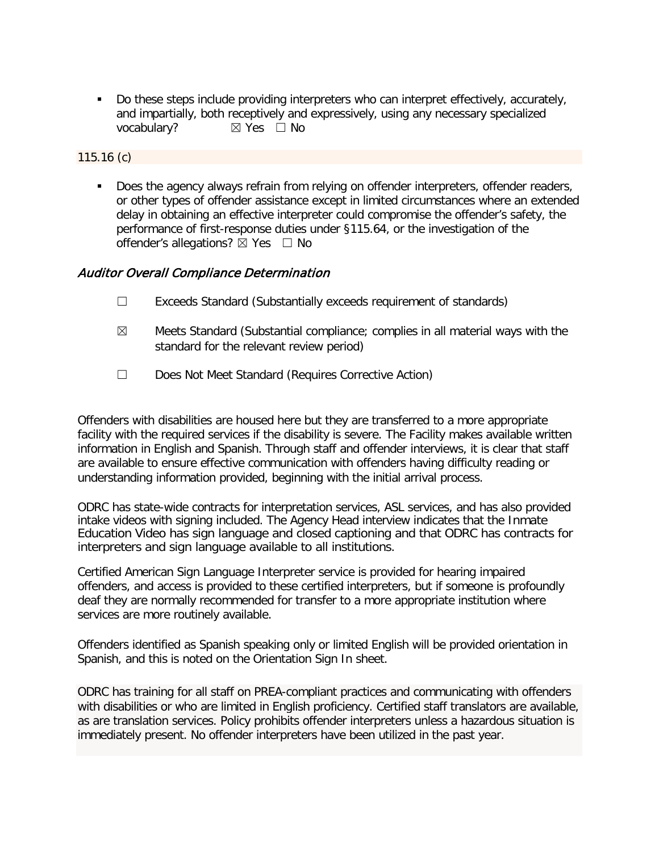Do these steps include providing interpreters who can interpret effectively, accurately, and impartially, both receptively and expressively, using any necessary specialized vocabulary?  $\boxtimes$  Yes  $\Box$  No  $\boxtimes$  Yes  $\Box$  No

115.16 (c)

Does the agency always refrain from relying on offender interpreters, offender readers, or other types of offender assistance except in limited circumstances where an extended delay in obtaining an effective interpreter could compromise the offender's safety, the performance of first-response duties under §115.64, or the investigation of the offender's allegations?  $\boxtimes$  Yes  $\Box$  No

### Auditor Overall Compliance Determination

- ☐ Exceeds Standard (Substantially exceeds requirement of standards)
- $\boxtimes$  Meets Standard (Substantial compliance; complies in all material ways with the standard for the relevant review period)
- ☐ Does Not Meet Standard (Requires Corrective Action)

Offenders with disabilities are housed here but they are transferred to a more appropriate facility with the required services if the disability is severe. The Facility makes available written information in English and Spanish. Through staff and offender interviews, it is clear that staff are available to ensure effective communication with offenders having difficulty reading or understanding information provided, beginning with the initial arrival process.

ODRC has state-wide contracts for interpretation services, ASL services, and has also provided intake videos with signing included. The Agency Head interview indicates that the Inmate Education Video has sign language and closed captioning and that ODRC has contracts for interpreters and sign language available to all institutions.

Certified American Sign Language Interpreter service is provided for hearing impaired offenders, and access is provided to these certified interpreters, but if someone is profoundly deaf they are normally recommended for transfer to a more appropriate institution where services are more routinely available.

Offenders identified as Spanish speaking only or limited English will be provided orientation in Spanish, and this is noted on the Orientation Sign In sheet.

ODRC has training for all staff on PREA-compliant practices and communicating with offenders with disabilities or who are limited in English proficiency. Certified staff translators are available, as are translation services. Policy prohibits offender interpreters unless a hazardous situation is immediately present. No offender interpreters have been utilized in the past year.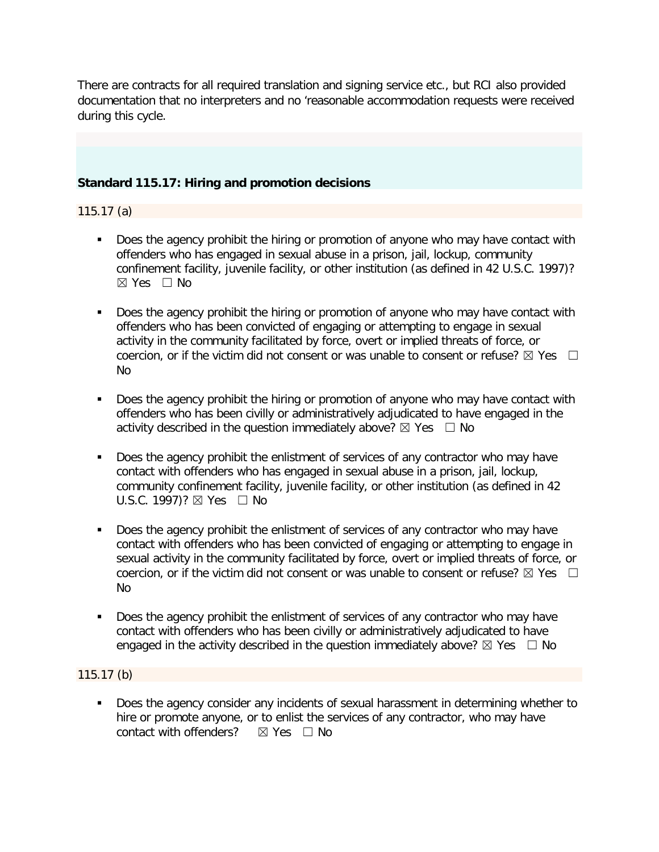There are contracts for all required translation and signing service etc., but RCI also provided documentation that no interpreters and no 'reasonable accommodation requests were received during this cycle.

### **Standard 115.17: Hiring and promotion decisions**

### 115.17 (a)

- Does the agency prohibit the hiring or promotion of anyone who may have contact with offenders who has engaged in sexual abuse in a prison, jail, lockup, community confinement facility, juvenile facility, or other institution (as defined in 42 U.S.C. 1997)? ☒ Yes ☐ No
- Does the agency prohibit the hiring or promotion of anyone who may have contact with offenders who has been convicted of engaging or attempting to engage in sexual activity in the community facilitated by force, overt or implied threats of force, or coercion, or if the victim did not consent or was unable to consent or refuse?  $\boxtimes$  Yes  $\Box$ No
- Does the agency prohibit the hiring or promotion of anyone who may have contact with offenders who has been civilly or administratively adjudicated to have engaged in the activity described in the question immediately above?  $\boxtimes$  Yes  $\Box$  No
- Does the agency prohibit the enlistment of services of any contractor who may have contact with offenders who has engaged in sexual abuse in a prison, jail, lockup, community confinement facility, juvenile facility, or other institution (as defined in 42 U.S.C. 1997)?  $\boxtimes$  Yes  $\Box$  No
- Does the agency prohibit the enlistment of services of any contractor who may have contact with offenders who has been convicted of engaging or attempting to engage in sexual activity in the community facilitated by force, overt or implied threats of force, or coercion, or if the victim did not consent or was unable to consent or refuse?  $\boxtimes$  Yes  $\Box$ No
- Does the agency prohibit the enlistment of services of any contractor who may have contact with offenders who has been civilly or administratively adjudicated to have engaged in the activity described in the question immediately above?  $\boxtimes$  Yes  $\Box$  No

# 115.17 (b)

**Does the agency consider any incidents of sexual harassment in determining whether to** hire or promote anyone, or to enlist the services of any contractor, who may have contact with offenders?  $\boxtimes$  Yes  $\Box$  No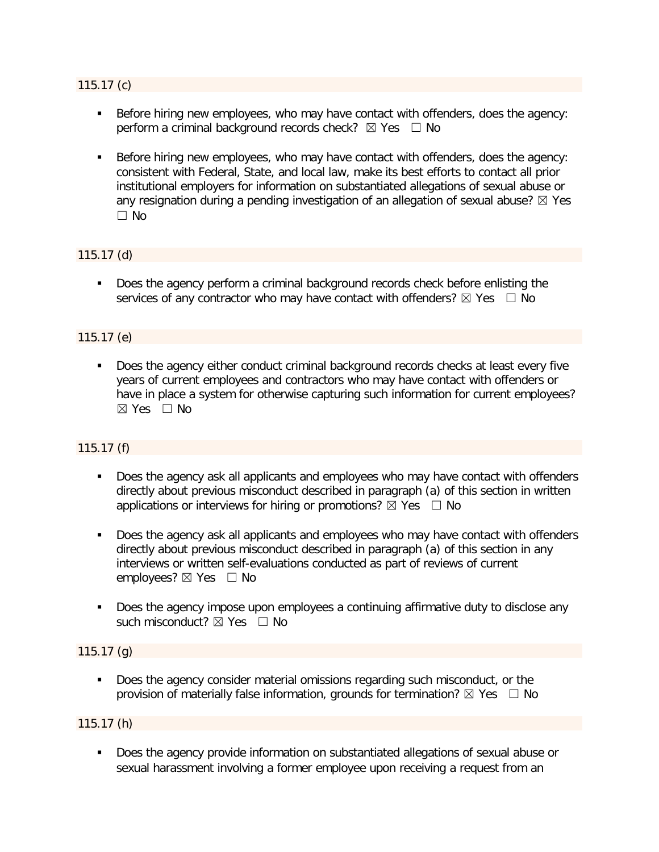#### 115.17 (c)

- Before hiring new employees, who may have contact with offenders, does the agency: perform a criminal background records check?  $\boxtimes$  Yes  $\Box$  No
- Before hiring new employees, who may have contact with offenders, does the agency: consistent with Federal, State, and local law, make its best efforts to contact all prior institutional employers for information on substantiated allegations of sexual abuse or any resignation during a pending investigation of an allegation of sexual abuse?  $\boxtimes$  Yes ☐ No

### 115.17 (d)

Does the agency perform a criminal background records check before enlisting the services of any contractor who may have contact with offenders?  $\boxtimes$  Yes  $\Box$  No

### 115.17 (e)

Does the agency either conduct criminal background records checks at least every five years of current employees and contractors who may have contact with offenders or have in place a system for otherwise capturing such information for current employees? ☒ Yes ☐ No

#### 115.17 (f)

- Does the agency ask all applicants and employees who may have contact with offenders directly about previous misconduct described in paragraph (a) of this section in written applications or interviews for hiring or promotions?  $\boxtimes$  Yes  $\Box$  No
- Does the agency ask all applicants and employees who may have contact with offenders directly about previous misconduct described in paragraph (a) of this section in any interviews or written self-evaluations conducted as part of reviews of current employees?  $\boxtimes$  Yes  $\Box$  No
- Does the agency impose upon employees a continuing affirmative duty to disclose any such misconduct? ⊠ Yes □ No

#### 115.17 (g)

Does the agency consider material omissions regarding such misconduct, or the provision of materially false information, grounds for termination?  $\boxtimes$  Yes  $\Box$  No

#### 115.17 (h)

 Does the agency provide information on substantiated allegations of sexual abuse or sexual harassment involving a former employee upon receiving a request from an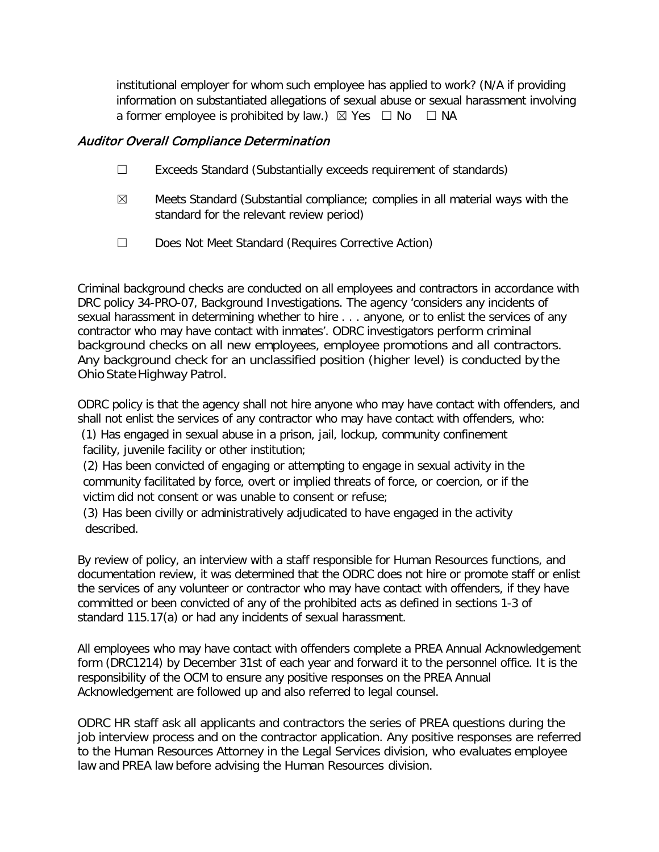institutional employer for whom such employee has applied to work? (N/A if providing information on substantiated allegations of sexual abuse or sexual harassment involving a former employee is prohibited by law.)  $\boxtimes$  Yes  $\Box$  No  $\Box$  NA

### Auditor Overall Compliance Determination

- ☐ Exceeds Standard (Substantially exceeds requirement of standards)
- $\boxtimes$  Meets Standard (Substantial compliance; complies in all material ways with the standard for the relevant review period)
- ☐ Does Not Meet Standard (Requires Corrective Action)

Criminal background checks are conducted on all employees and contractors in accordance with DRC policy 34-PRO-07, Background Investigations. The agency 'considers any incidents of sexual harassment in determining whether to hire . . . anyone, or to enlist the services of any contractor who may have contact with inmates'. ODRC investigators perform criminal background checks on all new employees, employee promotions and all contractors. Any background check for an unclassified position (higher level) is conducted by the Ohio State Highway Patrol.

ODRC policy is that the agency shall not hire anyone who may have contact with offenders, and shall not enlist the services of any contractor who may have contact with offenders, who:

(1) Has engaged in sexual abuse in a prison, jail, lockup, community confinement facility, juvenile facility or other institution;

(2) Has been convicted of engaging or attempting to engage in sexual activity in the community facilitated by force, overt or implied threats of force, or coercion, or if the victim did not consent or was unable to consent or refuse;

(3) Has been civilly or administratively adjudicated to have engaged in the activity described.

By review of policy, an interview with a staff responsible for Human Resources functions, and documentation review, it was determined that the ODRC does not hire or promote staff or enlist the services of any volunteer or contractor who may have contact with offenders, if they have committed or been convicted of any of the prohibited acts as defined in sections 1-3 of standard 115.17(a) or had any incidents of sexual harassment.

All employees who may have contact with offenders complete a PREA Annual Acknowledgement form (DRC1214) by December 31st of each year and forward it to the personnel office. It is the responsibility of the OCM to ensure any positive responses on the PREA Annual Acknowledgement are followed up and also referred to legal counsel.

ODRC HR staff ask all applicants and contractors the series of PREA questions during the job interview process and on the contractor application. Any positive responses are referred to the Human Resources Attorney in the Legal Services division, who evaluates employee law and PREA law before advising the Human Resources division.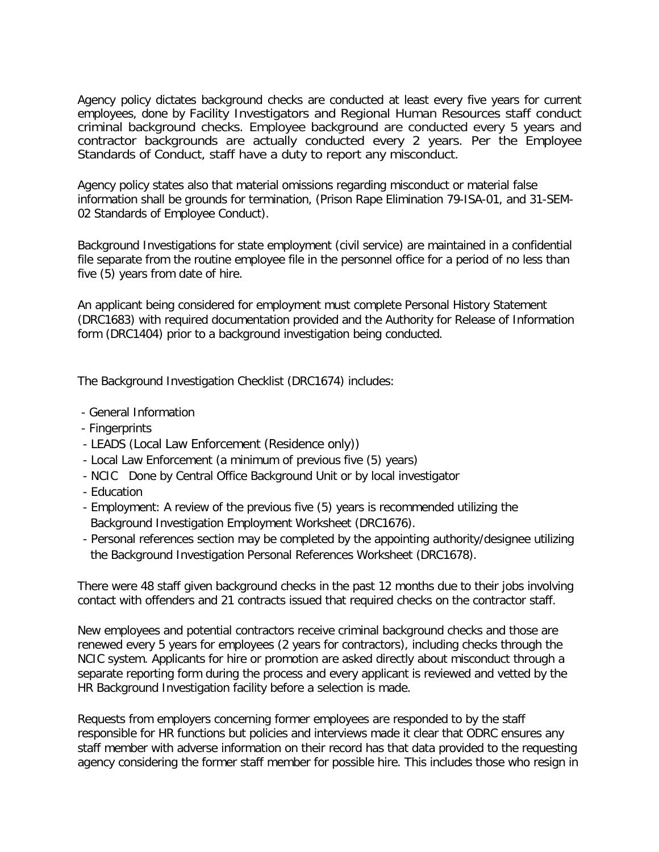Agency policy dictates background checks are conducted at least every five years for current employees, done by Facility Investigators and Regional Human Resources staff conduct criminal background checks. Employee background are conducted every 5 years and contractor backgrounds are actually conducted every 2 years. Per the Employee Standards of Conduct, staff have a duty to report any misconduct.

Agency policy states also that material omissions regarding misconduct or material false information shall be grounds for termination, (Prison Rape Elimination 79-ISA-01, and 31-SEM-02 Standards of Employee Conduct).

Background Investigations for state employment (civil service) are maintained in a confidential file separate from the routine employee file in the personnel office for a period of no less than five (5) years from date of hire.

An applicant being considered for employment must complete Personal History Statement (DRC1683) with required documentation provided and the Authority for Release of Information form (DRC1404) prior to a background investigation being conducted.

The Background Investigation Checklist (DRC1674) includes:

- General Information
- Fingerprints
- LEADS (Local Law Enforcement (Residence only))
- Local Law Enforcement (a minimum of previous five (5) years)
- NCIC Done by Central Office Background Unit or by local investigator
- Education
- Employment: A review of the previous five (5) years is recommended utilizing the Background Investigation Employment Worksheet (DRC1676).
- Personal references section may be completed by the appointing authority/designee utilizing the Background Investigation Personal References Worksheet (DRC1678).

There were 48 staff given background checks in the past 12 months due to their jobs involving contact with offenders and 21 contracts issued that required checks on the contractor staff.

New employees and potential contractors receive criminal background checks and those are renewed every 5 years for employees (2 years for contractors), including checks through the NCIC system. Applicants for hire or promotion are asked directly about misconduct through a separate reporting form during the process and every applicant is reviewed and vetted by the HR Background Investigation facility before a selection is made.

Requests from employers concerning former employees are responded to by the staff responsible for HR functions but policies and interviews made it clear that ODRC ensures any staff member with adverse information on their record has that data provided to the requesting agency considering the former staff member for possible hire. This includes those who resign in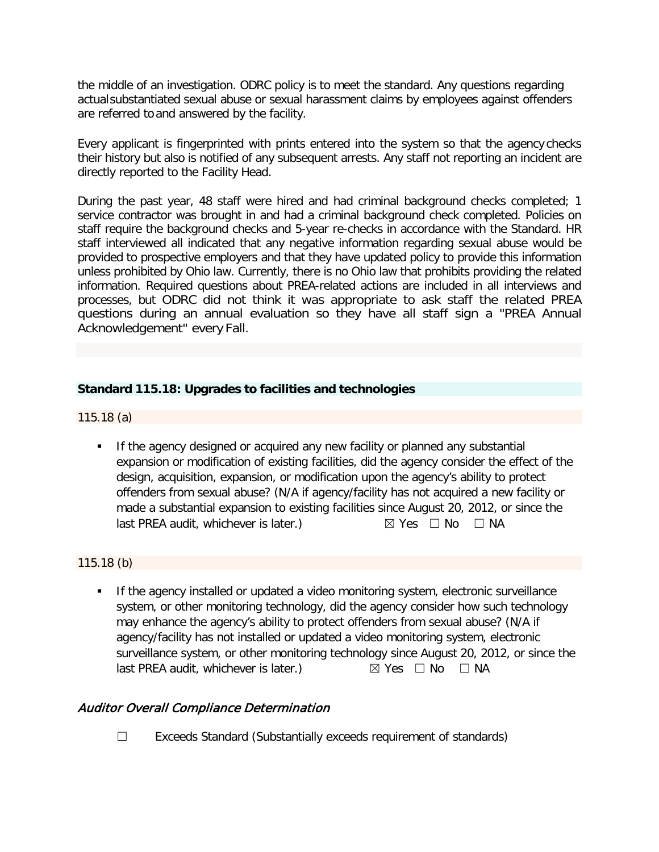the middle of an investigation. ODRC policy is to meet the standard. Any questions regarding actualsubstantiated sexual abuse or sexual harassment claims by employees against offenders are referred to and answered by the facility.

Every applicant is fingerprinted with prints entered into the system so that the agency checks their history but also is notified of any subsequent arrests. Any staff not reporting an incident are directly reported to the Facility Head.

During the past year, 48 staff were hired and had criminal background checks completed; 1 service contractor was brought in and had a criminal background check completed. Policies on staff require the background checks and 5-year re-checks in accordance with the Standard. HR staff interviewed all indicated that any negative information regarding sexual abuse would be provided to prospective employers and that they have updated policy to provide this information unless prohibited by Ohio law. Currently, there is no Ohio law that prohibits providing the related information. Required questions about PREA-related actions are included in all interviews and processes, but ODRC did not think it was appropriate to ask staff the related PREA questions during an annual evaluation so they have all staff sign a "PREA Annual Acknowledgement" every Fall.

### **Standard 115.18: Upgrades to facilities and technologies**

115.18 (a)

 If the agency designed or acquired any new facility or planned any substantial expansion or modification of existing facilities, did the agency consider the effect of the design, acquisition, expansion, or modification upon the agency's ability to protect offenders from sexual abuse? (N/A if agency/facility has not acquired a new facility or made a substantial expansion to existing facilities since August 20, 2012, or since the last PREA audit, whichever is later.)  $\boxtimes$  Yes  $\Box$  No  $\Box$  NA

### 115.18 (b)

**If the agency installed or updated a video monitoring system, electronic surveillance** system, or other monitoring technology, did the agency consider how such technology may enhance the agency's ability to protect offenders from sexual abuse? (N/A if agency/facility has not installed or updated a video monitoring system, electronic surveillance system, or other monitoring technology since August 20, 2012, or since the last PREA audit, whichever is later.)  $\boxtimes$  Yes  $\Box$  No  $\Box$  NA

# Auditor Overall Compliance Determination

☐ Exceeds Standard (Substantially exceeds requirement of standards)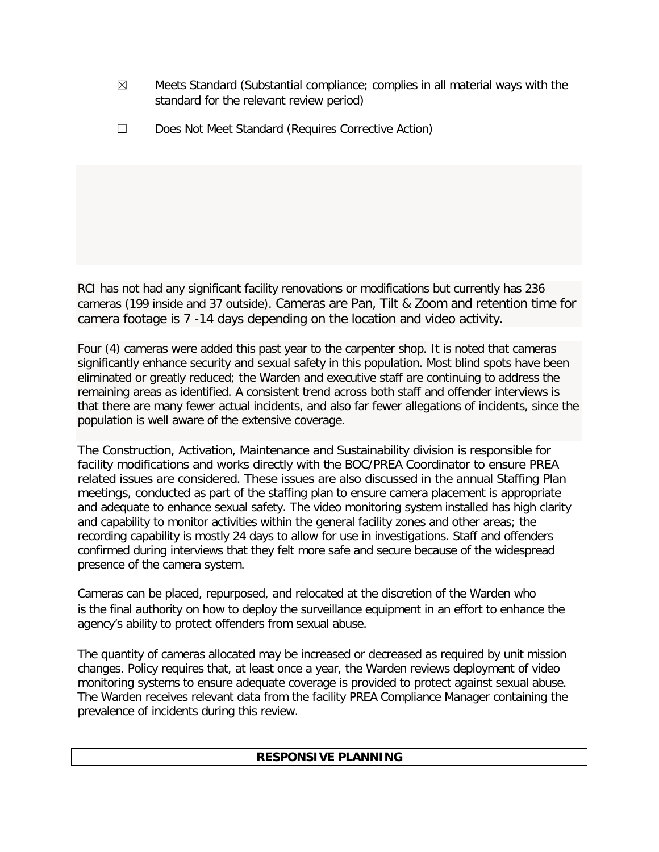- $\boxtimes$  Meets Standard (Substantial compliance; complies in all material ways with the standard for the relevant review period)
- ☐ Does Not Meet Standard (Requires Corrective Action)

RCI has not had any significant facility renovations or modifications but currently has 236 cameras (199 inside and 37 outside). Cameras are Pan, Tilt & Zoom and retention time for camera footage is 7 -14 days depending on the location and video activity.

Four (4) cameras were added this past year to the carpenter shop. It is noted that cameras significantly enhance security and sexual safety in this population. Most blind spots have been eliminated or greatly reduced; the Warden and executive staff are continuing to address the remaining areas as identified. A consistent trend across both staff and offender interviews is that there are many fewer actual incidents, and also far fewer allegations of incidents, since the population is well aware of the extensive coverage.

The Construction, Activation, Maintenance and Sustainability division is responsible for facility modifications and works directly with the BOC/PREA Coordinator to ensure PREA related issues are considered. These issues are also discussed in the annual Staffing Plan meetings, conducted as part of the staffing plan to ensure camera placement is appropriate and adequate to enhance sexual safety. The video monitoring system installed has high clarity and capability to monitor activities within the general facility zones and other areas; the recording capability is mostly 24 days to allow for use in investigations. Staff and offenders confirmed during interviews that they felt more safe and secure because of the widespread presence of the camera system.

Cameras can be placed, repurposed, and relocated at the discretion of the Warden who is the final authority on how to deploy the surveillance equipment in an effort to enhance the agency's ability to protect offenders from sexual abuse.

The quantity of cameras allocated may be increased or decreased as required by unit mission changes. Policy requires that, at least once a year, the Warden reviews deployment of video monitoring systems to ensure adequate coverage is provided to protect against sexual abuse. The Warden receives relevant data from the facility PREA Compliance Manager containing the prevalence of incidents during this review.

# **RESPONSIVE PLANNING**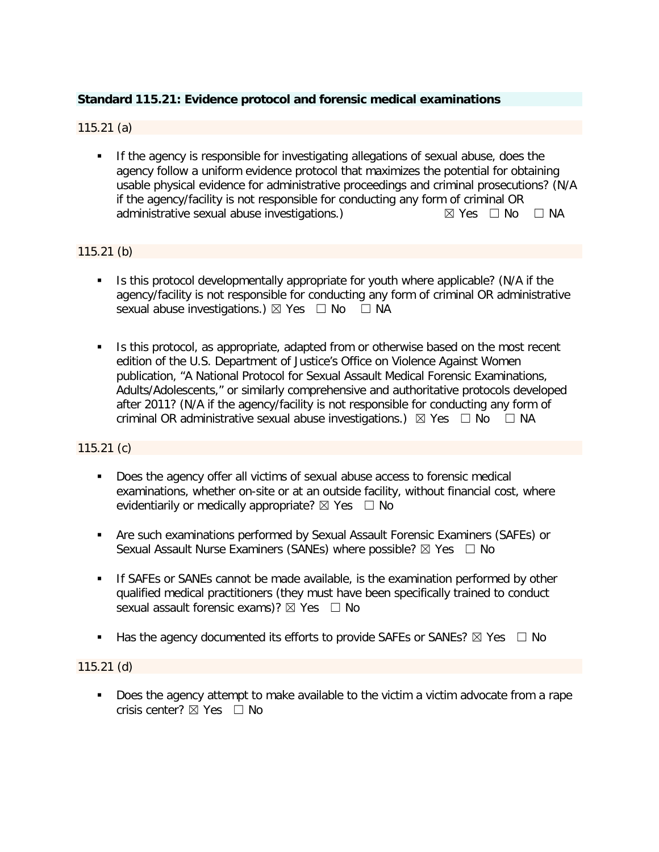### **Standard 115.21: Evidence protocol and forensic medical examinations**

### 115.21 (a)

 If the agency is responsible for investigating allegations of sexual abuse, does the agency follow a uniform evidence protocol that maximizes the potential for obtaining usable physical evidence for administrative proceedings and criminal prosecutions? (N/A if the agency/facility is not responsible for conducting any form of criminal OR administrative sexual abuse investigations.)  $\boxtimes$  Yes  $\Box$  No  $\Box$  NA

#### 115.21 (b)

- Is this protocol developmentally appropriate for youth where applicable? (N/A if the agency/facility is not responsible for conducting any form of criminal OR administrative sexual abuse investigations.)  $\boxtimes$  Yes  $\Box$  No  $\Box$  NA
- If Is this protocol, as appropriate, adapted from or otherwise based on the most recent edition of the U.S. Department of Justice's Office on Violence Against Women publication, "A National Protocol for Sexual Assault Medical Forensic Examinations, Adults/Adolescents," or similarly comprehensive and authoritative protocols developed after 2011? (N/A if the agency/facility is not responsible for conducting any form of criminal OR administrative sexual abuse investigations.)  $\boxtimes$  Yes  $\Box$  No  $\Box$  NA

#### 115.21 (c)

- Does the agency offer all victims of sexual abuse access to forensic medical examinations, whether on-site or at an outside facility, without financial cost, where evidentiarily or medically appropriate?  $\boxtimes$  Yes  $\Box$  No
- Are such examinations performed by Sexual Assault Forensic Examiners (SAFEs) or Sexual Assault Nurse Examiners (SANEs) where possible?  $\boxtimes$  Yes  $\Box$  No
- **If SAFEs or SANEs cannot be made available, is the examination performed by other** qualified medical practitioners (they must have been specifically trained to conduct sexual assault forensic exams)?  $\boxtimes$  Yes  $\Box$  No
- **Has the agency documented its efforts to provide SAFEs or SANEs?**  $\boxtimes$  Yes  $\Box$  No

115.21 (d)

 Does the agency attempt to make available to the victim a victim advocate from a rape crisis center?  $\boxtimes$  Yes  $\Box$  No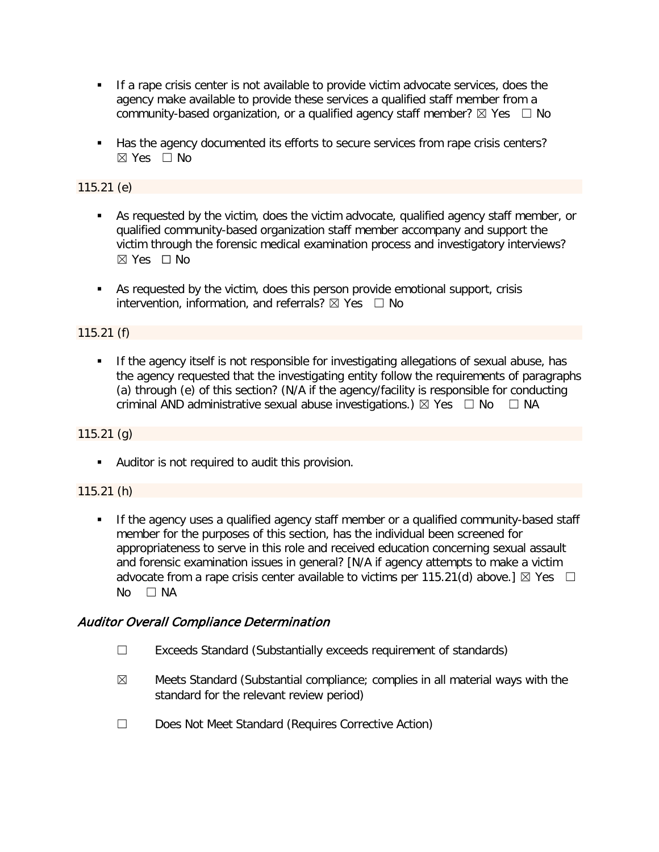- If a rape crisis center is not available to provide victim advocate services, does the agency make available to provide these services a qualified staff member from a community-based organization, or a qualified agency staff member?  $\boxtimes$  Yes  $\Box$  No
- Has the agency documented its efforts to secure services from rape crisis centers? ☒ Yes ☐ No

115.21 (e)

- As requested by the victim, does the victim advocate, qualified agency staff member, or qualified community-based organization staff member accompany and support the victim through the forensic medical examination process and investigatory interviews? ☒ Yes ☐ No
- As requested by the victim, does this person provide emotional support, crisis intervention, information, and referrals?  $\boxtimes$  Yes  $\Box$  No

### 115.21 (f)

**If the agency itself is not responsible for investigating allegations of sexual abuse, has** the agency requested that the investigating entity follow the requirements of paragraphs (a) through (e) of this section? (N/A if the agency/facility is responsible for conducting criminal AND administrative sexual abuse investigations.)  $\boxtimes$  Yes  $\Box$  No  $\Box$  NA

### 115.21 (g)

Auditor is not required to audit this provision.

### 115.21 (h)

 If the agency uses a qualified agency staff member or a qualified community-based staff member for the purposes of this section, has the individual been screened for appropriateness to serve in this role and received education concerning sexual assault and forensic examination issues in general? [N/A if agency attempts to make a victim advocate from a rape crisis center available to victims per 115.21(d) above.]  $\boxtimes$  Yes  $\Box$  $No$   $\Box$  NA

# Auditor Overall Compliance Determination

- ☐ Exceeds Standard (Substantially exceeds requirement of standards)
- $\boxtimes$  Meets Standard (Substantial compliance; complies in all material ways with the standard for the relevant review period)
- ☐ Does Not Meet Standard (Requires Corrective Action)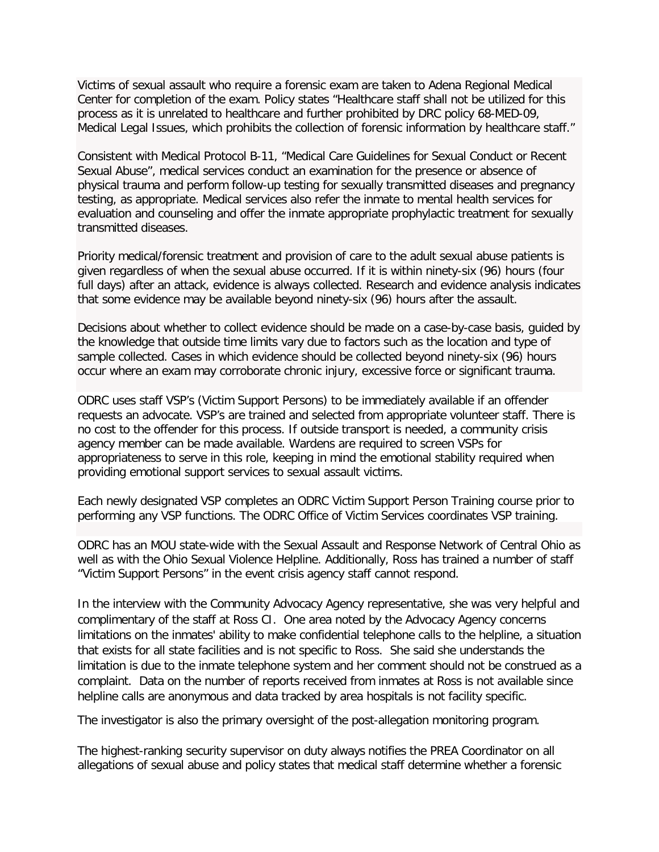Victims of sexual assault who require a forensic exam are taken to Adena Regional Medical Center for completion of the exam. Policy states "Healthcare staff shall not be utilized for this process as it is unrelated to healthcare and further prohibited by DRC policy 68-MED-09, Medical Legal Issues, which prohibits the collection of forensic information by healthcare staff."

Consistent with Medical Protocol B-11, "Medical Care Guidelines for Sexual Conduct or Recent Sexual Abuse", medical services conduct an examination for the presence or absence of physical trauma and perform follow-up testing for sexually transmitted diseases and pregnancy testing, as appropriate. Medical services also refer the inmate to mental health services for evaluation and counseling and offer the inmate appropriate prophylactic treatment for sexually transmitted diseases.

Priority medical/forensic treatment and provision of care to the adult sexual abuse patients is given regardless of when the sexual abuse occurred. If it is within ninety-six (96) hours (four full days) after an attack, evidence is always collected. Research and evidence analysis indicates that some evidence may be available beyond ninety-six (96) hours after the assault.

Decisions about whether to collect evidence should be made on a case-by-case basis, guided by the knowledge that outside time limits vary due to factors such as the location and type of sample collected. Cases in which evidence should be collected beyond ninety-six (96) hours occur where an exam may corroborate chronic injury, excessive force or significant trauma.

ODRC uses staff VSP's (Victim Support Persons) to be immediately available if an offender requests an advocate. VSP's are trained and selected from appropriate volunteer staff. There is no cost to the offender for this process. If outside transport is needed, a community crisis agency member can be made available. Wardens are required to screen VSPs for appropriateness to serve in this role, keeping in mind the emotional stability required when providing emotional support services to sexual assault victims.

Each newly designated VSP completes an ODRC Victim Support Person Training course prior to performing any VSP functions. The ODRC Office of Victim Services coordinates VSP training.

ODRC has an MOU state-wide with the Sexual Assault and Response Network of Central Ohio as well as with the Ohio Sexual Violence Helpline. Additionally, Ross has trained a number of staff "Victim Support Persons" in the event crisis agency staff cannot respond.

In the interview with the Community Advocacy Agency representative, she was very helpful and complimentary of the staff at Ross CI. One area noted by the Advocacy Agency concerns limitations on the inmates' ability to make confidential telephone calls to the helpline, a situation that exists for all state facilities and is not specific to Ross. She said she understands the limitation is due to the inmate telephone system and her comment should not be construed as a complaint. Data on the number of reports received from inmates at Ross is not available since helpline calls are anonymous and data tracked by area hospitals is not facility specific.

The investigator is also the primary oversight of the post-allegation monitoring program.

The highest-ranking security supervisor on duty always notifies the PREA Coordinator on all allegations of sexual abuse and policy states that medical staff determine whether a forensic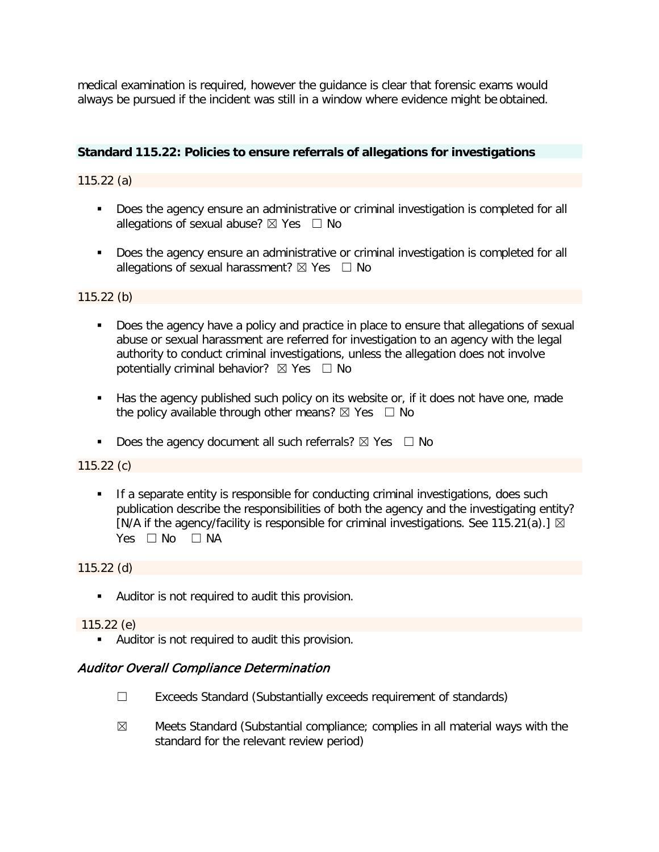medical examination is required, however the guidance is clear that forensic exams would always be pursued if the incident was still in a window where evidence might be obtained.

#### **Standard 115.22: Policies to ensure referrals of allegations for investigations**

115.22 (a)

- Does the agency ensure an administrative or criminal investigation is completed for all allegations of sexual abuse?  $\boxtimes$  Yes  $\Box$  No
- **Does the agency ensure an administrative or criminal investigation is completed for all** allegations of sexual harassment?  $\boxtimes$  Yes  $\Box$  No

115.22 (b)

- Does the agency have a policy and practice in place to ensure that allegations of sexual abuse or sexual harassment are referred for investigation to an agency with the legal authority to conduct criminal investigations, unless the allegation does not involve potentially criminal behavior?  $\boxtimes$  Yes  $\Box$  No
- Has the agency published such policy on its website or, if it does not have one, made the policy available through other means?  $\boxtimes$  Yes  $\Box$  No
- Does the agency document all such referrals?  $\boxtimes$  Yes  $\Box$  No

115.22 (c)

**If a separate entity is responsible for conducting criminal investigations, does such** publication describe the responsibilities of both the agency and the investigating entity? [N/A if the agency/facility is responsible for criminal investigations. See 115.21(a).]  $\boxtimes$ Yes □ No □ NA

115.22 (d)

Auditor is not required to audit this provision.

115.22 (e)

Auditor is not required to audit this provision.

### Auditor Overall Compliance Determination

- ☐ Exceeds Standard (Substantially exceeds requirement of standards)
- $\boxtimes$  Meets Standard (Substantial compliance; complies in all material ways with the standard for the relevant review period)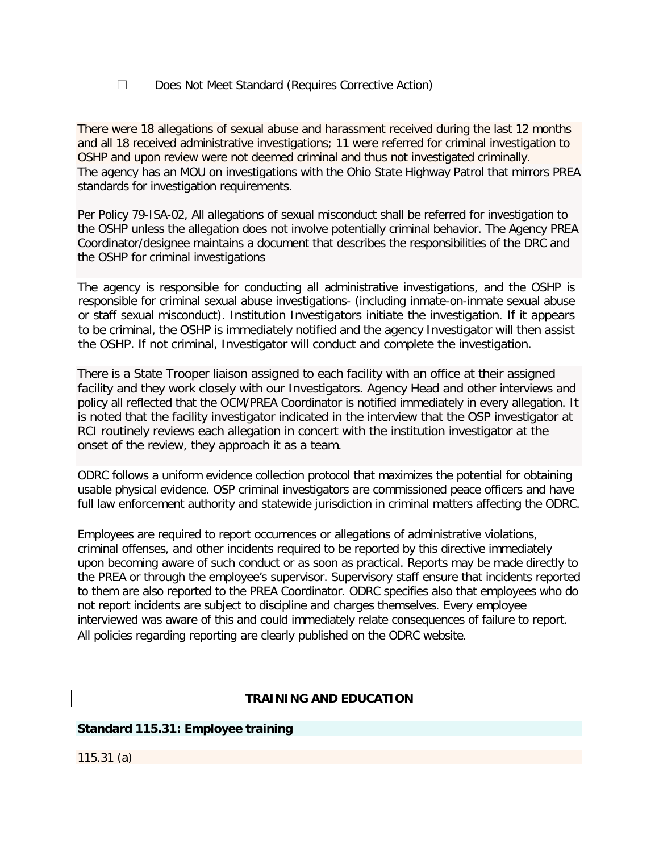### ☐ Does Not Meet Standard (Requires Corrective Action)

There were 18 allegations of sexual abuse and harassment received during the last 12 months and all 18 received administrative investigations; 11 were referred for criminal investigation to OSHP and upon review were not deemed criminal and thus not investigated criminally. The agency has an MOU on investigations with the Ohio State Highway Patrol that mirrors PREA standards for investigation requirements.

Per Policy 79-ISA-02, All allegations of sexual misconduct shall be referred for investigation to the OSHP unless the allegation does not involve potentially criminal behavior. The Agency PREA Coordinator/designee maintains a document that describes the responsibilities of the DRC and the OSHP for criminal investigations

The agency is responsible for conducting all administrative investigations, and the OSHP is responsible for criminal sexual abuse investigations- (including inmate-on-inmate sexual abuse or staff sexual misconduct). Institution Investigators initiate the investigation. If it appears to be criminal, the OSHP is immediately notified and the agency Investigator will then assist the OSHP. If not criminal, Investigator will conduct and complete the investigation.

There is a State Trooper liaison assigned to each facility with an office at their assigned facility and they work closely with our Investigators. Agency Head and other interviews and policy all reflected that the OCM/PREA Coordinator is notified immediately in every allegation. It is noted that the facility investigator indicated in the interview that the OSP investigator at RCI routinely reviews each allegation in concert with the institution investigator at the onset of the review, they approach it as a team.

ODRC follows a uniform evidence collection protocol that maximizes the potential for obtaining usable physical evidence. OSP criminal investigators are commissioned peace officers and have full law enforcement authority and statewide jurisdiction in criminal matters affecting the ODRC.

Employees are required to report occurrences or allegations of administrative violations, criminal offenses, and other incidents required to be reported by this directive immediately upon becoming aware of such conduct or as soon as practical. Reports may be made directly to the PREA or through the employee's supervisor. Supervisory staff ensure that incidents reported to them are also reported to the PREA Coordinator. ODRC specifies also that employees who do not report incidents are subject to discipline and charges themselves. Every employee interviewed was aware of this and could immediately relate consequences of failure to report. All policies regarding reporting are clearly published on the ODRC website.

# **TRAINING AND EDUCATION**

### **Standard 115.31: Employee training**

115.31 (a)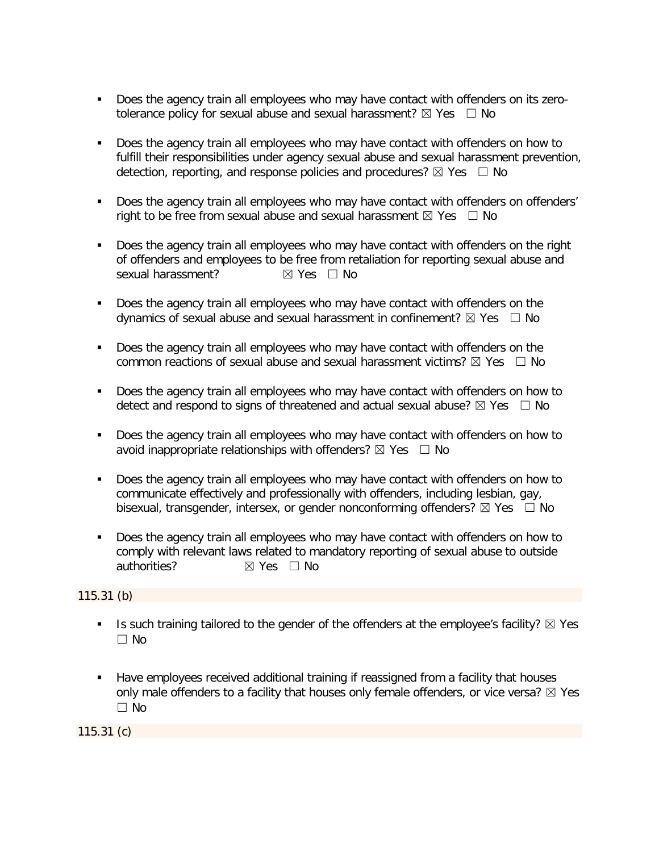- Does the agency train all employees who may have contact with offenders on its zerotolerance policy for sexual abuse and sexual harassment?  $\boxtimes$  Yes  $\Box$  No
- Does the agency train all employees who may have contact with offenders on how to fulfill their responsibilities under agency sexual abuse and sexual harassment prevention, detection, reporting, and response policies and procedures?  $\boxtimes$  Yes  $\Box$  No
- Does the agency train all employees who may have contact with offenders on offenders' right to be free from sexual abuse and sexual harassment  $\boxtimes$  Yes  $\Box$  No
- Does the agency train all employees who may have contact with offenders on the right of offenders and employees to be free from retaliation for reporting sexual abuse and sexual harassment? <br> <del>⊠</del> Yes □ No
- Does the agency train all employees who may have contact with offenders on the dynamics of sexual abuse and sexual harassment in confinement?  $\boxtimes$  Yes  $\Box$  No
- Does the agency train all employees who may have contact with offenders on the common reactions of sexual abuse and sexual harassment victims?  $\boxtimes$  Yes  $\Box$  No
- Does the agency train all employees who may have contact with offenders on how to detect and respond to signs of threatened and actual sexual abuse?  $\boxtimes$  Yes  $\Box$  No
- Does the agency train all employees who may have contact with offenders on how to avoid inappropriate relationships with offenders?  $\boxtimes$  Yes  $\Box$  No
- Does the agency train all employees who may have contact with offenders on how to communicate effectively and professionally with offenders, including lesbian, gay, bisexual, transgender, intersex, or gender nonconforming offenders?  $\boxtimes$  Yes  $\Box$  No
- Does the agency train all employees who may have contact with offenders on how to comply with relevant laws related to mandatory reporting of sexual abuse to outside authorities? **⊠** Yes □ No

### 115.31 (b)

- Is such training tailored to the gender of the offenders at the employee's facility?  $\boxtimes$  Yes  $\Box$  No
- Have employees received additional training if reassigned from a facility that houses only male offenders to a facility that houses only female offenders, or vice versa?  $\boxtimes$  Yes ☐ No

115.31 (c)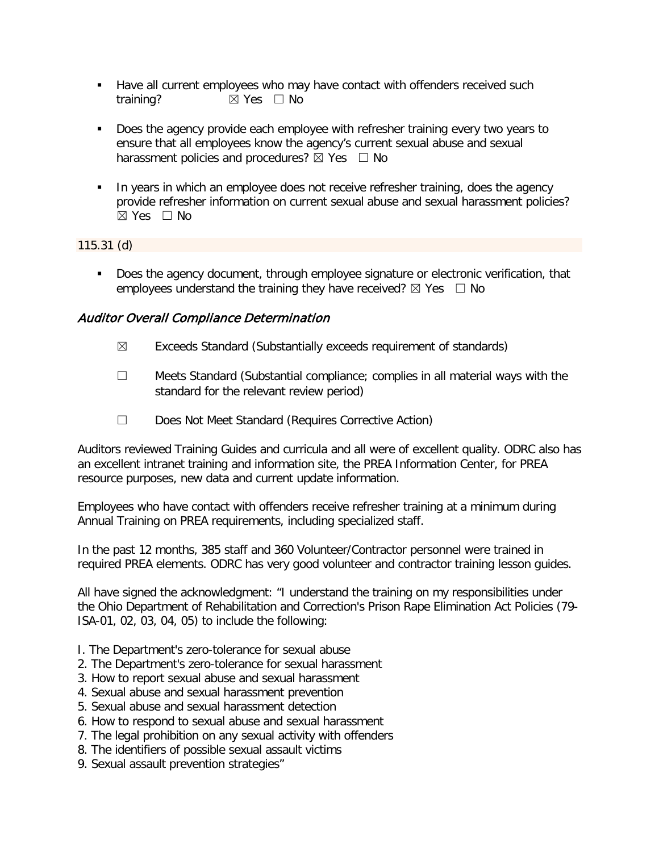- **Have all current employees who may have contact with offenders received such** training? **⊠** Yes □ No
- Does the agency provide each employee with refresher training every two years to ensure that all employees know the agency's current sexual abuse and sexual harassment policies and procedures?  $\boxtimes$  Yes  $\Box$  No
- In years in which an employee does not receive refresher training, does the agency provide refresher information on current sexual abuse and sexual harassment policies?  $\boxtimes$  Yes  $\Box$  No

## 115.31 (d)

Does the agency document, through employee signature or electronic verification, that employees understand the training they have received?  $\boxtimes$  Yes  $\Box$  No

# Auditor Overall Compliance Determination

- $\boxtimes$  Exceeds Standard (Substantially exceeds requirement of standards)
- ☐ Meets Standard (Substantial compliance; complies in all material ways with the standard for the relevant review period)
- ☐ Does Not Meet Standard (Requires Corrective Action)

Auditors reviewed Training Guides and curricula and all were of excellent quality. ODRC also has an excellent intranet training and information site, the PREA Information Center, for PREA resource purposes, new data and current update information.

Employees who have contact with offenders receive refresher training at a minimum during Annual Training on PREA requirements, including specialized staff.

In the past 12 months, 385 staff and 360 Volunteer/Contractor personnel were trained in required PREA elements. ODRC has very good volunteer and contractor training lesson guides.

All have signed the acknowledgment: "I understand the training on my responsibilities under the Ohio Department of Rehabilitation and Correction's Prison Rape Elimination Act Policies (79- ISA-01, 02, 03, 04, 05) to include the following:

- I. The Department's zero-tolerance for sexual abuse
- 2. The Department's zero-tolerance for sexual harassment
- 3. How to report sexual abuse and sexual harassment
- 4. Sexual abuse and sexual harassment prevention
- 5. Sexual abuse and sexual harassment detection
- 6. How to respond to sexual abuse and sexual harassment
- 7. The legal prohibition on any sexual activity with offenders
- 8. The identifiers of possible sexual assault victims
- 9. Sexual assault prevention strategies"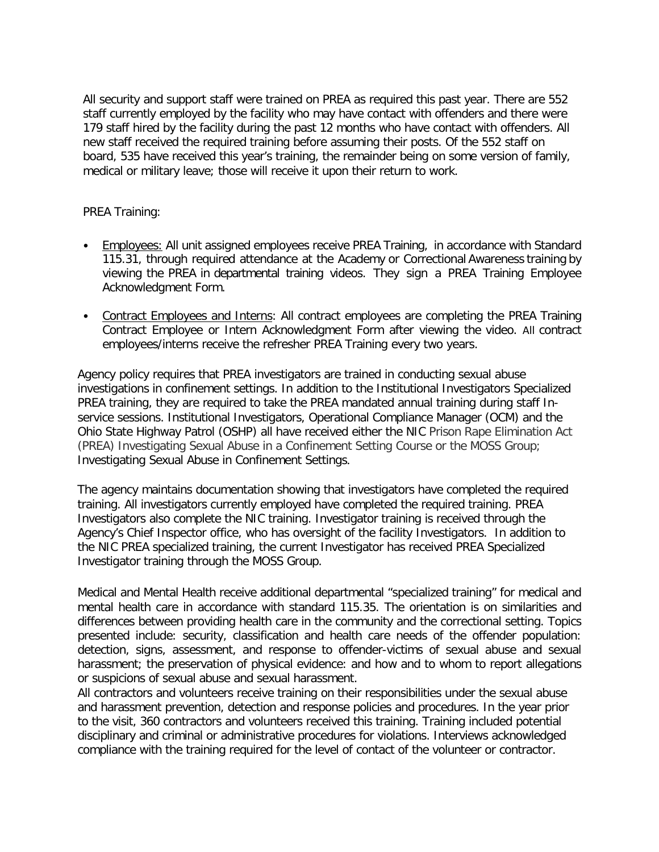All security and support staff were trained on PREA as required this past year. There are 552 staff currently employed by the facility who may have contact with offenders and there were 179 staff hired by the facility during the past 12 months who have contact with offenders. All new staff received the required training before assuming their posts. Of the 552 staff on board, 535 have received this year's training, the remainder being on some version of family, medical or military leave; those will receive it upon their return to work.

### PREA Training:

- Employees: All unit assigned employees receive PREA Training, in accordance with Standard 115.31, through required attendance at the Academy or Correctional Awareness training by viewing the PREA in departmental training videos. They sign a PREA Training Employee Acknowledgment Form.
- Contract Employees and Interns: All contract employees are completing the PREA Training Contract Employee or Intern Acknowledgment Form after viewing the video. All contract employees/interns receive the refresher PREA Training every two years.

Agency policy requires that PREA investigators are trained in conducting sexual abuse investigations in confinement settings. In addition to the Institutional Investigators Specialized PREA training, they are required to take the PREA mandated annual training during staff Inservice sessions. Institutional Investigators, Operational Compliance Manager (OCM) and the Ohio State Highway Patrol (OSHP) all have received either the NIC Prison Rape Elimination Act (PREA) Investigating Sexual Abuse in a Confinement Setting Course or the MOSS Group; Investigating Sexual Abuse in Confinement Settings.

The agency maintains documentation showing that investigators have completed the required training. All investigators currently employed have completed the required training. PREA Investigators also complete the NIC training. Investigator training is received through the Agency's Chief Inspector office, who has oversight of the facility Investigators. In addition to the NIC PREA specialized training, the current Investigator has received PREA Specialized Investigator training through the MOSS Group.

Medical and Mental Health receive additional departmental "specialized training" for medical and mental health care in accordance with standard 115.35. The orientation is on similarities and differences between providing health care in the community and the correctional setting. Topics presented include: security, classification and health care needs of the offender population: detection, signs, assessment, and response to offender-victims of sexual abuse and sexual harassment; the preservation of physical evidence: and how and to whom to report allegations or suspicions of sexual abuse and sexual harassment.

All contractors and volunteers receive training on their responsibilities under the sexual abuse and harassment prevention, detection and response policies and procedures. In the year prior to the visit, 360 contractors and volunteers received this training. Training included potential disciplinary and criminal or administrative procedures for violations. Interviews acknowledged compliance with the training required for the level of contact of the volunteer or contractor.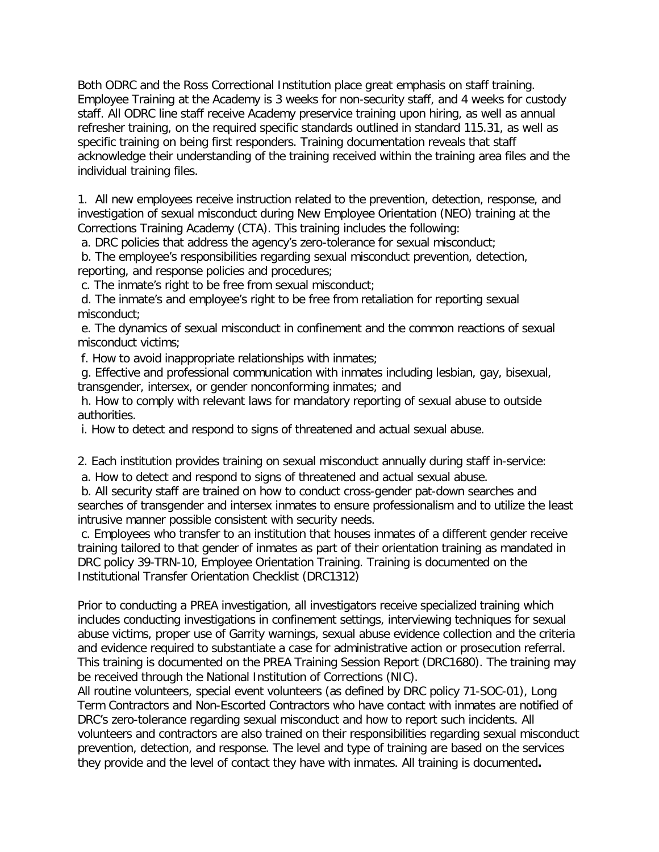Both ODRC and the Ross Correctional Institution place great emphasis on staff training. Employee Training at the Academy is 3 weeks for non-security staff, and 4 weeks for custody staff. All ODRC line staff receive Academy preservice training upon hiring, as well as annual refresher training, on the required specific standards outlined in standard 115.31, as well as specific training on being first responders. Training documentation reveals that staff acknowledge their understanding of the training received within the training area files and the individual training files.

1. All new employees receive instruction related to the prevention, detection, response, and investigation of sexual misconduct during New Employee Orientation (NEO) training at the Corrections Training Academy (CTA). This training includes the following:

a. DRC policies that address the agency's zero-tolerance for sexual misconduct;

b. The employee's responsibilities regarding sexual misconduct prevention, detection, reporting, and response policies and procedures;

c. The inmate's right to be free from sexual misconduct;

d. The inmate's and employee's right to be free from retaliation for reporting sexual misconduct;

e. The dynamics of sexual misconduct in confinement and the common reactions of sexual misconduct victims;

f. How to avoid inappropriate relationships with inmates;

g. Effective and professional communication with inmates including lesbian, gay, bisexual, transgender, intersex, or gender nonconforming inmates; and

h. How to comply with relevant laws for mandatory reporting of sexual abuse to outside authorities.

i. How to detect and respond to signs of threatened and actual sexual abuse.

2. Each institution provides training on sexual misconduct annually during staff in-service: a. How to detect and respond to signs of threatened and actual sexual abuse.

b. All security staff are trained on how to conduct cross-gender pat-down searches and searches of transgender and intersex inmates to ensure professionalism and to utilize the least intrusive manner possible consistent with security needs.

c. Employees who transfer to an institution that houses inmates of a different gender receive training tailored to that gender of inmates as part of their orientation training as mandated in DRC policy 39-TRN-10, Employee Orientation Training. Training is documented on the Institutional Transfer Orientation Checklist (DRC1312)

Prior to conducting a PREA investigation, all investigators receive specialized training which includes conducting investigations in confinement settings, interviewing techniques for sexual abuse victims, proper use of Garrity warnings, sexual abuse evidence collection and the criteria and evidence required to substantiate a case for administrative action or prosecution referral. This training is documented on the PREA Training Session Report (DRC1680). The training may be received through the National Institution of Corrections (NIC).

All routine volunteers, special event volunteers (as defined by DRC policy 71-SOC-01), Long Term Contractors and Non-Escorted Contractors who have contact with inmates are notified of DRC's zero-tolerance regarding sexual misconduct and how to report such incidents. All volunteers and contractors are also trained on their responsibilities regarding sexual misconduct prevention, detection, and response. The level and type of training are based on the services they provide and the level of contact they have with inmates. All training is documented**.**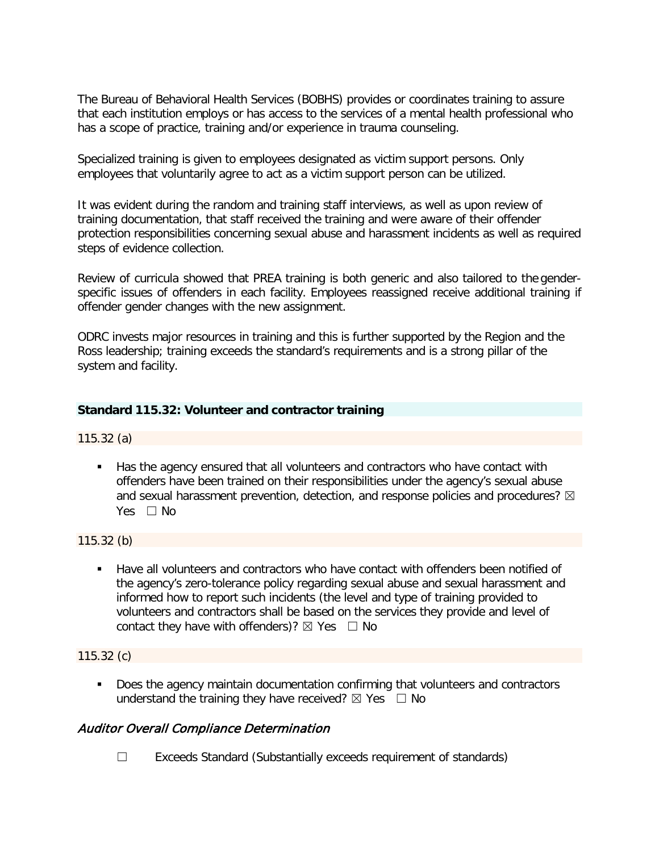The Bureau of Behavioral Health Services (BOBHS) provides or coordinates training to assure that each institution employs or has access to the services of a mental health professional who has a scope of practice, training and/or experience in trauma counseling.

Specialized training is given to employees designated as victim support persons. Only employees that voluntarily agree to act as a victim support person can be utilized.

It was evident during the random and training staff interviews, as well as upon review of training documentation, that staff received the training and were aware of their offender protection responsibilities concerning sexual abuse and harassment incidents as well as required steps of evidence collection.

Review of curricula showed that PREA training is both generic and also tailored to the genderspecific issues of offenders in each facility. Employees reassigned receive additional training if offender gender changes with the new assignment.

ODRC invests major resources in training and this is further supported by the Region and the Ross leadership; training exceeds the standard's requirements and is a strong pillar of the system and facility.

## **Standard 115.32: Volunteer and contractor training**

### 115.32 (a)

Has the agency ensured that all volunteers and contractors who have contact with offenders have been trained on their responsibilities under the agency's sexual abuse and sexual harassment prevention, detection, and response policies and procedures?  $\boxtimes$ Yes □ No

### 115.32 (b)

 Have all volunteers and contractors who have contact with offenders been notified of the agency's zero-tolerance policy regarding sexual abuse and sexual harassment and informed how to report such incidents (the level and type of training provided to volunteers and contractors shall be based on the services they provide and level of contact they have with offenders)?  $\boxtimes$  Yes  $\Box$  No

### 115.32 (c)

**Does the agency maintain documentation confirming that volunteers and contractors** understand the training they have received?  $\boxtimes$  Yes  $\Box$  No

## Auditor Overall Compliance Determination

☐ Exceeds Standard (Substantially exceeds requirement of standards)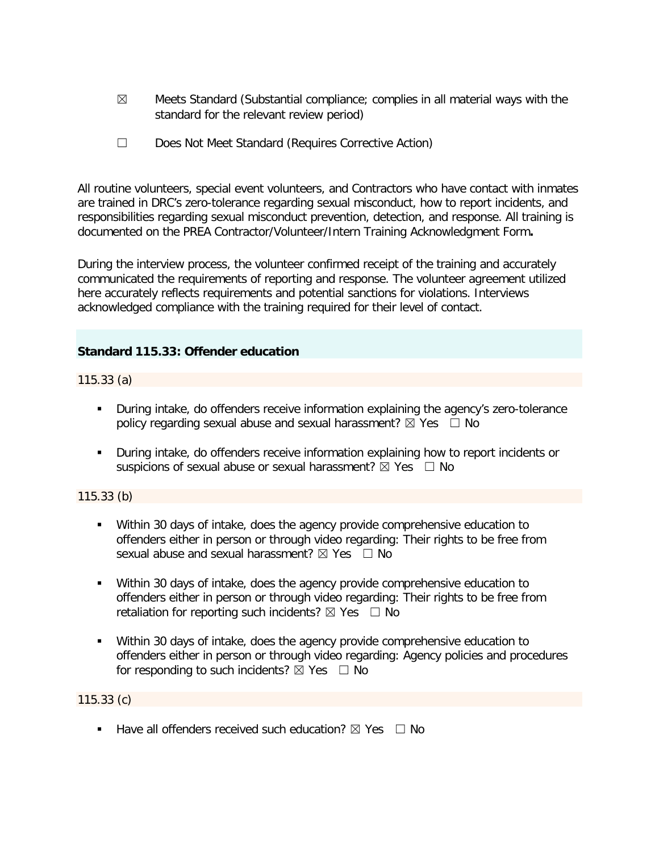- $\boxtimes$  Meets Standard (Substantial compliance; complies in all material ways with the standard for the relevant review period)
- ☐ Does Not Meet Standard (Requires Corrective Action)

All routine volunteers, special event volunteers, and Contractors who have contact with inmates are trained in DRC's zero-tolerance regarding sexual misconduct, how to report incidents, and responsibilities regarding sexual misconduct prevention, detection, and response. All training is documented on the PREA Contractor/Volunteer/Intern Training Acknowledgment Form**.** 

During the interview process, the volunteer confirmed receipt of the training and accurately communicated the requirements of reporting and response. The volunteer agreement utilized here accurately reflects requirements and potential sanctions for violations. Interviews acknowledged compliance with the training required for their level of contact.

## **Standard 115.33: Offender education**

115.33 (a)

- During intake, do offenders receive information explaining the agency's zero-tolerance policy regarding sexual abuse and sexual harassment?  $\boxtimes$  Yes  $\Box$  No
- During intake, do offenders receive information explaining how to report incidents or suspicions of sexual abuse or sexual harassment?  $\boxtimes$  Yes  $\Box$  No

## 115.33 (b)

- Within 30 days of intake, does the agency provide comprehensive education to offenders either in person or through video regarding: Their rights to be free from sexual abuse and sexual harassment?  $\boxtimes$  Yes  $\Box$  No
- Within 30 days of intake, does the agency provide comprehensive education to offenders either in person or through video regarding: Their rights to be free from retaliation for reporting such incidents?  $\boxtimes$  Yes  $\Box$  No
- Within 30 days of intake, does the agency provide comprehensive education to offenders either in person or through video regarding: Agency policies and procedures for responding to such incidents?  $\boxtimes$  Yes  $\Box$  No

115.33 (c)

**Have all offenders received such education?**  $\boxtimes$  Yes  $\Box$  No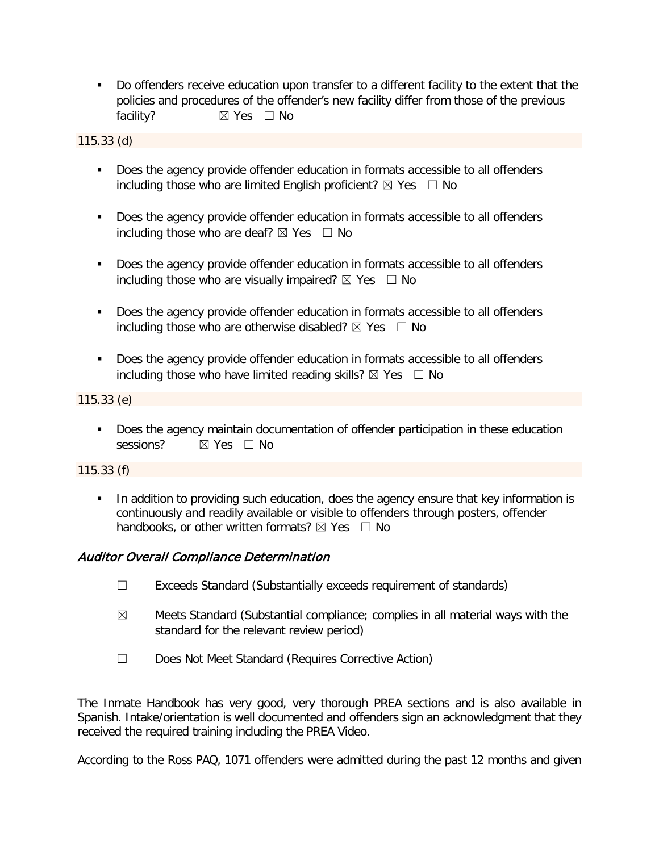Do offenders receive education upon transfer to a different facility to the extent that the policies and procedures of the offender's new facility differ from those of the previous facility? **⊠** Yes □ No

115.33 (d)

- **Does the agency provide offender education in formats accessible to all offenders** including those who are limited English proficient?  $\boxtimes$  Yes  $\Box$  No
- **Does the agency provide offender education in formats accessible to all offenders** including those who are deaf?  $\boxtimes$  Yes  $\Box$  No
- **Does the agency provide offender education in formats accessible to all offenders** including those who are visually impaired?  $\boxtimes$  Yes  $\Box$  No
- Does the agency provide offender education in formats accessible to all offenders including those who are otherwise disabled?  $\boxtimes$  Yes  $\Box$  No
- Does the agency provide offender education in formats accessible to all offenders including those who have limited reading skills?  $\boxtimes$  Yes  $\Box$  No

115.33 (e)

**Does the agency maintain documentation of offender participation in these education** sessions? ⊠ Yes □ No

115.33 (f)

In addition to providing such education, does the agency ensure that key information is continuously and readily available or visible to offenders through posters, offender handbooks, or other written formats?  $\boxtimes$  Yes  $\Box$  No

# Auditor Overall Compliance Determination

- ☐ Exceeds Standard (Substantially exceeds requirement of standards)
- $\boxtimes$  Meets Standard (Substantial compliance; complies in all material ways with the standard for the relevant review period)
- ☐ Does Not Meet Standard (Requires Corrective Action)

The Inmate Handbook has very good, very thorough PREA sections and is also available in Spanish. Intake/orientation is well documented and offenders sign an acknowledgment that they received the required training including the PREA Video.

According to the Ross PAQ, 1071 offenders were admitted during the past 12 months and given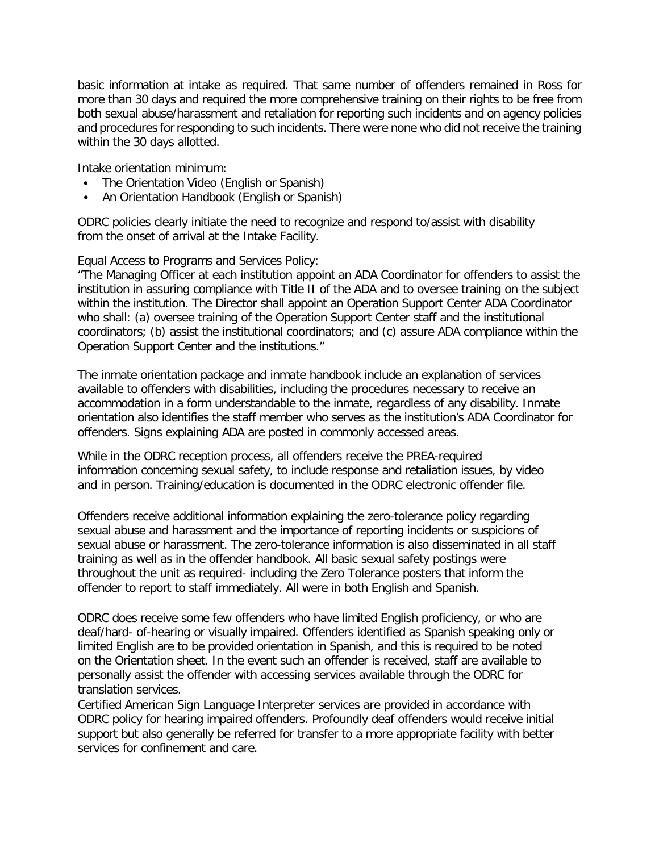basic information at intake as required. That same number of offenders remained in Ross for more than 30 days and required the more comprehensive training on their rights to be free from both sexual abuse/harassment and retaliation for reporting such incidents and on agency policies and procedures for responding to such incidents. There were none who did not receive the training within the 30 days allotted.

Intake orientation minimum:

- The Orientation Video (English or Spanish)
- An Orientation Handbook (English or Spanish)

ODRC policies clearly initiate the need to recognize and respond to/assist with disability from the onset of arrival at the Intake Facility.

Equal Access to Programs and Services Policy:

"The Managing Officer at each institution appoint an ADA Coordinator for offenders to assist the institution in assuring compliance with Title II of the ADA and to oversee training on the subject within the institution. The Director shall appoint an Operation Support Center ADA Coordinator who shall: (a) oversee training of the Operation Support Center staff and the institutional coordinators; (b) assist the institutional coordinators; and (c) assure ADA compliance within the Operation Support Center and the institutions."

The inmate orientation package and inmate handbook include an explanation of services available to offenders with disabilities, including the procedures necessary to receive an accommodation in a form understandable to the inmate, regardless of any disability. Inmate orientation also identifies the staff member who serves as the institution's ADA Coordinator for offenders. Signs explaining ADA are posted in commonly accessed areas.

While in the ODRC reception process, all offenders receive the PREA-required information concerning sexual safety, to include response and retaliation issues, by video and in person. Training/education is documented in the ODRC electronic offender file.

Offenders receive additional information explaining the zero-tolerance policy regarding sexual abuse and harassment and the importance of reporting incidents or suspicions of sexual abuse or harassment. The zero-tolerance information is also disseminated in all staff training as well as in the offender handbook. All basic sexual safety postings were throughout the unit as required- including the Zero Tolerance posters that inform the offender to report to staff immediately. All were in both English and Spanish.

ODRC does receive some few offenders who have limited English proficiency, or who are deaf/hard- of-hearing or visually impaired. Offenders identified as Spanish speaking only or limited English are to be provided orientation in Spanish, and this is required to be noted on the Orientation sheet. In the event such an offender is received, staff are available to personally assist the offender with accessing services available through the ODRC for translation services.

Certified American Sign Language Interpreter services are provided in accordance with ODRC policy for hearing impaired offenders. Profoundly deaf offenders would receive initial support but also generally be referred for transfer to a more appropriate facility with better services for confinement and care.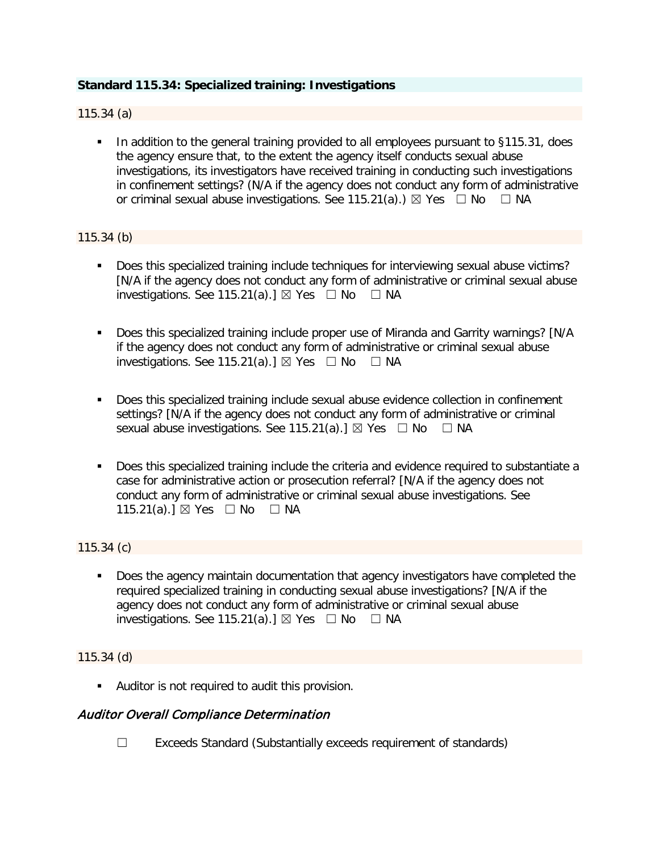# **Standard 115.34: Specialized training: Investigations**

115.34 (a)

■ In addition to the general training provided to all employees pursuant to §115.31, does the agency ensure that, to the extent the agency itself conducts sexual abuse investigations, its investigators have received training in conducting such investigations in confinement settings? (N/A if the agency does not conduct any form of administrative or criminal sexual abuse investigations. See 115.21(a).)  $\boxtimes$  Yes  $\Box$  No  $\Box$  NA

### 115.34 (b)

- Does this specialized training include techniques for interviewing sexual abuse victims? [N/A if the agency does not conduct any form of administrative or criminal sexual abuse investigations. See 115.21(a).]  $\boxtimes$  Yes  $\Box$  No  $\Box$  NA
- Does this specialized training include proper use of Miranda and Garrity warnings? [N/A if the agency does not conduct any form of administrative or criminal sexual abuse investigations. See 115.21(a).]  $\boxtimes$  Yes  $\Box$  No  $\Box$  NA
- **Does this specialized training include sexual abuse evidence collection in confinement** settings? [N/A if the agency does not conduct any form of administrative or criminal sexual abuse investigations. See 115.21(a).]  $\boxtimes$  Yes  $\Box$  No  $\Box$  NA
- Does this specialized training include the criteria and evidence required to substantiate a case for administrative action or prosecution referral? [N/A if the agency does not conduct any form of administrative or criminal sexual abuse investigations. See 115.21(a).] ⊠ Yes □ No □ NA

115.34 (c)

 Does the agency maintain documentation that agency investigators have completed the required specialized training in conducting sexual abuse investigations? [N/A if the agency does not conduct any form of administrative or criminal sexual abuse investigations. See 115.21(a).]  $\boxtimes$  Yes  $\Box$  No  $\Box$  NA

### 115.34 (d)

Auditor is not required to audit this provision.

## Auditor Overall Compliance Determination

☐ Exceeds Standard (Substantially exceeds requirement of standards)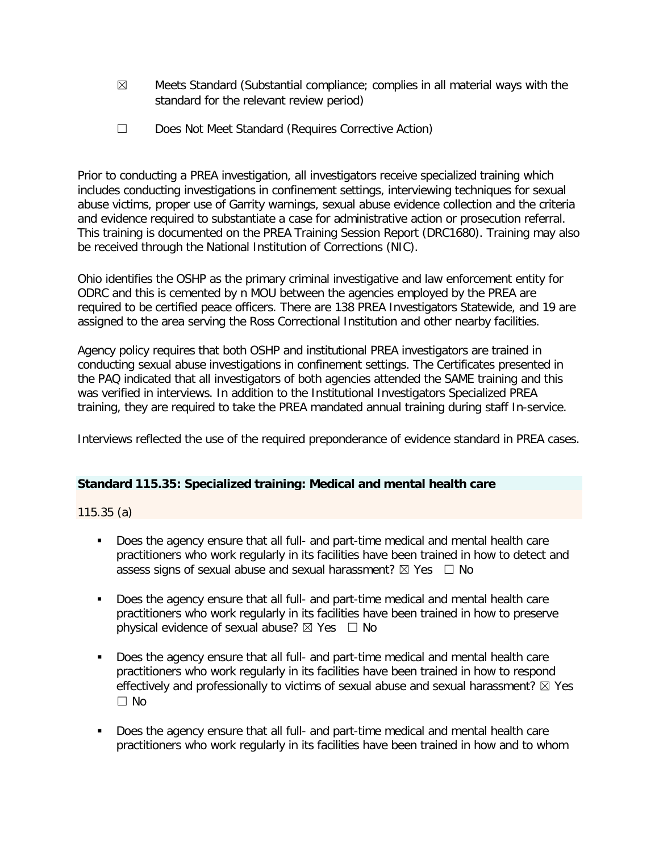- $\boxtimes$  Meets Standard (Substantial compliance; complies in all material ways with the standard for the relevant review period)
- ☐ Does Not Meet Standard (Requires Corrective Action)

Prior to conducting a PREA investigation, all investigators receive specialized training which includes conducting investigations in confinement settings, interviewing techniques for sexual abuse victims, proper use of Garrity warnings, sexual abuse evidence collection and the criteria and evidence required to substantiate a case for administrative action or prosecution referral. This training is documented on the PREA Training Session Report (DRC1680). Training may also be received through the National Institution of Corrections (NIC).

Ohio identifies the OSHP as the primary criminal investigative and law enforcement entity for ODRC and this is cemented by n MOU between the agencies employed by the PREA are required to be certified peace officers. There are 138 PREA Investigators Statewide, and 19 are assigned to the area serving the Ross Correctional Institution and other nearby facilities.

Agency policy requires that both OSHP and institutional PREA investigators are trained in conducting sexual abuse investigations in confinement settings. The Certificates presented in the PAQ indicated that all investigators of both agencies attended the SAME training and this was verified in interviews. In addition to the Institutional Investigators Specialized PREA training, they are required to take the PREA mandated annual training during staff In-service.

Interviews reflected the use of the required preponderance of evidence standard in PREA cases.

## **Standard 115.35: Specialized training: Medical and mental health care**

115.35 (a)

- Does the agency ensure that all full- and part-time medical and mental health care practitioners who work regularly in its facilities have been trained in how to detect and assess signs of sexual abuse and sexual harassment?  $\boxtimes$  Yes  $\Box$  No
- Does the agency ensure that all full- and part-time medical and mental health care practitioners who work regularly in its facilities have been trained in how to preserve physical evidence of sexual abuse?  $\boxtimes$  Yes  $\Box$  No
- Does the agency ensure that all full- and part-time medical and mental health care practitioners who work regularly in its facilities have been trained in how to respond effectively and professionally to victims of sexual abuse and sexual harassment?  $\boxtimes$  Yes  $\Box$  No
- **Does the agency ensure that all full- and part-time medical and mental health care** practitioners who work regularly in its facilities have been trained in how and to whom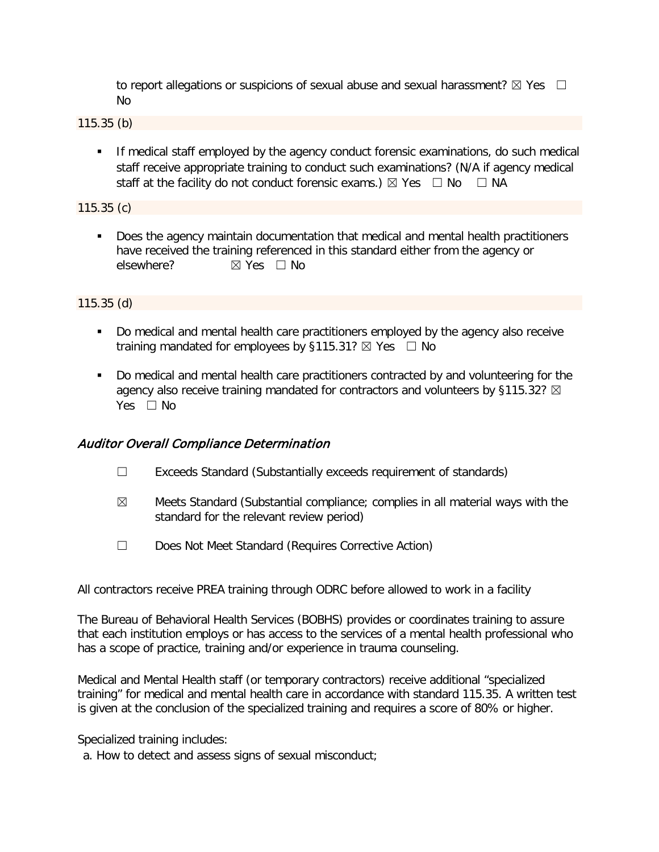to report allegations or suspicions of sexual abuse and sexual harassment?  $\boxtimes$  Yes  $\Box$ No

115.35 (b)

**If medical staff employed by the agency conduct forensic examinations, do such medical** staff receive appropriate training to conduct such examinations? (N/A if agency medical staff at the facility do not conduct forensic exams.)  $\boxtimes$  Yes  $\Box$  No  $\Box$  NA

115.35 (c)

**Does the agency maintain documentation that medical and mental health practitioners** have received the training referenced in this standard either from the agency or elsewhere?  $\boxtimes$  Yes  $\Box$  No

115.35 (d)

- Do medical and mental health care practitioners employed by the agency also receive training mandated for employees by §115.31?  $\boxtimes$  Yes  $\Box$  No
- Do medical and mental health care practitioners contracted by and volunteering for the agency also receive training mandated for contractors and volunteers by §115.32?  $\boxtimes$ Yes  $\Box$  No

# Auditor Overall Compliance Determination

- ☐ Exceeds Standard (Substantially exceeds requirement of standards)
- $\boxtimes$  Meets Standard (Substantial compliance; complies in all material ways with the standard for the relevant review period)
- ☐ Does Not Meet Standard (Requires Corrective Action)

All contractors receive PREA training through ODRC before allowed to work in a facility

The Bureau of Behavioral Health Services (BOBHS) provides or coordinates training to assure that each institution employs or has access to the services of a mental health professional who has a scope of practice, training and/or experience in trauma counseling.

Medical and Mental Health staff (or temporary contractors) receive additional "specialized training" for medical and mental health care in accordance with standard 115.35. A written test is given at the conclusion of the specialized training and requires a score of 80% or higher.

Specialized training includes:

a. How to detect and assess signs of sexual misconduct;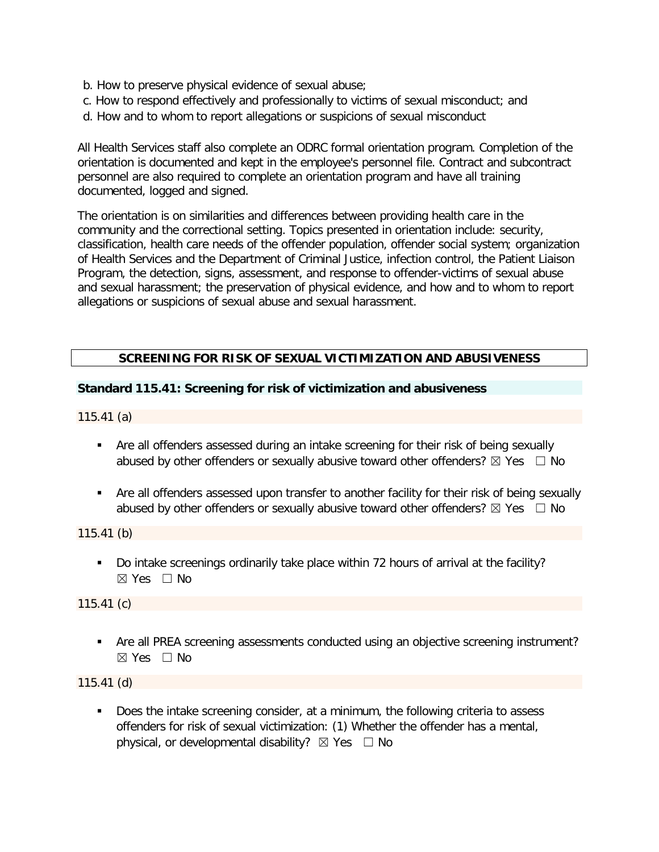- b. How to preserve physical evidence of sexual abuse;
- c. How to respond effectively and professionally to victims of sexual misconduct; and
- d. How and to whom to report allegations or suspicions of sexual misconduct

All Health Services staff also complete an ODRC formal orientation program. Completion of the orientation is documented and kept in the employee's personnel file. Contract and subcontract personnel are also required to complete an orientation program and have all training documented, logged and signed.

The orientation is on similarities and differences between providing health care in the community and the correctional setting. Topics presented in orientation include: security, classification, health care needs of the offender population, offender social system; organization of Health Services and the Department of Criminal Justice, infection control, the Patient Liaison Program, the detection, signs, assessment, and response to offender-victims of sexual abuse and sexual harassment; the preservation of physical evidence, and how and to whom to report allegations or suspicions of sexual abuse and sexual harassment.

## **SCREENING FOR RISK OF SEXUAL VICTIMIZATION AND ABUSIVENESS**

### **Standard 115.41: Screening for risk of victimization and abusiveness**

115.41 (a)

- Are all offenders assessed during an intake screening for their risk of being sexually abused by other offenders or sexually abusive toward other offenders?  $\boxtimes$  Yes  $\Box$  No
- Are all offenders assessed upon transfer to another facility for their risk of being sexually abused by other offenders or sexually abusive toward other offenders?  $\boxtimes$  Yes  $\Box$  No

115.41 (b)

Do intake screenings ordinarily take place within 72 hours of arrival at the facility? ☒ Yes ☐ No

115.41 (c)

 Are all PREA screening assessments conducted using an objective screening instrument?  $\boxtimes$  Yes  $\Box$  No

115.41 (d)

 Does the intake screening consider, at a minimum, the following criteria to assess offenders for risk of sexual victimization: (1) Whether the offender has a mental, physical, or developmental disability?  $\boxtimes$  Yes  $\Box$  No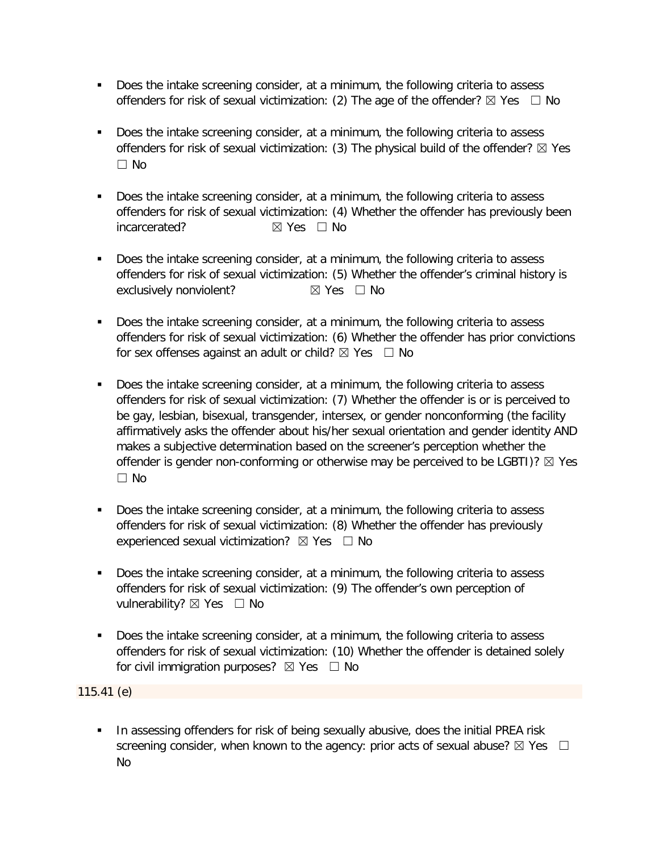- Does the intake screening consider, at a minimum, the following criteria to assess offenders for risk of sexual victimization: (2) The age of the offender?  $\boxtimes$  Yes  $\Box$  No
- Does the intake screening consider, at a minimum, the following criteria to assess offenders for risk of sexual victimization: (3) The physical build of the offender?  $\boxtimes$  Yes ☐ No
- Does the intake screening consider, at a minimum, the following criteria to assess offenders for risk of sexual victimization: (4) Whether the offender has previously been incarcerated? ☒ Yes ☐ No
- Does the intake screening consider, at a minimum, the following criteria to assess offenders for risk of sexual victimization: (5) Whether the offender's criminal history is exclusively nonviolent? <br> **⊠** Yes □ No
- Does the intake screening consider, at a minimum, the following criteria to assess offenders for risk of sexual victimization: (6) Whether the offender has prior convictions for sex offenses against an adult or child?  $\boxtimes$  Yes  $\Box$  No
- Does the intake screening consider, at a minimum, the following criteria to assess offenders for risk of sexual victimization: (7) Whether the offender is or is perceived to be gay, lesbian, bisexual, transgender, intersex, or gender nonconforming (the facility affirmatively asks the offender about his/her sexual orientation and gender identity AND makes a subjective determination based on the screener's perception whether the offender is gender non-conforming or otherwise may be perceived to be LGBTI)?  $\boxtimes$  Yes ☐ No
- Does the intake screening consider, at a minimum, the following criteria to assess offenders for risk of sexual victimization: (8) Whether the offender has previously experienced sexual victimization?  $\boxtimes$  Yes  $\Box$  No
- Does the intake screening consider, at a minimum, the following criteria to assess offenders for risk of sexual victimization: (9) The offender's own perception of vulnerability? ⊠ Yes □ No
- Does the intake screening consider, at a minimum, the following criteria to assess offenders for risk of sexual victimization: (10) Whether the offender is detained solely for civil immigration purposes?  $\boxtimes$  Yes  $\Box$  No

115.41 (e)

In assessing offenders for risk of being sexually abusive, does the initial PREA risk screening consider, when known to the agency: prior acts of sexual abuse?  $\boxtimes$  Yes  $\Box$ No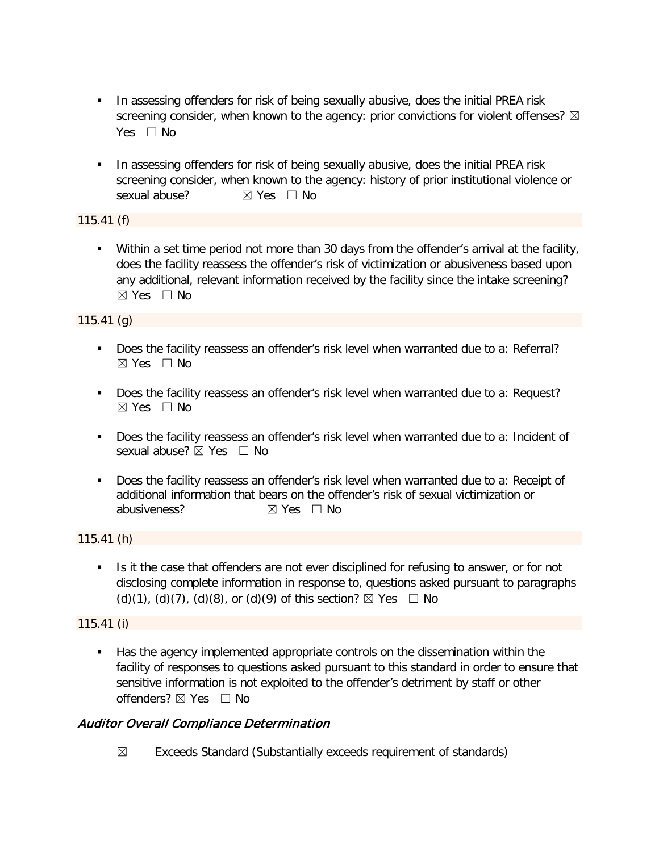- In assessing offenders for risk of being sexually abusive, does the initial PREA risk screening consider, when known to the agency: prior convictions for violent offenses?  $\boxtimes$ Yes □ No
- **IF In assessing offenders for risk of being sexually abusive, does the initial PREA risk** screening consider, when known to the agency: history of prior institutional violence or sexual abuse? **⊠** Yes □ No

115.41 (f)

**Within a set time period not more than 30 days from the offender's arrival at the facility,** does the facility reassess the offender's risk of victimization or abusiveness based upon any additional, relevant information received by the facility since the intake screening? ☒ Yes ☐ No

115.41 (g)

- Does the facility reassess an offender's risk level when warranted due to a: Referral?  $\boxtimes$  Yes  $\Box$  No
- Does the facility reassess an offender's risk level when warranted due to a: Request?  $\boxtimes$  Yes  $\Box$  No
- Does the facility reassess an offender's risk level when warranted due to a: Incident of sexual abuse? ⊠ Yes □ No
- Does the facility reassess an offender's risk level when warranted due to a: Receipt of additional information that bears on the offender's risk of sexual victimization or abusiveness? <br> <del>⊠</del> Yes □ No

115.41 (h)

Is it the case that offenders are not ever disciplined for refusing to answer, or for not disclosing complete information in response to, questions asked pursuant to paragraphs (d)(1), (d)(7), (d)(8), or (d)(9) of this section?  $\boxtimes$  Yes  $\Box$  No

# 115.41 (i)

 Has the agency implemented appropriate controls on the dissemination within the facility of responses to questions asked pursuant to this standard in order to ensure that sensitive information is not exploited to the offender's detriment by staff or other offenders?  $\boxtimes$  Yes  $\Box$  No

# Auditor Overall Compliance Determination

 $\boxtimes$  Exceeds Standard (Substantially exceeds requirement of standards)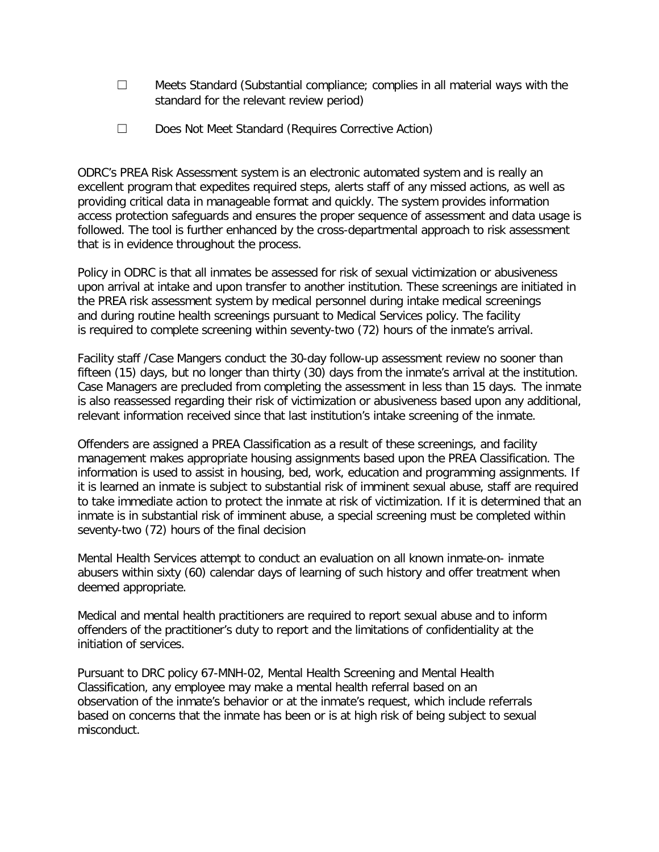- $\Box$  Meets Standard (Substantial compliance; complies in all material ways with the standard for the relevant review period)
- ☐ Does Not Meet Standard (Requires Corrective Action)

ODRC's PREA Risk Assessment system is an electronic automated system and is really an excellent program that expedites required steps, alerts staff of any missed actions, as well as providing critical data in manageable format and quickly. The system provides information access protection safeguards and ensures the proper sequence of assessment and data usage is followed. The tool is further enhanced by the cross-departmental approach to risk assessment that is in evidence throughout the process.

Policy in ODRC is that all inmates be assessed for risk of sexual victimization or abusiveness upon arrival at intake and upon transfer to another institution. These screenings are initiated in the PREA risk assessment system by medical personnel during intake medical screenings and during routine health screenings pursuant to Medical Services policy. The facility is required to complete screening within seventy-two (72) hours of the inmate's arrival.

Facility staff /Case Mangers conduct the 30-day follow-up assessment review no sooner than fifteen (15) days, but no longer than thirty (30) days from the inmate's arrival at the institution. Case Managers are precluded from completing the assessment in less than 15 days. The inmate is also reassessed regarding their risk of victimization or abusiveness based upon any additional, relevant information received since that last institution's intake screening of the inmate.

Offenders are assigned a PREA Classification as a result of these screenings, and facility management makes appropriate housing assignments based upon the PREA Classification. The information is used to assist in housing, bed, work, education and programming assignments. If it is learned an inmate is subject to substantial risk of imminent sexual abuse, staff are required to take immediate action to protect the inmate at risk of victimization. If it is determined that an inmate is in substantial risk of imminent abuse, a special screening must be completed within seventy-two (72) hours of the final decision

Mental Health Services attempt to conduct an evaluation on all known inmate-on- inmate abusers within sixty (60) calendar days of learning of such history and offer treatment when deemed appropriate.

Medical and mental health practitioners are required to report sexual abuse and to inform offenders of the practitioner's duty to report and the limitations of confidentiality at the initiation of services.

Pursuant to DRC policy 67-MNH-02, Mental Health Screening and Mental Health Classification, any employee may make a mental health referral based on an observation of the inmate's behavior or at the inmate's request, which include referrals based on concerns that the inmate has been or is at high risk of being subject to sexual misconduct.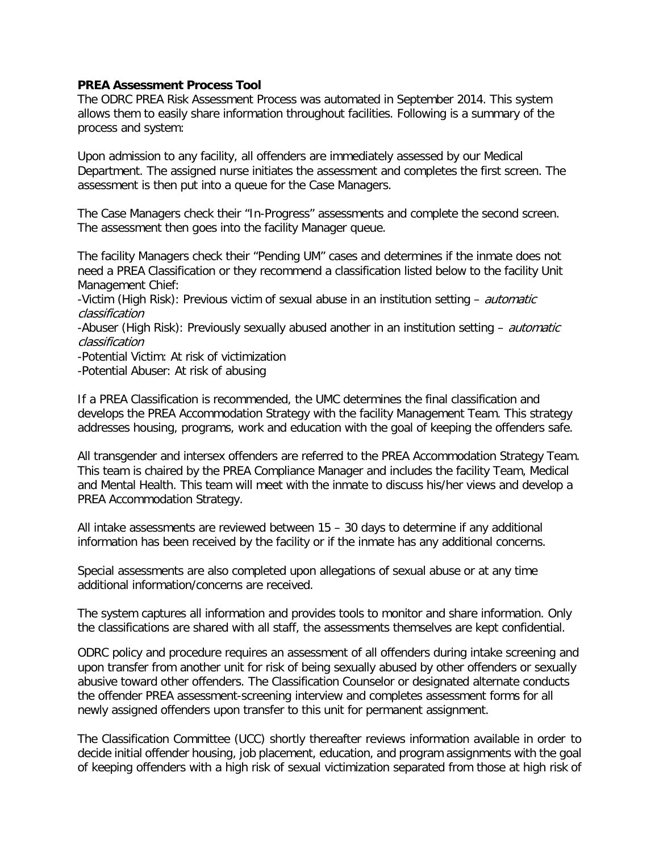### **PREA Assessment Process Tool**

The ODRC PREA Risk Assessment Process was automated in September 2014. This system allows them to easily share information throughout facilities. Following is a summary of the process and system:

Upon admission to any facility, all offenders are immediately assessed by our Medical Department. The assigned nurse initiates the assessment and completes the first screen. The assessment is then put into a queue for the Case Managers.

The Case Managers check their "In-Progress" assessments and complete the second screen. The assessment then goes into the facility Manager queue.

The facility Managers check their "Pending UM" cases and determines if the inmate does not need a PREA Classification or they recommend a classification listed below to the facility Unit Management Chief:

-Victim (High Risk): Previous victim of sexual abuse in an institution setting – *automatic* classification

-Abuser (High Risk): Previously sexually abused another in an institution setting – *automatic* classification

-Potential Victim: At risk of victimization

-Potential Abuser: At risk of abusing

If a PREA Classification is recommended, the UMC determines the final classification and develops the PREA Accommodation Strategy with the facility Management Team. This strategy addresses housing, programs, work and education with the goal of keeping the offenders safe.

All transgender and intersex offenders are referred to the PREA Accommodation Strategy Team. This team is chaired by the PREA Compliance Manager and includes the facility Team, Medical and Mental Health. This team will meet with the inmate to discuss his/her views and develop a PREA Accommodation Strategy.

All intake assessments are reviewed between 15 – 30 days to determine if any additional information has been received by the facility or if the inmate has any additional concerns.

Special assessments are also completed upon allegations of sexual abuse or at any time additional information/concerns are received.

The system captures all information and provides tools to monitor and share information. Only the classifications are shared with all staff, the assessments themselves are kept confidential.

ODRC policy and procedure requires an assessment of all offenders during intake screening and upon transfer from another unit for risk of being sexually abused by other offenders or sexually abusive toward other offenders. The Classification Counselor or designated alternate conducts the offender PREA assessment-screening interview and completes assessment forms for all newly assigned offenders upon transfer to this unit for permanent assignment.

The Classification Committee (UCC) shortly thereafter reviews information available in order to decide initial offender housing, job placement, education, and program assignments with the goal of keeping offenders with a high risk of sexual victimization separated from those at high risk of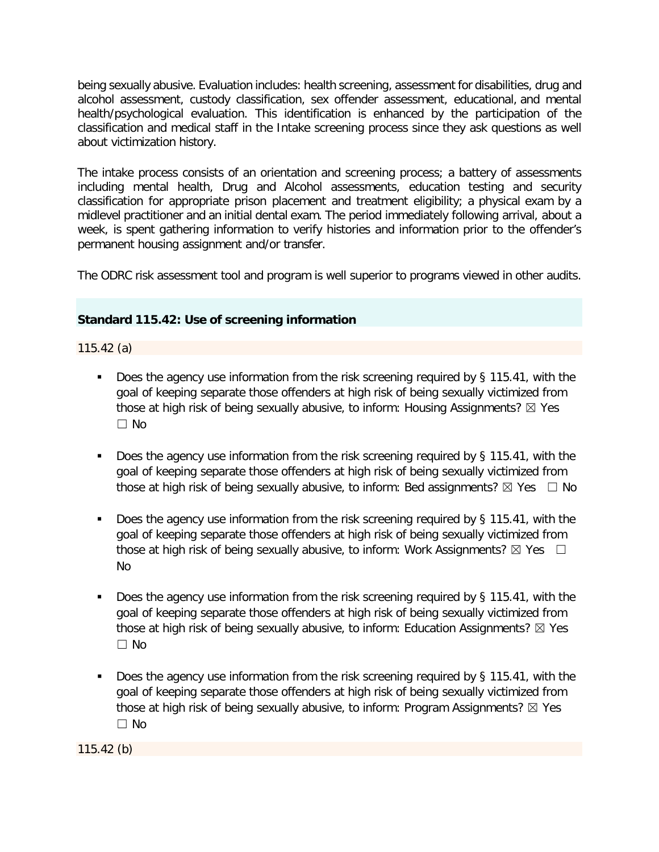being sexually abusive. Evaluation includes: health screening, assessment for disabilities, drug and alcohol assessment, custody classification, sex offender assessment, educational, and mental health/psychological evaluation. This identification is enhanced by the participation of the classification and medical staff in the Intake screening process since they ask questions as well about victimization history.

The intake process consists of an orientation and screening process; a battery of assessments including mental health, Drug and Alcohol assessments, education testing and security classification for appropriate prison placement and treatment eligibility; a physical exam by a midlevel practitioner and an initial dental exam. The period immediately following arrival, about a week, is spent gathering information to verify histories and information prior to the offender's permanent housing assignment and/or transfer.

The ODRC risk assessment tool and program is well superior to programs viewed in other audits.

## **Standard 115.42: Use of screening information**

115.42 (a)

- Does the agency use information from the risk screening required by § 115.41, with the goal of keeping separate those offenders at high risk of being sexually victimized from those at high risk of being sexually abusive, to inform: Housing Assignments?  $\boxtimes$  Yes ☐ No
- Does the agency use information from the risk screening required by § 115.41, with the goal of keeping separate those offenders at high risk of being sexually victimized from those at high risk of being sexually abusive, to inform: Bed assignments?  $\boxtimes$  Yes  $\Box$  No
- Does the agency use information from the risk screening required by § 115.41, with the goal of keeping separate those offenders at high risk of being sexually victimized from those at high risk of being sexually abusive, to inform: Work Assignments?  $\boxtimes$  Yes  $\Box$ No
- Does the agency use information from the risk screening required by § 115.41, with the goal of keeping separate those offenders at high risk of being sexually victimized from those at high risk of being sexually abusive, to inform: Education Assignments?  $\boxtimes$  Yes ☐ No
- Does the agency use information from the risk screening required by § 115.41, with the goal of keeping separate those offenders at high risk of being sexually victimized from those at high risk of being sexually abusive, to inform: Program Assignments?  $\boxtimes$  Yes  $\Box$  No

115.42 (b)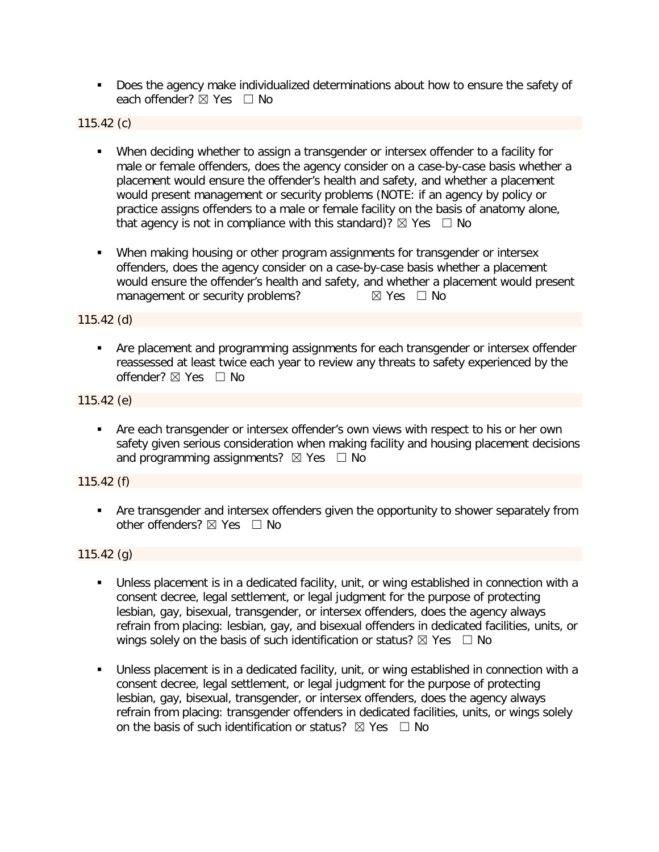Does the agency make individualized determinations about how to ensure the safety of each offender? ⊠ Yes □ No

115.42 (c)

- When deciding whether to assign a transgender or intersex offender to a facility for male or female offenders, does the agency consider on a case-by-case basis whether a placement would ensure the offender's health and safety, and whether a placement would present management or security problems (NOTE: if an agency by policy or practice assigns offenders to a male or female facility on the basis of anatomy alone, that agency is not in compliance with this standard)?  $\boxtimes$  Yes  $\Box$  No
- **When making housing or other program assignments for transgender or intersex** offenders, does the agency consider on a case-by-case basis whether a placement would ensure the offender's health and safety, and whether a placement would present management or security problems?  $\boxtimes$  Yes  $\Box$  No

115.42 (d)

**• Are placement and programming assignments for each transgender or intersex offender** reassessed at least twice each year to review any threats to safety experienced by the offender? ☒ Yes ☐ No

115.42 (e)

 Are each transgender or intersex offender's own views with respect to his or her own safety given serious consideration when making facility and housing placement decisions and programming assignments?  $\boxtimes$  Yes  $\Box$  No

115.42 (f)

 Are transgender and intersex offenders given the opportunity to shower separately from other offenders?  $\boxtimes$  Yes  $\Box$  No

 $115.42$  (g)

- Unless placement is in a dedicated facility, unit, or wing established in connection with a consent decree, legal settlement, or legal judgment for the purpose of protecting lesbian, gay, bisexual, transgender, or intersex offenders, does the agency always refrain from placing: lesbian, gay, and bisexual offenders in dedicated facilities, units, or wings solely on the basis of such identification or status?  $\boxtimes$  Yes  $\Box$  No
- Unless placement is in a dedicated facility, unit, or wing established in connection with a consent decree, legal settlement, or legal judgment for the purpose of protecting lesbian, gay, bisexual, transgender, or intersex offenders, does the agency always refrain from placing: transgender offenders in dedicated facilities, units, or wings solely on the basis of such identification or status?  $\boxtimes$  Yes  $\Box$  No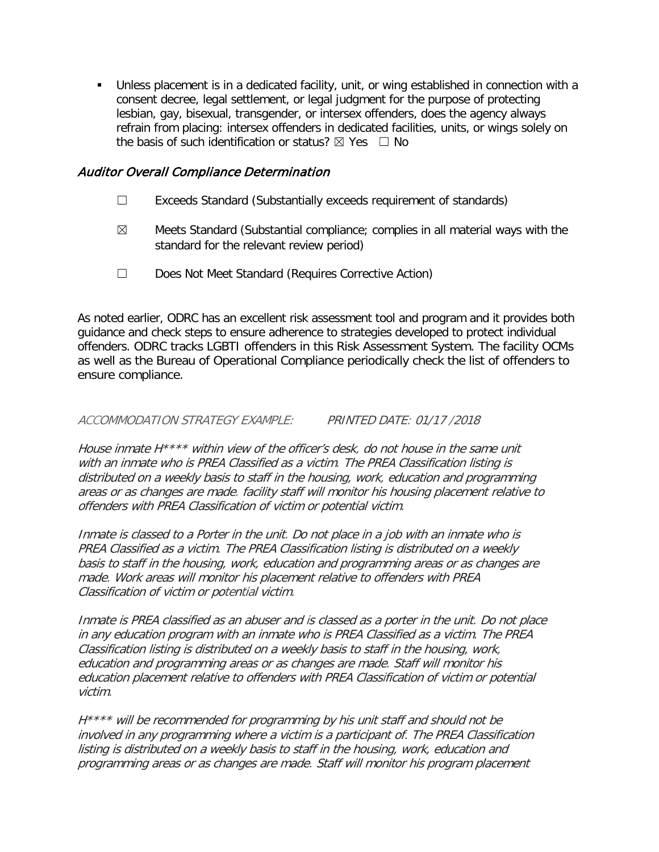Unless placement is in a dedicated facility, unit, or wing established in connection with a consent decree, legal settlement, or legal judgment for the purpose of protecting lesbian, gay, bisexual, transgender, or intersex offenders, does the agency always refrain from placing: intersex offenders in dedicated facilities, units, or wings solely on the basis of such identification or status?  $\boxtimes$  Yes  $\Box$  No

# Auditor Overall Compliance Determination

- ☐ Exceeds Standard (Substantially exceeds requirement of standards)
- $\boxtimes$  Meets Standard (Substantial compliance; complies in all material ways with the standard for the relevant review period)
- ☐ Does Not Meet Standard (Requires Corrective Action)

As noted earlier, ODRC has an excellent risk assessment tool and program and it provides both guidance and check steps to ensure adherence to strategies developed to protect individual offenders. ODRC tracks LGBTI offenders in this Risk Assessment System. The facility OCMs as well as the Bureau of Operational Compliance periodically check the list of offenders to ensure compliance.

## ACCOMMODATION STRATEGY EXAMPLE: PRINTED DATE: 01/17 /2018

House inmate H\*\*\*\* within view of the officer's desk, do not house in the same unit with an inmate who is PREA Classified as a victim. The PREA Classification listing is distributed on a weekly basis to staff in the housing, work, education and programming areas or as changes are made. facility staff will monitor his housing placement relative to offenders with PREA Classification of victim or potential victim.

Inmate is classed to a Porter in the unit. Do not place in a job with an inmate who is PREA Classified as a victim. The PREA Classification listing is distributed on a weekly basis to staff in the housing, work, education and programming areas or as changes are made. Work areas will monitor his placement relative to offenders with PREA Classification of victim or potential victim.

Inmate is PREA classified as an abuser and is classed as a porter in the unit. Do not place in any education program with an inmate who is PREA Classified as a victim. The PREA Classification listing is distributed on a weekly basis to staff in the housing, work, education and programming areas or as changes are made. Staff will monitor his education placement relative to offenders with PREA Classification of victim or potential victim.

H<sup>\*\*\*\*</sup> will be recommended for programming by his unit staff and should not be involved in any programming where a victim is a participant of. The PREA Classification listing is distributed on a weekly basis to staff in the housing, work, education and programming areas or as changes are made. Staff will monitor his program placement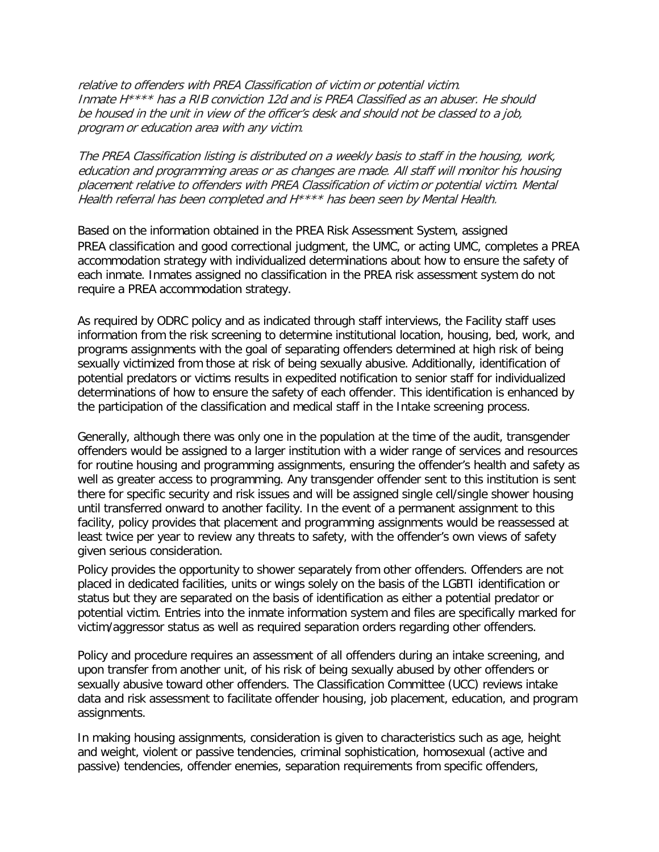relative to offenders with PREA Classification of victim or potential victim. Inmate H\*\*\*\* has a RIB conviction 12d and is PREA Classified as an abuser. He should be housed in the unit in view of the officer's desk and should not be classed to a job, program or education area with any victim.

The PREA Classification listing is distributed on a weekly basis to staff in the housing, work, education and programming areas or as changes are made. All staff will monitor his housing placement relative to offenders with PREA Classification of victim or potential victim. Mental Health referral has been completed and H\*\*\*\* has been seen by Mental Health.

Based on the information obtained in the PREA Risk Assessment System, assigned PREA classification and good correctional judgment, the UMC, or acting UMC, completes a PREA accommodation strategy with individualized determinations about how to ensure the safety of each inmate. Inmates assigned no classification in the PREA risk assessment system do not require a PREA accommodation strategy.

As required by ODRC policy and as indicated through staff interviews, the Facility staff uses information from the risk screening to determine institutional location, housing, bed, work, and programs assignments with the goal of separating offenders determined at high risk of being sexually victimized from those at risk of being sexually abusive. Additionally, identification of potential predators or victims results in expedited notification to senior staff for individualized determinations of how to ensure the safety of each offender. This identification is enhanced by the participation of the classification and medical staff in the Intake screening process.

Generally, although there was only one in the population at the time of the audit, transgender offenders would be assigned to a larger institution with a wider range of services and resources for routine housing and programming assignments, ensuring the offender's health and safety as well as greater access to programming. Any transgender offender sent to this institution is sent there for specific security and risk issues and will be assigned single cell/single shower housing until transferred onward to another facility. In the event of a permanent assignment to this facility, policy provides that placement and programming assignments would be reassessed at least twice per year to review any threats to safety, with the offender's own views of safety given serious consideration.

Policy provides the opportunity to shower separately from other offenders. Offenders are not placed in dedicated facilities, units or wings solely on the basis of the LGBTI identification or status but they are separated on the basis of identification as either a potential predator or potential victim. Entries into the inmate information system and files are specifically marked for victim/aggressor status as well as required separation orders regarding other offenders.

Policy and procedure requires an assessment of all offenders during an intake screening, and upon transfer from another unit, of his risk of being sexually abused by other offenders or sexually abusive toward other offenders. The Classification Committee (UCC) reviews intake data and risk assessment to facilitate offender housing, job placement, education, and program assignments.

In making housing assignments, consideration is given to characteristics such as age, height and weight, violent or passive tendencies, criminal sophistication, homosexual (active and passive) tendencies, offender enemies, separation requirements from specific offenders,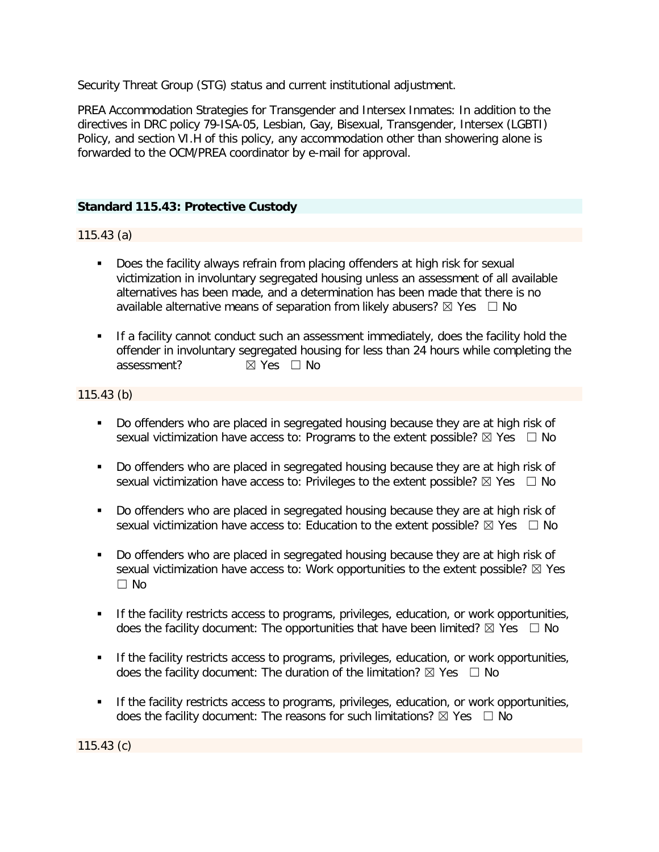Security Threat Group (STG) status and current institutional adjustment.

PREA Accommodation Strategies for Transgender and Intersex Inmates: In addition to the directives in DRC policy 79-ISA-05, Lesbian, Gay, Bisexual, Transgender, Intersex (LGBTI) Policy, and section VI.H of this policy, any accommodation other than showering alone is forwarded to the OCM/PREA coordinator by e-mail for approval.

# **Standard 115.43: Protective Custody**

## 115.43 (a)

- Does the facility always refrain from placing offenders at high risk for sexual victimization in involuntary segregated housing unless an assessment of all available alternatives has been made, and a determination has been made that there is no available alternative means of separation from likely abusers?  $\boxtimes$  Yes  $\Box$  No
- **If a facility cannot conduct such an assessment immediately, does the facility hold the** offender in involuntary segregated housing for less than 24 hours while completing the assessment?  $✓ Yes □ No$

### 115.43 (b)

- Do offenders who are placed in segregated housing because they are at high risk of sexual victimization have access to: Programs to the extent possible?  $\boxtimes$  Yes  $\Box$  No
- Do offenders who are placed in segregated housing because they are at high risk of sexual victimization have access to: Privileges to the extent possible?  $\boxtimes$  Yes  $\Box$  No
- Do offenders who are placed in segregated housing because they are at high risk of sexual victimization have access to: Education to the extent possible?  $\boxtimes$  Yes  $\Box$  No
- Do offenders who are placed in segregated housing because they are at high risk of sexual victimization have access to: Work opportunities to the extent possible?  $\boxtimes$  Yes  $\Box$  No
- **If the facility restricts access to programs, privileges, education, or work opportunities,** does the facility document: The opportunities that have been limited?  $\boxtimes$  Yes  $\Box$  No
- **If the facility restricts access to programs, privileges, education, or work opportunities,** does the facility document: The duration of the limitation?  $\boxtimes$  Yes  $\Box$  No
- **If the facility restricts access to programs, privileges, education, or work opportunities,** does the facility document: The reasons for such limitations?  $\boxtimes$  Yes  $\Box$  No

115.43 (c)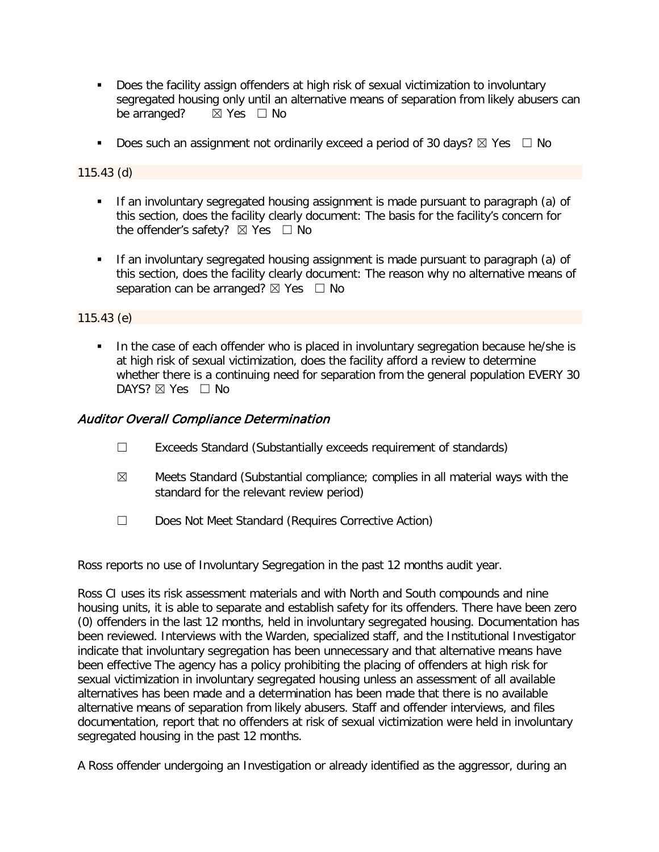- Does the facility assign offenders at high risk of sexual victimization to involuntary segregated housing only until an alternative means of separation from likely abusers can<br>be arranged?  $\boxtimes$  Yes  $\Box$  No  $\boxtimes$  Yes  $\Box$  No
- Does such an assignment not ordinarily exceed a period of 30 days?  $\boxtimes$  Yes  $\Box$  No

### 115.43 (d)

- If an involuntary segregated housing assignment is made pursuant to paragraph (a) of this section, does the facility clearly document: The basis for the facility's concern for the offender's safety? ⊠ Yes □ No
- **If an involuntary segregated housing assignment is made pursuant to paragraph (a) of** this section, does the facility clearly document: The reason why no alternative means of separation can be arranged?  $\boxtimes$  Yes  $\Box$  No

## 115.43 (e)

In the case of each offender who is placed in involuntary segregation because he/she is at high risk of sexual victimization, does the facility afford a review to determine whether there is a continuing need for separation from the general population EVERY 30 DAYS?  $\boxtimes$  Yes  $\Box$  No

## Auditor Overall Compliance Determination

- ☐ Exceeds Standard (Substantially exceeds requirement of standards)
- $\boxtimes$  Meets Standard (Substantial compliance; complies in all material ways with the standard for the relevant review period)
- ☐ Does Not Meet Standard (Requires Corrective Action)

Ross reports no use of Involuntary Segregation in the past 12 months audit year.

Ross CI uses its risk assessment materials and with North and South compounds and nine housing units, it is able to separate and establish safety for its offenders. There have been zero (0) offenders in the last 12 months, held in involuntary segregated housing. Documentation has been reviewed. Interviews with the Warden, specialized staff, and the Institutional Investigator indicate that involuntary segregation has been unnecessary and that alternative means have been effective The agency has a policy prohibiting the placing of offenders at high risk for sexual victimization in involuntary segregated housing unless an assessment of all available alternatives has been made and a determination has been made that there is no available alternative means of separation from likely abusers. Staff and offender interviews, and files documentation, report that no offenders at risk of sexual victimization were held in involuntary segregated housing in the past 12 months.

A Ross offender undergoing an Investigation or already identified as the aggressor, during an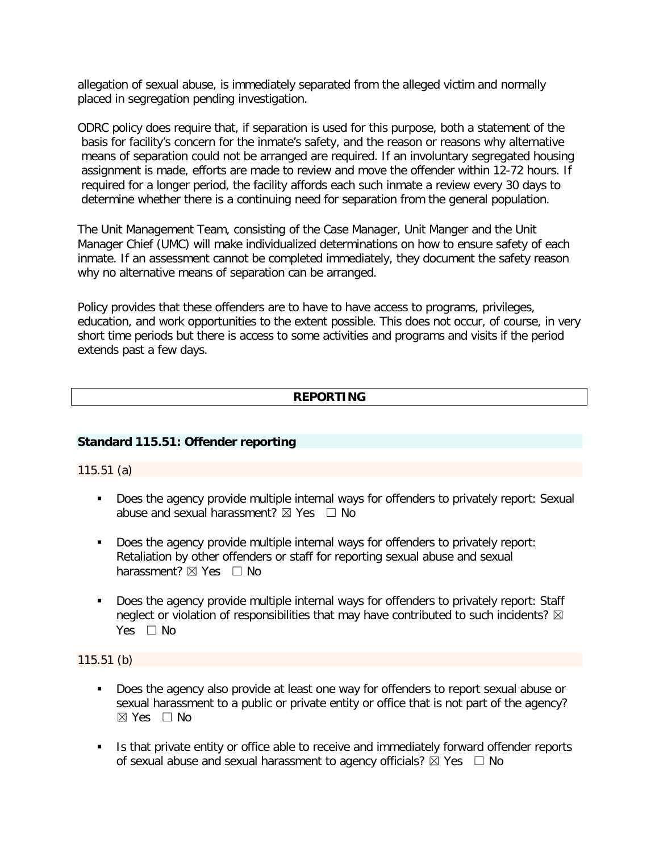allegation of sexual abuse, is immediately separated from the alleged victim and normally placed in segregation pending investigation.

ODRC policy does require that, if separation is used for this purpose, both a statement of the basis for facility's concern for the inmate's safety, and the reason or reasons why alternative means of separation could not be arranged are required. If an involuntary segregated housing assignment is made, efforts are made to review and move the offender within 12-72 hours. If required for a longer period, the facility affords each such inmate a review every 30 days to determine whether there is a continuing need for separation from the general population.

The Unit Management Team, consisting of the Case Manager, Unit Manger and the Unit Manager Chief (UMC) will make individualized determinations on how to ensure safety of each inmate. If an assessment cannot be completed immediately, they document the safety reason why no alternative means of separation can be arranged.

Policy provides that these offenders are to have to have access to programs, privileges, education, and work opportunities to the extent possible. This does not occur, of course, in very short time periods but there is access to some activities and programs and visits if the period extends past a few days.

## **REPORTING**

## **Standard 115.51: Offender reporting**

115.51 (a)

- Does the agency provide multiple internal ways for offenders to privately report: Sexual abuse and sexual harassment?  $\boxtimes$  Yes  $\Box$  No
- Does the agency provide multiple internal ways for offenders to privately report: Retaliation by other offenders or staff for reporting sexual abuse and sexual harassment? ⊠ Yes □ No
- Does the agency provide multiple internal ways for offenders to privately report: Staff neglect or violation of responsibilities that may have contributed to such incidents?  $\boxtimes$ Yes  $\Box$  No

115.51 (b)

- Does the agency also provide at least one way for offenders to report sexual abuse or sexual harassment to a public or private entity or office that is not part of the agency?  $\boxtimes$  Yes  $\Box$  No
- Is that private entity or office able to receive and immediately forward offender reports of sexual abuse and sexual harassment to agency officials?  $\boxtimes$  Yes  $\Box$  No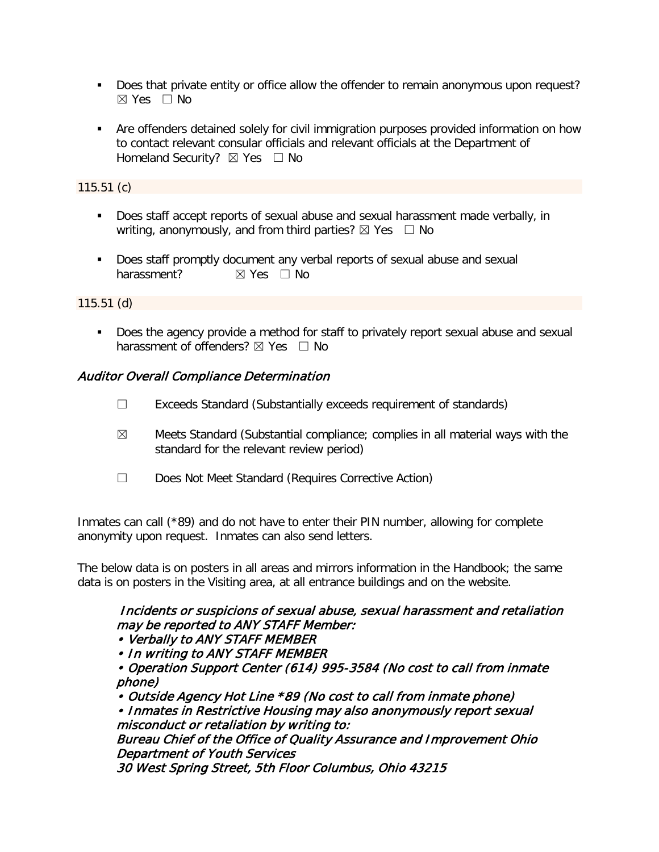- Does that private entity or office allow the offender to remain anonymous upon request? ☒ Yes ☐ No
- Are offenders detained solely for civil immigration purposes provided information on how to contact relevant consular officials and relevant officials at the Department of Homeland Security? ⊠ Yes □ No

115.51 (c)

- Does staff accept reports of sexual abuse and sexual harassment made verbally, in writing, anonymously, and from third parties?  $\boxtimes$  Yes  $\Box$  No
- Does staff promptly document any verbal reports of sexual abuse and sexual harassment? **⊠** Yes □ No

115.51 (d)

 Does the agency provide a method for staff to privately report sexual abuse and sexual harassment of offenders? ⊠ Yes □ No

# Auditor Overall Compliance Determination

- ☐ Exceeds Standard (Substantially exceeds requirement of standards)
- $\boxtimes$  Meets Standard (Substantial compliance; complies in all material ways with the standard for the relevant review period)
- ☐ Does Not Meet Standard (Requires Corrective Action)

Inmates can call (\*89) and do not have to enter their PIN number, allowing for complete anonymity upon request. Inmates can also send letters.

The below data is on posters in all areas and mirrors information in the Handbook; the same data is on posters in the Visiting area, at all entrance buildings and on the website.

# Incidents or suspicions of sexual abuse, sexual harassment and retaliation may be reported to ANY STAFF Member:

• Verbally to ANY STAFF MEMBER

• In writing to ANY STAFF MEMBER

• Operation Support Center (614) 995-3584 (No cost to call from inmate phone)

• Outside Agency Hot Line \*89 (No cost to call from inmate phone)

• Inmates in Restrictive Housing may also anonymously report sexual misconduct or retaliation by writing to:

Bureau Chief of the Office of Quality Assurance and Improvement Ohio Department of Youth Services

30 West Spring Street, 5th Floor Columbus, Ohio 43215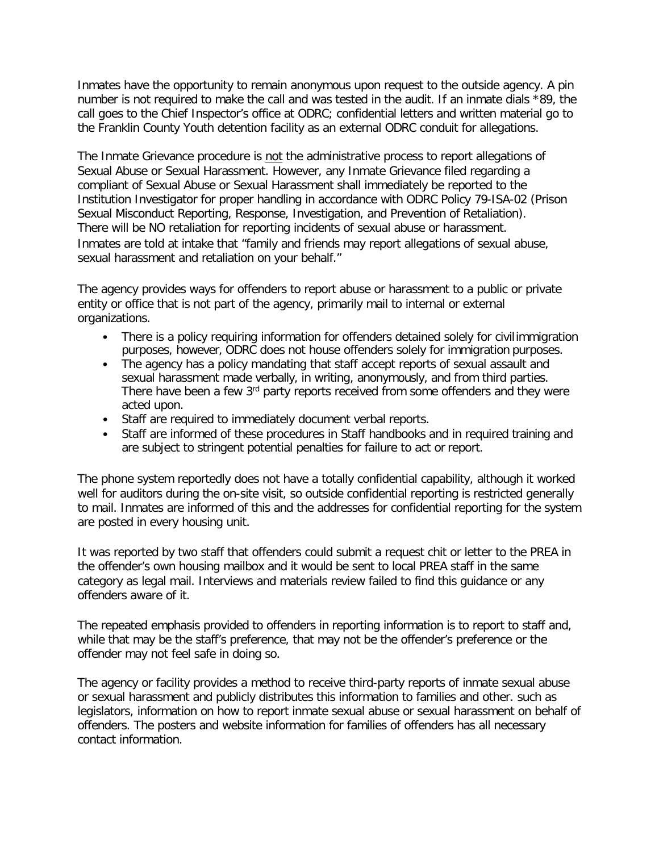Inmates have the opportunity to remain anonymous upon request to the outside agency. A pin number is not required to make the call and was tested in the audit. If an inmate dials \*89, the call goes to the Chief Inspector's office at ODRC; confidential letters and written material go to the Franklin County Youth detention facility as an external ODRC conduit for allegations.

The Inmate Grievance procedure is not the administrative process to report allegations of Sexual Abuse or Sexual Harassment. However, any Inmate Grievance filed regarding a compliant of Sexual Abuse or Sexual Harassment shall immediately be reported to the Institution Investigator for proper handling in accordance with ODRC Policy 79-ISA-02 (Prison Sexual Misconduct Reporting, Response, Investigation, and Prevention of Retaliation). There will be NO retaliation for reporting incidents of sexual abuse or harassment. Inmates are told at intake that "family and friends may report allegations of sexual abuse, sexual harassment and retaliation on your behalf."

The agency provides ways for offenders to report abuse or harassment to a public or private entity or office that is not part of the agency, primarily mail to internal or external organizations.

- There is a policy requiring information for offenders detained solely for civil immigration purposes, however, ODRC does not house offenders solely for immigration purposes.
- The agency has a policy mandating that staff accept reports of sexual assault and sexual harassment made verbally, in writing, anonymously, and from third parties. There have been a few 3<sup>rd</sup> party reports received from some offenders and they were acted upon.
- Staff are required to immediately document verbal reports.
- Staff are informed of these procedures in Staff handbooks and in required training and are subject to stringent potential penalties for failure to act or report.

The phone system reportedly does not have a totally confidential capability, although it worked well for auditors during the on-site visit, so outside confidential reporting is restricted generally to mail. Inmates are informed of this and the addresses for confidential reporting for the system are posted in every housing unit.

It was reported by two staff that offenders could submit a request chit or letter to the PREA in the offender's own housing mailbox and it would be sent to local PREA staff in the same category as legal mail. Interviews and materials review failed to find this guidance or any offenders aware of it.

The repeated emphasis provided to offenders in reporting information is to report to staff and, while that may be the staff's preference, that may not be the offender's preference or the offender may not feel safe in doing so.

The agency or facility provides a method to receive third-party reports of inmate sexual abuse or sexual harassment and publicly distributes this information to families and other. such as legislators, information on how to report inmate sexual abuse or sexual harassment on behalf of offenders. The posters and website information for families of offenders has all necessary contact information.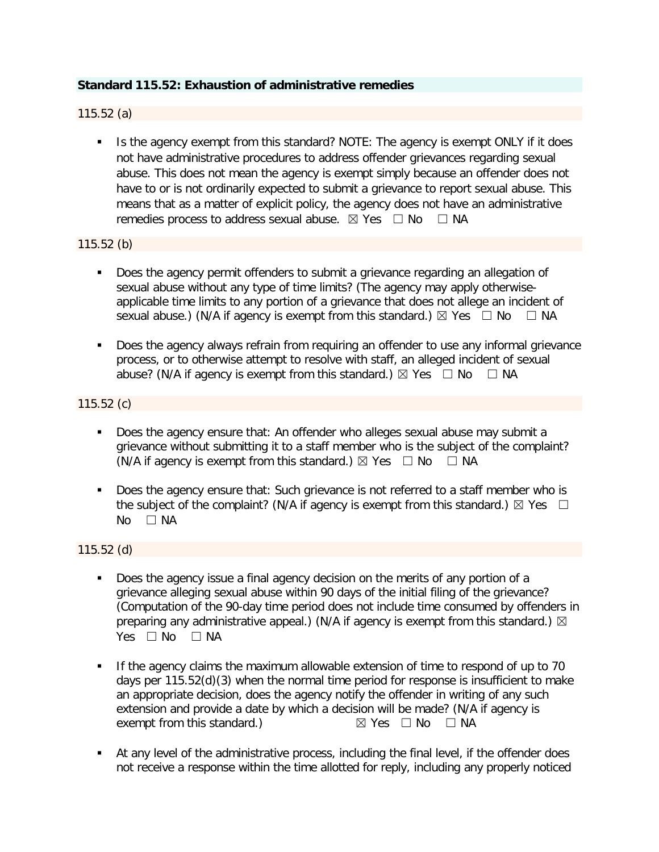## **Standard 115.52: Exhaustion of administrative remedies**

## 115.52 (a)

Is the agency exempt from this standard? NOTE: The agency is exempt ONLY if it does not have administrative procedures to address offender grievances regarding sexual abuse. This does not mean the agency is exempt simply because an offender does not have to or is not ordinarily expected to submit a grievance to report sexual abuse. This means that as a matter of explicit policy, the agency does not have an administrative remedies process to address sexual abuse.  $\boxtimes$  Yes  $\Box$  No  $\Box$  NA

### 115.52 (b)

- Does the agency permit offenders to submit a grievance regarding an allegation of sexual abuse without any type of time limits? (The agency may apply otherwiseapplicable time limits to any portion of a grievance that does not allege an incident of sexual abuse.) (N/A if agency is exempt from this standard.)  $\boxtimes$  Yes  $\Box$  No  $\Box$  NA
- Does the agency always refrain from requiring an offender to use any informal grievance process, or to otherwise attempt to resolve with staff, an alleged incident of sexual abuse? (N/A if agency is exempt from this standard.)  $\boxtimes$  Yes  $\Box$  No  $\Box$  NA

### 115.52 (c)

- Does the agency ensure that: An offender who alleges sexual abuse may submit a grievance without submitting it to a staff member who is the subject of the complaint? (N/A if agency is exempt from this standard.)  $\boxtimes$  Yes  $\Box$  No  $\Box$  NA
- Does the agency ensure that: Such grievance is not referred to a staff member who is the subject of the complaint? (N/A if agency is exempt from this standard.)  $\boxtimes$  Yes  $\Box$ No □ NA

## 115.52 (d)

- Does the agency issue a final agency decision on the merits of any portion of a grievance alleging sexual abuse within 90 days of the initial filing of the grievance? (Computation of the 90-day time period does not include time consumed by offenders in preparing any administrative appeal.) (N/A if agency is exempt from this standard.)  $\boxtimes$ Yes □ No □ NA
- If the agency claims the maximum allowable extension of time to respond of up to 70 days per 115.52(d)(3) when the normal time period for response is insufficient to make an appropriate decision, does the agency notify the offender in writing of any such extension and provide a date by which a decision will be made? (N/A if agency is exempt from this standard.)  $\boxtimes$  Yes  $\Box$  No  $\Box$  NA exempt from this standard.)
- At any level of the administrative process, including the final level, if the offender does not receive a response within the time allotted for reply, including any properly noticed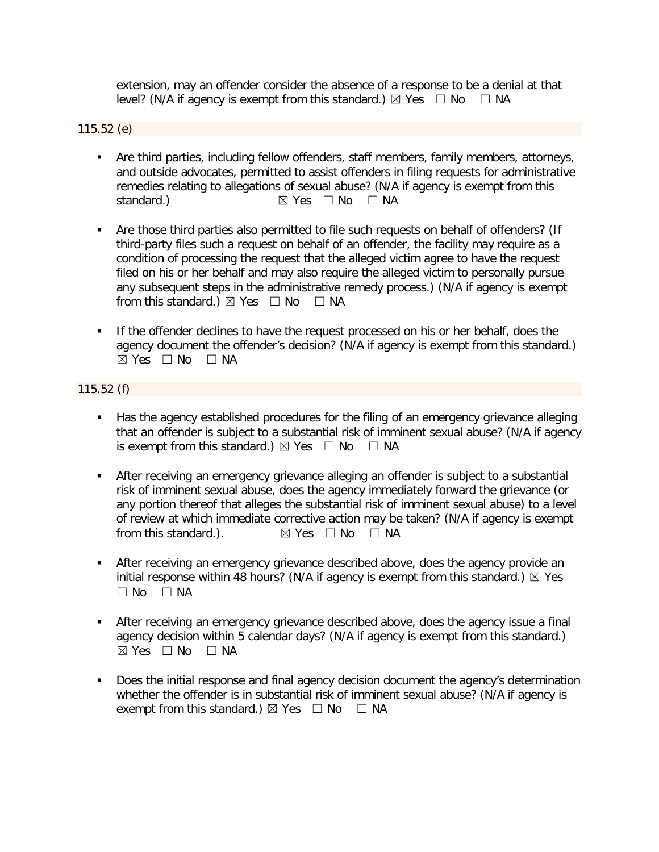extension, may an offender consider the absence of a response to be a denial at that level? (N/A if agency is exempt from this standard.)  $\boxtimes$  Yes  $\Box$  No  $\Box$  NA

### 115.52 (e)

- Are third parties, including fellow offenders, staff members, family members, attorneys, and outside advocates, permitted to assist offenders in filing requests for administrative remedies relating to allegations of sexual abuse? (N/A if agency is exempt from this standard.)  $\boxtimes$  Yes  $\Box$  No  $\Box$  NA
- Are those third parties also permitted to file such requests on behalf of offenders? (If third-party files such a request on behalf of an offender, the facility may require as a condition of processing the request that the alleged victim agree to have the request filed on his or her behalf and may also require the alleged victim to personally pursue any subsequent steps in the administrative remedy process.) (N/A if agency is exempt from this standard.)  $\boxtimes$  Yes  $\Box$  No  $\Box$  NA
- **If the offender declines to have the request processed on his or her behalf, does the** agency document the offender's decision? (N/A if agency is exempt from this standard.)  $⊠$  Yes  $□$  No  $□$  NA

## 115.52 (f)

- Has the agency established procedures for the filing of an emergency grievance alleging that an offender is subject to a substantial risk of imminent sexual abuse? (N/A if agency is exempt from this standard.)  $\boxtimes$  Yes  $\Box$  No  $\Box$  NA
- After receiving an emergency grievance alleging an offender is subject to a substantial risk of imminent sexual abuse, does the agency immediately forward the grievance (or any portion thereof that alleges the substantial risk of imminent sexual abuse) to a level of review at which immediate corrective action may be taken? (N/A if agency is exempt from this standard.).  $\boxtimes$  Yes  $\Box$  No  $\Box$  NA  $\boxtimes$  Yes  $\Box$  No  $\Box$  NA
- **After receiving an emergency grievance described above, does the agency provide an** initial response within 48 hours? (N/A if agency is exempt from this standard.)  $\boxtimes$  Yes  $\square$  No  $\square$  NA
- After receiving an emergency grievance described above, does the agency issue a final agency decision within 5 calendar days? (N/A if agency is exempt from this standard.)  $\boxtimes$  Yes  $\Box$  No  $\Box$  NA
- Does the initial response and final agency decision document the agency's determination whether the offender is in substantial risk of imminent sexual abuse? (N/A if agency is exempt from this standard.)  $\boxtimes$  Yes  $\Box$  No  $\Box$  NA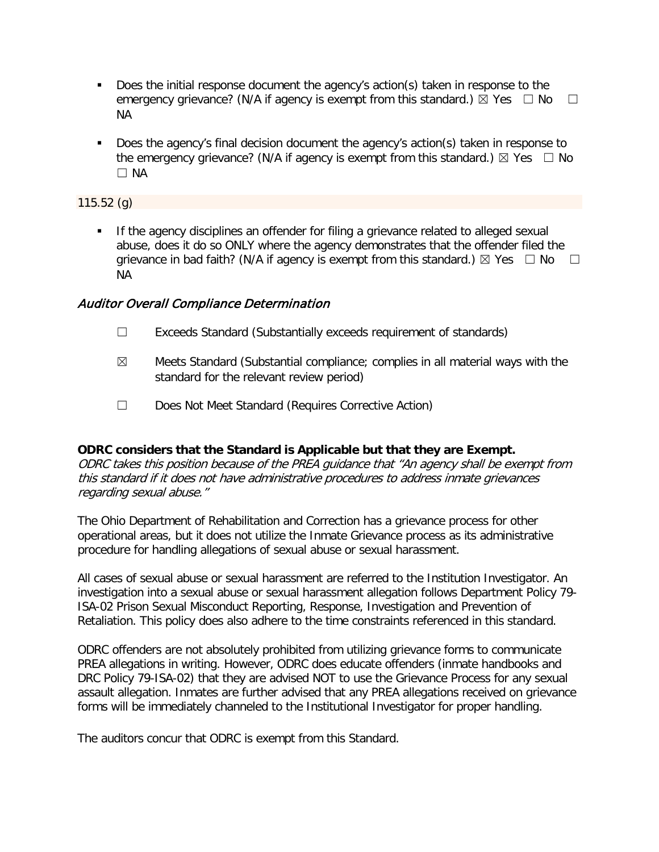- Does the initial response document the agency's action(s) taken in response to the emergency grievance? (N/A if agency is exempt from this standard.)  $\boxtimes$  Yes  $\Box$  No  $\Box$ NA
- Does the agency's final decision document the agency's action(s) taken in response to the emergency grievance? (N/A if agency is exempt from this standard.)  $\boxtimes$  Yes  $\Box$  No ☐ NA

### 115.52 (g)

**If the agency disciplines an offender for filing a grievance related to alleged sexual** abuse, does it do so ONLY where the agency demonstrates that the offender filed the grievance in bad faith? (N/A if agency is exempt from this standard.)  $\boxtimes$  Yes  $\Box$  No  $\Box$ NA

## Auditor Overall Compliance Determination

- ☐ Exceeds Standard (Substantially exceeds requirement of standards)
- $\boxtimes$  Meets Standard (Substantial compliance; complies in all material ways with the standard for the relevant review period)
- ☐ Does Not Meet Standard (Requires Corrective Action)

## **ODRC considers that the Standard is Applicable but that they are Exempt.**

ODRC takes this position because of the PREA guidance that "An agency shall be exempt from this standard if it does not have administrative procedures to address inmate grievances regarding sexual abuse."

The Ohio Department of Rehabilitation and Correction has a grievance process for other operational areas, but it does not utilize the Inmate Grievance process as its administrative procedure for handling allegations of sexual abuse or sexual harassment.

All cases of sexual abuse or sexual harassment are referred to the Institution Investigator. An investigation into a sexual abuse or sexual harassment allegation follows Department Policy 79- ISA-02 Prison Sexual Misconduct Reporting, Response, Investigation and Prevention of Retaliation. This policy does also adhere to the time constraints referenced in this standard.

ODRC offenders are not absolutely prohibited from utilizing grievance forms to communicate PREA allegations in writing. However, ODRC does educate offenders (inmate handbooks and DRC Policy 79-ISA-02) that they are advised NOT to use the Grievance Process for any sexual assault allegation. Inmates are further advised that any PREA allegations received on grievance forms will be immediately channeled to the Institutional Investigator for proper handling.

The auditors concur that ODRC is exempt from this Standard.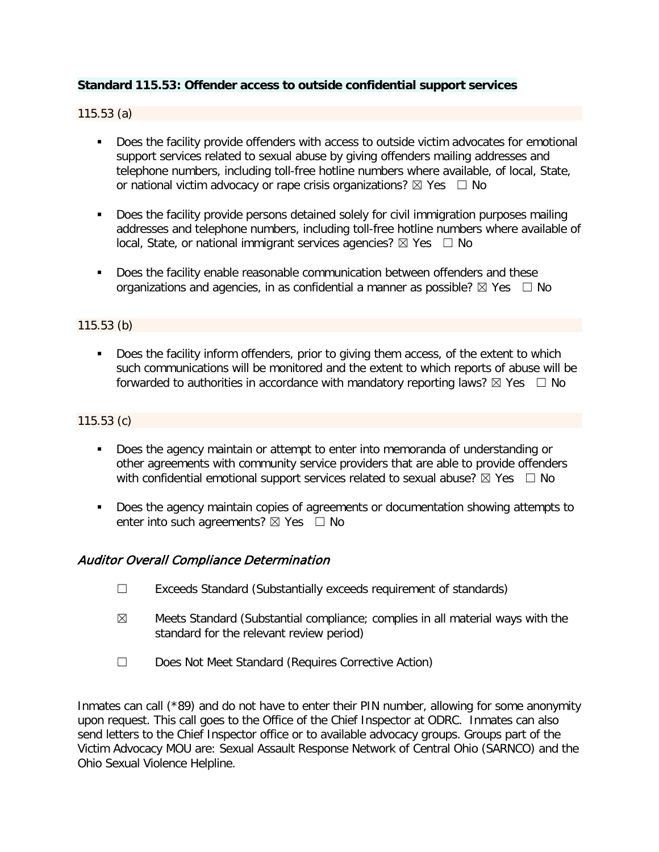## **Standard 115.53: Offender access to outside confidential support services**

115.53 (a)

- **Does the facility provide offenders with access to outside victim advocates for emotional** support services related to sexual abuse by giving offenders mailing addresses and telephone numbers, including toll-free hotline numbers where available, of local, State, or national victim advocacy or rape crisis organizations?  $\boxtimes$  Yes  $\Box$  No
- Does the facility provide persons detained solely for civil immigration purposes mailing addresses and telephone numbers, including toll-free hotline numbers where available of local, State, or national immigrant services agencies?  $\boxtimes$  Yes  $\Box$  No
- Does the facility enable reasonable communication between offenders and these organizations and agencies, in as confidential a manner as possible?  $\boxtimes$  Yes  $\Box$  No

### 115.53 (b)

Does the facility inform offenders, prior to giving them access, of the extent to which such communications will be monitored and the extent to which reports of abuse will be forwarded to authorities in accordance with mandatory reporting laws?  $\boxtimes$  Yes  $\Box$  No

### 115.53 (c)

- **Does the agency maintain or attempt to enter into memoranda of understanding or** other agreements with community service providers that are able to provide offenders with confidential emotional support services related to sexual abuse?  $\boxtimes$  Yes  $\Box$  No
- Does the agency maintain copies of agreements or documentation showing attempts to enter into such agreements?  $\boxtimes$  Yes  $\Box$  No

## Auditor Overall Compliance Determination

- ☐ Exceeds Standard (Substantially exceeds requirement of standards)
- $\boxtimes$  Meets Standard (Substantial compliance; complies in all material ways with the standard for the relevant review period)
- ☐ Does Not Meet Standard (Requires Corrective Action)

Inmates can call (\*89) and do not have to enter their PIN number, allowing for some anonymity upon request. This call goes to the Office of the Chief Inspector at ODRC. Inmates can also send letters to the Chief Inspector office or to available advocacy groups. Groups part of the Victim Advocacy MOU are: Sexual Assault Response Network of Central Ohio (SARNCO) and the Ohio Sexual Violence Helpline.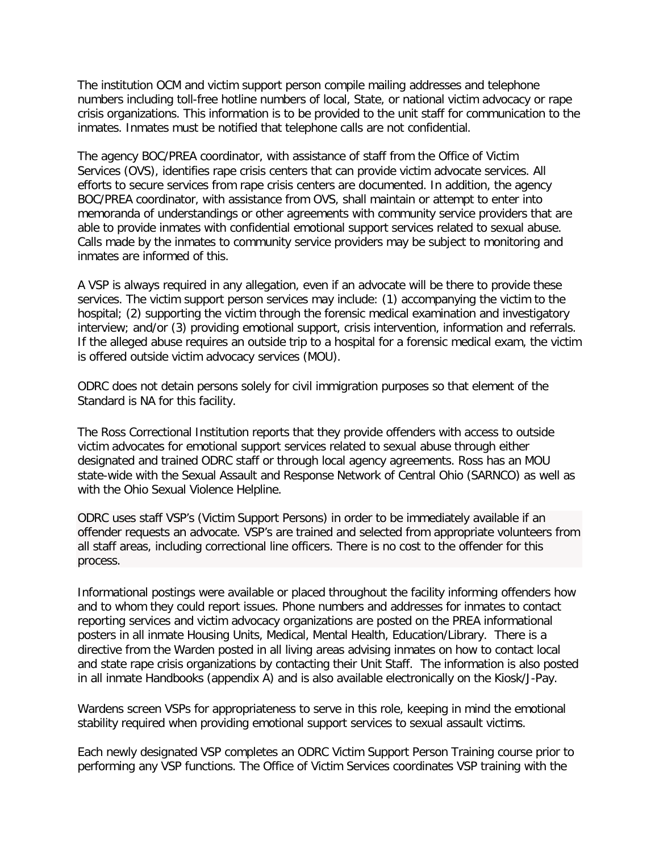The institution OCM and victim support person compile mailing addresses and telephone numbers including toll-free hotline numbers of local, State, or national victim advocacy or rape crisis organizations. This information is to be provided to the unit staff for communication to the inmates. Inmates must be notified that telephone calls are not confidential.

The agency BOC/PREA coordinator, with assistance of staff from the Office of Victim Services (OVS), identifies rape crisis centers that can provide victim advocate services. All efforts to secure services from rape crisis centers are documented. In addition, the agency BOC/PREA coordinator, with assistance from OVS, shall maintain or attempt to enter into memoranda of understandings or other agreements with community service providers that are able to provide inmates with confidential emotional support services related to sexual abuse. Calls made by the inmates to community service providers may be subject to monitoring and inmates are informed of this.

A VSP is always required in any allegation, even if an advocate will be there to provide these services. The victim support person services may include: (1) accompanying the victim to the hospital; (2) supporting the victim through the forensic medical examination and investigatory interview; and/or (3) providing emotional support, crisis intervention, information and referrals. If the alleged abuse requires an outside trip to a hospital for a forensic medical exam, the victim is offered outside victim advocacy services (MOU).

ODRC does not detain persons solely for civil immigration purposes so that element of the Standard is NA for this facility.

The Ross Correctional Institution reports that they provide offenders with access to outside victim advocates for emotional support services related to sexual abuse through either designated and trained ODRC staff or through local agency agreements. Ross has an MOU state-wide with the Sexual Assault and Response Network of Central Ohio (SARNCO) as well as with the Ohio Sexual Violence Helpline.

ODRC uses staff VSP's (Victim Support Persons) in order to be immediately available if an offender requests an advocate. VSP's are trained and selected from appropriate volunteers from all staff areas, including correctional line officers. There is no cost to the offender for this process.

Informational postings were available or placed throughout the facility informing offenders how and to whom they could report issues. Phone numbers and addresses for inmates to contact reporting services and victim advocacy organizations are posted on the PREA informational posters in all inmate Housing Units, Medical, Mental Health, Education/Library. There is a directive from the Warden posted in all living areas advising inmates on how to contact local and state rape crisis organizations by contacting their Unit Staff. The information is also posted in all inmate Handbooks (appendix A) and is also available electronically on the Kiosk/J-Pay.

Wardens screen VSPs for appropriateness to serve in this role, keeping in mind the emotional stability required when providing emotional support services to sexual assault victims.

Each newly designated VSP completes an ODRC Victim Support Person Training course prior to performing any VSP functions. The Office of Victim Services coordinates VSP training with the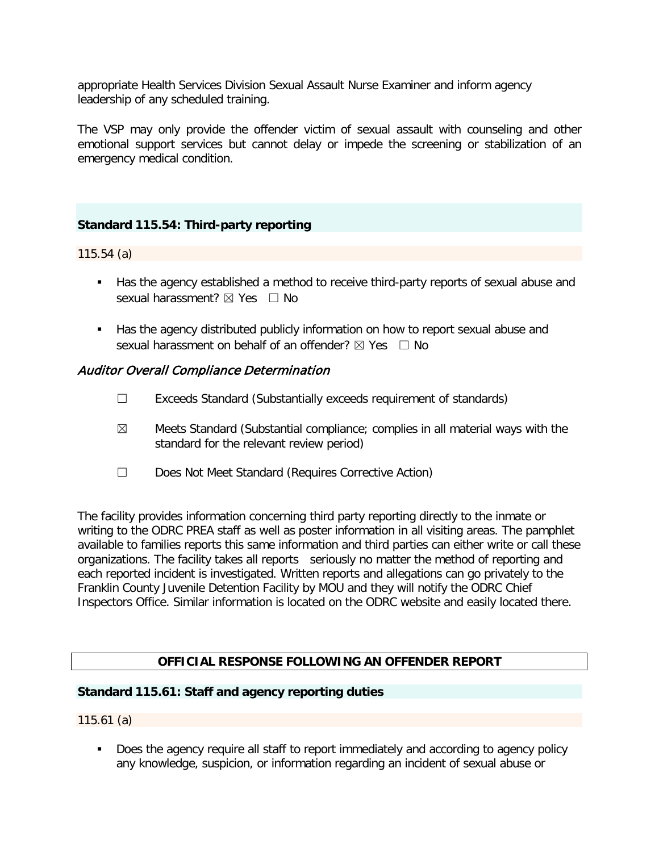appropriate Health Services Division Sexual Assault Nurse Examiner and inform agency leadership of any scheduled training.

The VSP may only provide the offender victim of sexual assault with counseling and other emotional support services but cannot delay or impede the screening or stabilization of an emergency medical condition.

# **Standard 115.54: Third-party reporting**

115.54 (a)

- Has the agency established a method to receive third-party reports of sexual abuse and sexual harassment? **⊠** Yes □ No
- Has the agency distributed publicly information on how to report sexual abuse and sexual harassment on behalf of an offender?  $\boxtimes$  Yes  $\Box$  No

## Auditor Overall Compliance Determination

- ☐ Exceeds Standard (Substantially exceeds requirement of standards)
- $\boxtimes$  Meets Standard (Substantial compliance; complies in all material ways with the standard for the relevant review period)
- ☐ Does Not Meet Standard (Requires Corrective Action)

The facility provides information concerning third party reporting directly to the inmate or writing to the ODRC PREA staff as well as poster information in all visiting areas. The pamphlet available to families reports this same information and third parties can either write or call these organizations. The facility takes all reports seriously no matter the method of reporting and each reported incident is investigated. Written reports and allegations can go privately to the Franklin County Juvenile Detention Facility by MOU and they will notify the ODRC Chief Inspectors Office. Similar information is located on the ODRC website and easily located there.

## **OFFICIAL RESPONSE FOLLOWING AN OFFENDER REPORT**

### **Standard 115.61: Staff and agency reporting duties**

115.61 (a)

 Does the agency require all staff to report immediately and according to agency policy any knowledge, suspicion, or information regarding an incident of sexual abuse or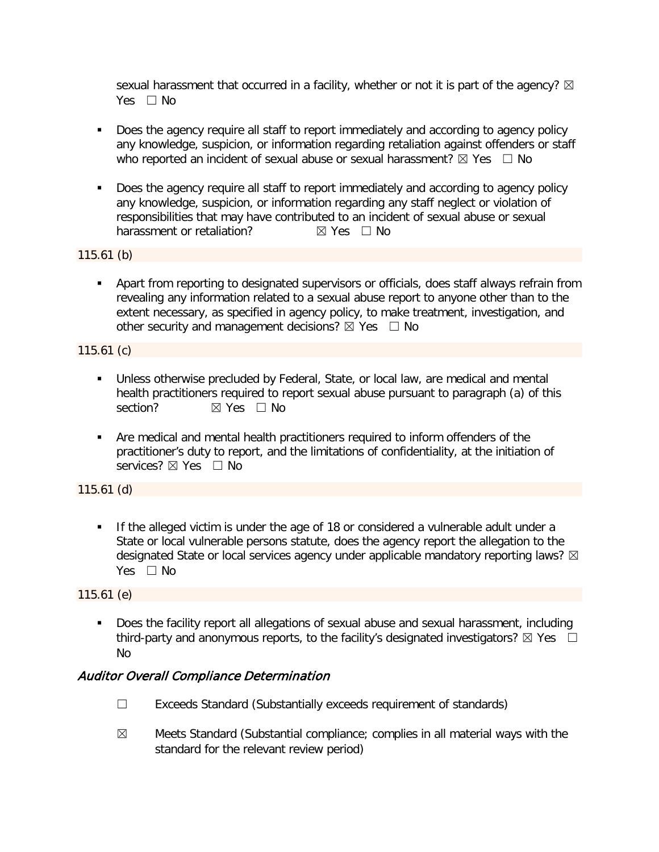sexual harassment that occurred in a facility, whether or not it is part of the agency?  $\boxtimes$ Yes □ No

- Does the agency require all staff to report immediately and according to agency policy any knowledge, suspicion, or information regarding retaliation against offenders or staff who reported an incident of sexual abuse or sexual harassment?  $\boxtimes$  Yes  $\Box$  No
- Does the agency require all staff to report immediately and according to agency policy any knowledge, suspicion, or information regarding any staff neglect or violation of responsibilities that may have contributed to an incident of sexual abuse or sexual harassment or retaliation?  $\boxtimes$  Yes  $\Box$  No harassment or retaliation?

115.61 (b)

 Apart from reporting to designated supervisors or officials, does staff always refrain from revealing any information related to a sexual abuse report to anyone other than to the extent necessary, as specified in agency policy, to make treatment, investigation, and other security and management decisions?  $\boxtimes$  Yes  $\Box$  No

115.61 (c)

- Unless otherwise precluded by Federal, State, or local law, are medical and mental health practitioners required to report sexual abuse pursuant to paragraph (a) of this section? **⊠** Yes □ No
- Are medical and mental health practitioners required to inform offenders of the practitioner's duty to report, and the limitations of confidentiality, at the initiation of services? ⊠ Yes □ No

115.61 (d)

**If the alleged victim is under the age of 18 or considered a vulnerable adult under a** State or local vulnerable persons statute, does the agency report the allegation to the designated State or local services agency under applicable mandatory reporting laws?  $\boxtimes$ Yes  $\Box$  No

115.61 (e)

 Does the facility report all allegations of sexual abuse and sexual harassment, including third-party and anonymous reports, to the facility's designated investigators?  $\boxtimes$  Yes  $\Box$ No

# Auditor Overall Compliance Determination

- ☐ Exceeds Standard (Substantially exceeds requirement of standards)
- $\boxtimes$  Meets Standard (Substantial compliance; complies in all material ways with the standard for the relevant review period)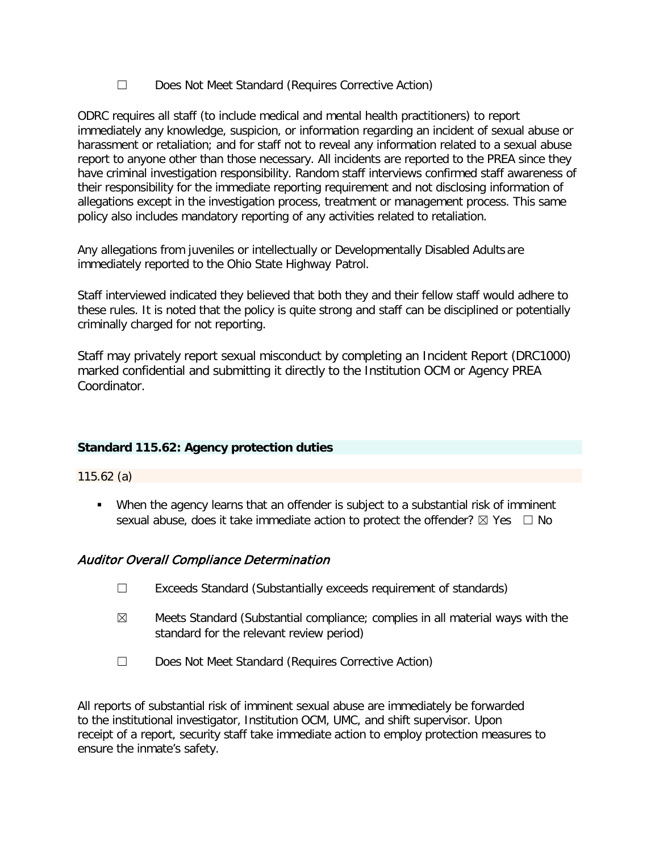☐ Does Not Meet Standard (Requires Corrective Action)

ODRC requires all staff (to include medical and mental health practitioners) to report immediately any knowledge, suspicion, or information regarding an incident of sexual abuse or harassment or retaliation; and for staff not to reveal any information related to a sexual abuse report to anyone other than those necessary. All incidents are reported to the PREA since they have criminal investigation responsibility. Random staff interviews confirmed staff awareness of their responsibility for the immediate reporting requirement and not disclosing information of allegations except in the investigation process, treatment or management process. This same policy also includes mandatory reporting of any activities related to retaliation.

Any allegations from juveniles or intellectually or Developmentally Disabled Adults are immediately reported to the Ohio State Highway Patrol.

Staff interviewed indicated they believed that both they and their fellow staff would adhere to these rules. It is noted that the policy is quite strong and staff can be disciplined or potentially criminally charged for not reporting.

Staff may privately report sexual misconduct by completing an Incident Report (DRC1000) marked confidential and submitting it directly to the Institution OCM or Agency PREA Coordinator.

# **Standard 115.62: Agency protection duties**

115.62 (a)

 When the agency learns that an offender is subject to a substantial risk of imminent sexual abuse, does it take immediate action to protect the offender?  $\boxtimes$  Yes  $\Box$  No

# Auditor Overall Compliance Determination

- ☐ Exceeds Standard (Substantially exceeds requirement of standards)
- $\boxtimes$  Meets Standard (Substantial compliance; complies in all material ways with the standard for the relevant review period)
- ☐ Does Not Meet Standard (Requires Corrective Action)

All reports of substantial risk of imminent sexual abuse are immediately be forwarded to the institutional investigator, Institution OCM, UMC, and shift supervisor. Upon receipt of a report, security staff take immediate action to employ protection measures to ensure the inmate's safety.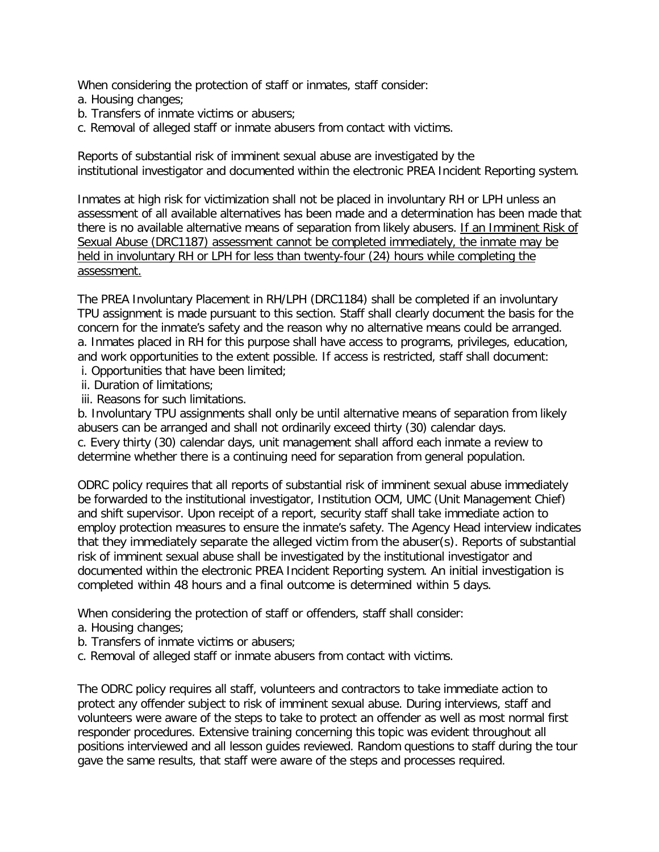When considering the protection of staff or inmates, staff consider:

- a. Housing changes;
- b. Transfers of inmate victims or abusers;
- c. Removal of alleged staff or inmate abusers from contact with victims.

Reports of substantial risk of imminent sexual abuse are investigated by the institutional investigator and documented within the electronic PREA Incident Reporting system.

Inmates at high risk for victimization shall not be placed in involuntary RH or LPH unless an assessment of all available alternatives has been made and a determination has been made that there is no available alternative means of separation from likely abusers. If an Imminent Risk of Sexual Abuse (DRC1187) assessment cannot be completed immediately, the inmate may be held in involuntary RH or LPH for less than twenty-four (24) hours while completing the assessment.

The PREA Involuntary Placement in RH/LPH (DRC1184) shall be completed if an involuntary TPU assignment is made pursuant to this section. Staff shall clearly document the basis for the concern for the inmate's safety and the reason why no alternative means could be arranged. a. Inmates placed in RH for this purpose shall have access to programs, privileges, education, and work opportunities to the extent possible. If access is restricted, staff shall document:

- i. Opportunities that have been limited;
- ii. Duration of limitations;
- iii. Reasons for such limitations.

b. Involuntary TPU assignments shall only be until alternative means of separation from likely abusers can be arranged and shall not ordinarily exceed thirty (30) calendar days. c. Every thirty (30) calendar days, unit management shall afford each inmate a review to determine whether there is a continuing need for separation from general population.

ODRC policy requires that all reports of substantial risk of imminent sexual abuse immediately be forwarded to the institutional investigator, Institution OCM, UMC (Unit Management Chief) and shift supervisor. Upon receipt of a report, security staff shall take immediate action to employ protection measures to ensure the inmate's safety. The Agency Head interview indicates that they immediately separate the alleged victim from the abuser(s). Reports of substantial risk of imminent sexual abuse shall be investigated by the institutional investigator and documented within the electronic PREA Incident Reporting system. An initial investigation is completed within 48 hours and a final outcome is determined within 5 days·.

When considering the protection of staff or offenders, staff shall consider:

- a. Housing changes;
- b. Transfers of inmate victims or abusers;
- c. Removal of alleged staff or inmate abusers from contact with victims.

The ODRC policy requires all staff, volunteers and contractors to take immediate action to protect any offender subject to risk of imminent sexual abuse. During interviews, staff and volunteers were aware of the steps to take to protect an offender as well as most normal first responder procedures. Extensive training concerning this topic was evident throughout all positions interviewed and all lesson guides reviewed. Random questions to staff during the tour gave the same results, that staff were aware of the steps and processes required.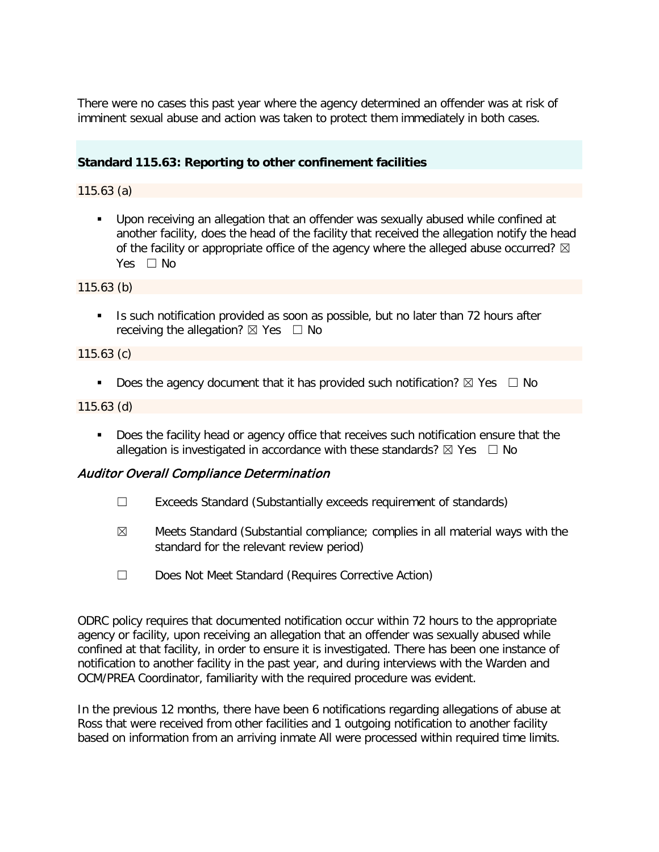There were no cases this past year where the agency determined an offender was at risk of imminent sexual abuse and action was taken to protect them immediately in both cases.

# **Standard 115.63: Reporting to other confinement facilities**

115.63 (a)

 Upon receiving an allegation that an offender was sexually abused while confined at another facility, does the head of the facility that received the allegation notify the head of the facility or appropriate office of the agency where the alleged abuse occurred?  $\boxtimes$ Yes  $\Box$  No

115.63 (b)

Is such notification provided as soon as possible, but no later than 72 hours after receiving the allegation?  $\boxtimes$  Yes  $\Box$  No

115.63 (c)

Does the agency document that it has provided such notification?  $\boxtimes$  Yes  $\Box$  No

115.63 (d)

Does the facility head or agency office that receives such notification ensure that the allegation is investigated in accordance with these standards?  $\boxtimes$  Yes  $\Box$  No

## Auditor Overall Compliance Determination

- ☐ Exceeds Standard (Substantially exceeds requirement of standards)
- $\boxtimes$  Meets Standard (Substantial compliance; complies in all material ways with the standard for the relevant review period)
- ☐ Does Not Meet Standard (Requires Corrective Action)

ODRC policy requires that documented notification occur within 72 hours to the appropriate agency or facility, upon receiving an allegation that an offender was sexually abused while confined at that facility, in order to ensure it is investigated. There has been one instance of notification to another facility in the past year, and during interviews with the Warden and OCM/PREA Coordinator, familiarity with the required procedure was evident.

In the previous 12 months, there have been 6 notifications regarding allegations of abuse at Ross that were received from other facilities and 1 outgoing notification to another facility based on information from an arriving inmate All were processed within required time limits.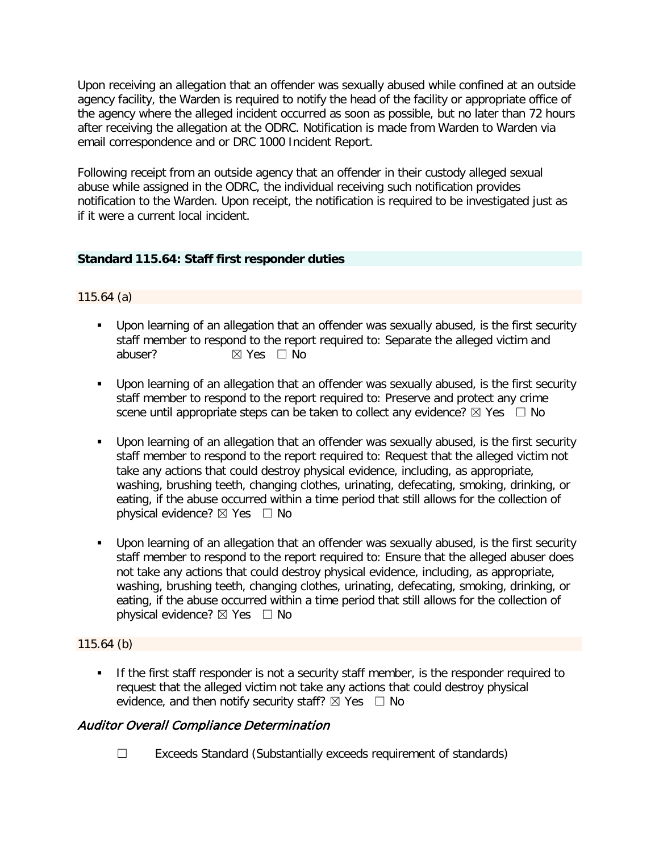Upon receiving an allegation that an offender was sexually abused while confined at an outside agency facility, the Warden is required to notify the head of the facility or appropriate office of the agency where the alleged incident occurred as soon as possible, but no later than 72 hours after receiving the allegation at the ODRC. Notification is made from Warden to Warden via email correspondence and or DRC 1000 Incident Report.

Following receipt from an outside agency that an offender in their custody alleged sexual abuse while assigned in the ODRC, the individual receiving such notification provides notification to the Warden. Upon receipt, the notification is required to be investigated just as if it were a current local incident.

## **Standard 115.64: Staff first responder duties**

## 115.64 (a)

- Upon learning of an allegation that an offender was sexually abused, is the first security staff member to respond to the report required to: Separate the alleged victim and abuser? <br> <del>⊠</del> Yes □ No
- Upon learning of an allegation that an offender was sexually abused, is the first security staff member to respond to the report required to: Preserve and protect any crime scene until appropriate steps can be taken to collect any evidence?  $\boxtimes$  Yes  $\Box$  No
- Upon learning of an allegation that an offender was sexually abused, is the first security staff member to respond to the report required to: Request that the alleged victim not take any actions that could destroy physical evidence, including, as appropriate, washing, brushing teeth, changing clothes, urinating, defecating, smoking, drinking, or eating, if the abuse occurred within a time period that still allows for the collection of physical evidence?  $\boxtimes$  Yes  $\Box$  No
- Upon learning of an allegation that an offender was sexually abused, is the first security staff member to respond to the report required to: Ensure that the alleged abuser does not take any actions that could destroy physical evidence, including, as appropriate, washing, brushing teeth, changing clothes, urinating, defecating, smoking, drinking, or eating, if the abuse occurred within a time period that still allows for the collection of physical evidence?  $\boxtimes$  Yes  $\Box$  No

## 115.64 (b)

If the first staff responder is not a security staff member, is the responder required to request that the alleged victim not take any actions that could destroy physical evidence, and then notify security staff?  $\boxtimes$  Yes  $\Box$  No

# Auditor Overall Compliance Determination

☐ Exceeds Standard (Substantially exceeds requirement of standards)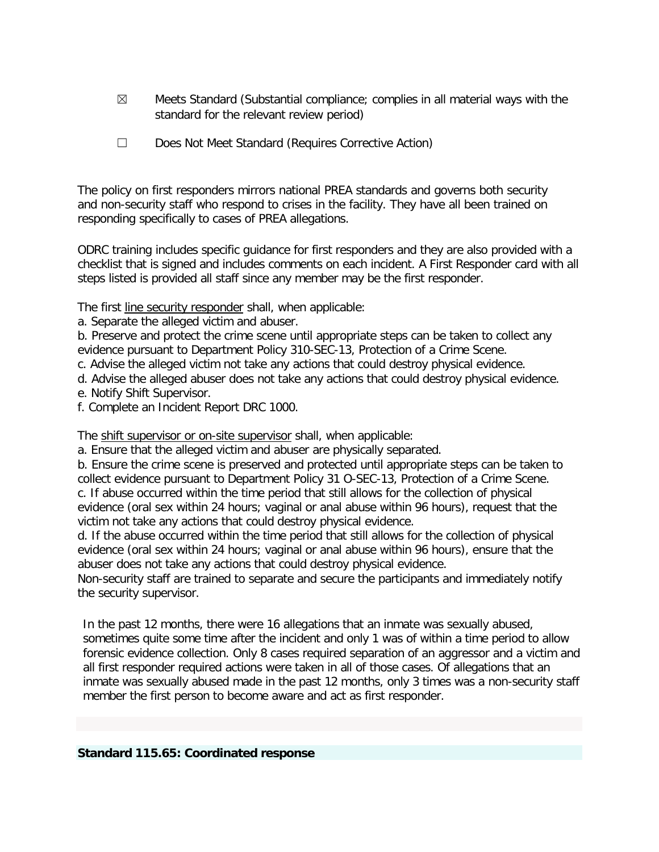- $\boxtimes$  Meets Standard (Substantial compliance; complies in all material ways with the standard for the relevant review period)
- ☐ Does Not Meet Standard (Requires Corrective Action)

The policy on first responders mirrors national PREA standards and governs both security and non-security staff who respond to crises in the facility. They have all been trained on responding specifically to cases of PREA allegations.

ODRC training includes specific guidance for first responders and they are also provided with a checklist that is signed and includes comments on each incident. A First Responder card with all steps listed is provided all staff since any member may be the first responder.

The first line security responder shall, when applicable:

a. Separate the alleged victim and abuser.

b. Preserve and protect the crime scene until appropriate steps can be taken to collect any evidence pursuant to Department Policy 310-SEC-13, Protection of a Crime Scene.

c. Advise the alleged victim not take any actions that could destroy physical evidence.

d. Advise the alleged abuser does not take any actions that could destroy physical evidence.

e. Notify Shift Supervisor.

f. Complete an Incident Report DRC 1000.

The shift supervisor or on-site supervisor shall, when applicable:

a. Ensure that the alleged victim and abuser are physically separated.

b. Ensure the crime scene is preserved and protected until appropriate steps can be taken to collect evidence pursuant to Department Policy 31 O-SEC-13, Protection of a Crime Scene. c. If abuse occurred within the time period that still allows for the collection of physical evidence (oral sex within 24 hours; vaginal or anal abuse within 96 hours), request that the victim not take any actions that could destroy physical evidence.

d. If the abuse occurred within the time period that still allows for the collection of physical evidence (oral sex within 24 hours; vaginal or anal abuse within 96 hours), ensure that the abuser does not take any actions that could destroy physical evidence.

Non-security staff are trained to separate and secure the participants and immediately notify the security supervisor.

In the past 12 months, there were 16 allegations that an inmate was sexually abused, sometimes quite some time after the incident and only 1 was of within a time period to allow forensic evidence collection. Only 8 cases required separation of an aggressor and a victim and all first responder required actions were taken in all of those cases. Of allegations that an inmate was sexually abused made in the past 12 months, only 3 times was a non-security staff member the first person to become aware and act as first responder.

## **Standard 115.65: Coordinated response**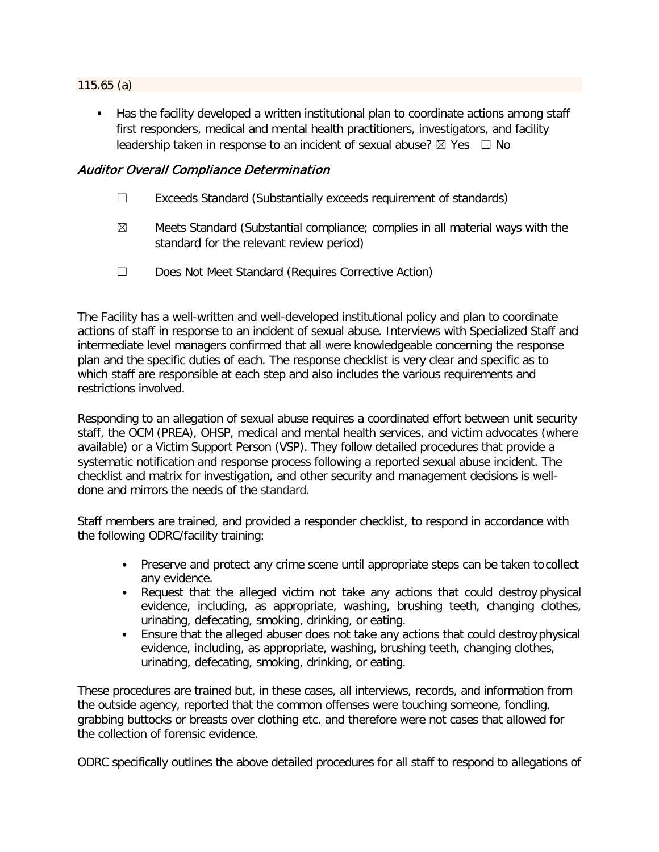#### 115.65 (a)

 Has the facility developed a written institutional plan to coordinate actions among staff first responders, medical and mental health practitioners, investigators, and facility leadership taken in response to an incident of sexual abuse?  $\boxtimes$  Yes  $\Box$  No

## Auditor Overall Compliance Determination

- ☐ Exceeds Standard (Substantially exceeds requirement of standards)
- $\boxtimes$  Meets Standard (Substantial compliance; complies in all material ways with the standard for the relevant review period)
- ☐ Does Not Meet Standard (Requires Corrective Action)

The Facility has a well-written and well-developed institutional policy and plan to coordinate actions of staff in response to an incident of sexual abuse. Interviews with Specialized Staff and intermediate level managers confirmed that all were knowledgeable concerning the response plan and the specific duties of each. The response checklist is very clear and specific as to which staff are responsible at each step and also includes the various requirements and restrictions involved.

Responding to an allegation of sexual abuse requires a coordinated effort between unit security staff, the OCM (PREA), OHSP, medical and mental health services, and victim advocates (where available) or a Victim Support Person (VSP). They follow detailed procedures that provide a systematic notification and response process following a reported sexual abuse incident. The checklist and matrix for investigation, and other security and management decisions is welldone and mirrors the needs of the standard.

Staff members are trained, and provided a responder checklist, to respond in accordance with the following ODRC/facility training:

- Preserve and protect any crime scene until appropriate steps can be taken to collect any evidence.
- Request that the alleged victim not take any actions that could destroy physical evidence, including, as appropriate, washing, brushing teeth, changing clothes, urinating, defecating, smoking, drinking, or eating.
- Ensure that the alleged abuser does not take any actions that could destroy physical evidence, including, as appropriate, washing, brushing teeth, changing clothes, urinating, defecating, smoking, drinking, or eating.

These procedures are trained but, in these cases, all interviews, records, and information from the outside agency, reported that the common offenses were touching someone, fondling, grabbing buttocks or breasts over clothing etc. and therefore were not cases that allowed for the collection of forensic evidence.

ODRC specifically outlines the above detailed procedures for all staff to respond to allegations of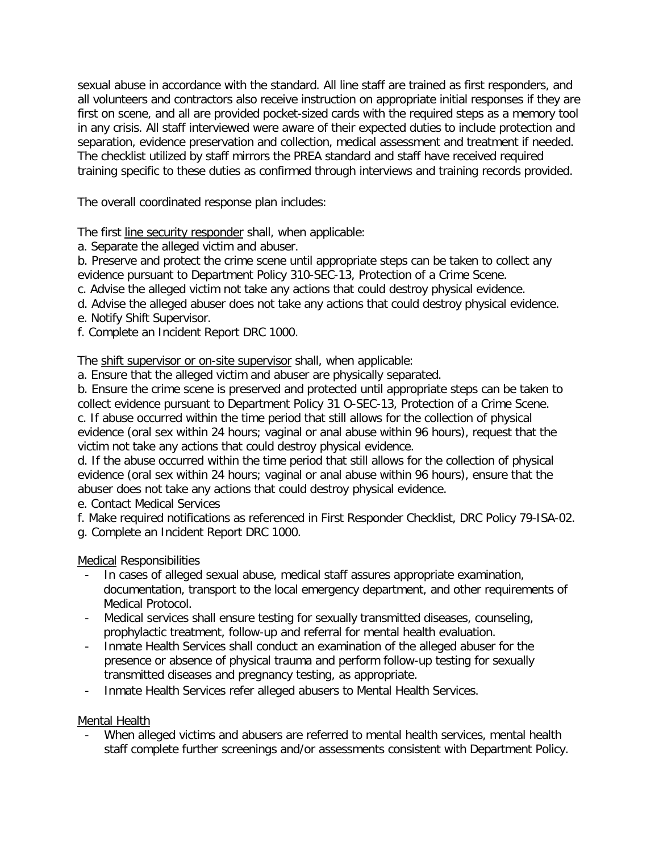sexual abuse in accordance with the standard. All line staff are trained as first responders, and all volunteers and contractors also receive instruction on appropriate initial responses if they are first on scene, and all are provided pocket-sized cards with the required steps as a memory tool in any crisis. All staff interviewed were aware of their expected duties to include protection and separation, evidence preservation and collection, medical assessment and treatment if needed. The checklist utilized by staff mirrors the PREA standard and staff have received required training specific to these duties as confirmed through interviews and training records provided.

The overall coordinated response plan includes:

The first line security responder shall, when applicable:

a. Separate the alleged victim and abuser.

b. Preserve and protect the crime scene until appropriate steps can be taken to collect any evidence pursuant to Department Policy 310-SEC-13, Protection of a Crime Scene.

c. Advise the alleged victim not take any actions that could destroy physical evidence.

- d. Advise the alleged abuser does not take any actions that could destroy physical evidence.
- e. Notify Shift Supervisor.
- f. Complete an Incident Report DRC 1000.

The shift supervisor or on-site supervisor shall, when applicable:

a. Ensure that the alleged victim and abuser are physically separated.

b. Ensure the crime scene is preserved and protected until appropriate steps can be taken to collect evidence pursuant to Department Policy 31 O-SEC-13, Protection of a Crime Scene.

c. If abuse occurred within the time period that still allows for the collection of physical evidence (oral sex within 24 hours; vaginal or anal abuse within 96 hours), request that the victim not take any actions that could destroy physical evidence.

d. If the abuse occurred within the time period that still allows for the collection of physical evidence (oral sex within 24 hours; vaginal or anal abuse within 96 hours), ensure that the abuser does not take any actions that could destroy physical evidence.

e. Contact Medical Services

f. Make required notifications as referenced in First Responder Checklist, DRC Policy 79-ISA-02.

g. Complete an Incident Report DRC 1000.

Medical Responsibilities

- In cases of alleged sexual abuse, medical staff assures appropriate examination, documentation, transport to the local emergency department, and other requirements of Medical Protocol.
- Medical services shall ensure testing for sexually transmitted diseases, counseling, prophylactic treatment, follow-up and referral for mental health evaluation.
- Inmate Health Services shall conduct an examination of the alleged abuser for the presence or absence of physical trauma and perform follow-up testing for sexually transmitted diseases and pregnancy testing, as appropriate.
- Inmate Health Services refer alleged abusers to Mental Health Services.

Mental Health

When alleged victims and abusers are referred to mental health services, mental health staff complete further screenings and/or assessments consistent with Department Policy.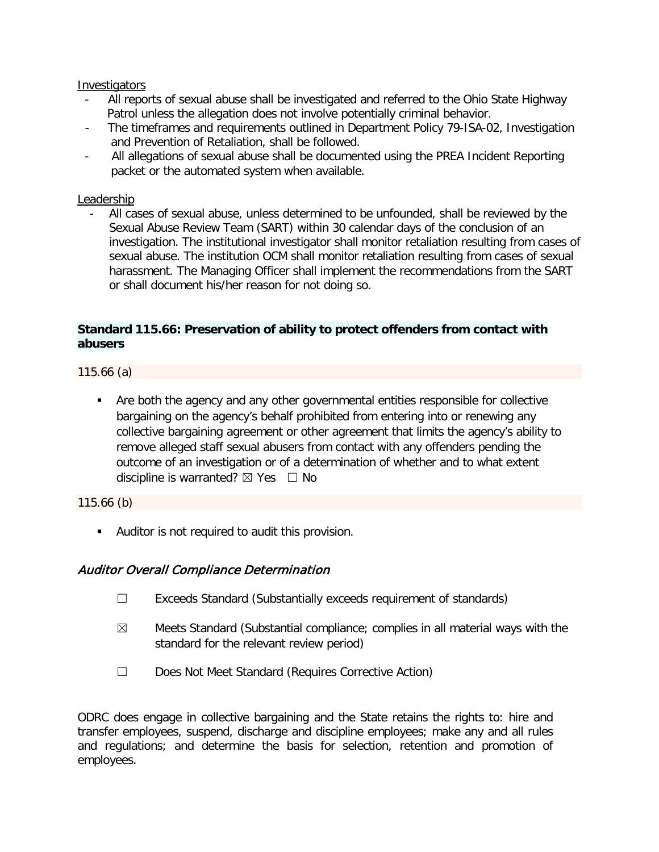#### **Investigators**

- All reports of sexual abuse shall be investigated and referred to the Ohio State Highway Patrol unless the allegation does not involve potentially criminal behavior.
- The timeframes and requirements outlined in Department Policy 79-ISA-02, Investigation and Prevention of Retaliation, shall be followed.
- All allegations of sexual abuse shall be documented using the PREA Incident Reporting packet or the automated system when available.

## Leadership

All cases of sexual abuse, unless determined to be unfounded, shall be reviewed by the Sexual Abuse Review Team (SART) within 30 calendar days of the conclusion of an investigation. The institutional investigator shall monitor retaliation resulting from cases of sexual abuse. The institution OCM shall monitor retaliation resulting from cases of sexual harassment. The Managing Officer shall implement the recommendations from the SART or shall document his/her reason for not doing so.

## **Standard 115.66: Preservation of ability to protect offenders from contact with abusers**

115.66 (a)

 Are both the agency and any other governmental entities responsible for collective bargaining on the agency's behalf prohibited from entering into or renewing any collective bargaining agreement or other agreement that limits the agency's ability to remove alleged staff sexual abusers from contact with any offenders pending the outcome of an investigation or of a determination of whether and to what extent discipline is warranted?  $\boxtimes$  Yes  $\Box$  No

## 115.66 (b)

Auditor is not required to audit this provision.

# Auditor Overall Compliance Determination

- ☐ Exceeds Standard (Substantially exceeds requirement of standards)
- $\boxtimes$  Meets Standard (Substantial compliance; complies in all material ways with the standard for the relevant review period)
- ☐ Does Not Meet Standard (Requires Corrective Action)

ODRC does engage in collective bargaining and the State retains the rights to: hire and transfer employees, suspend, discharge and discipline employees; make any and all rules and regulations; and determine the basis for selection, retention and promotion of employees.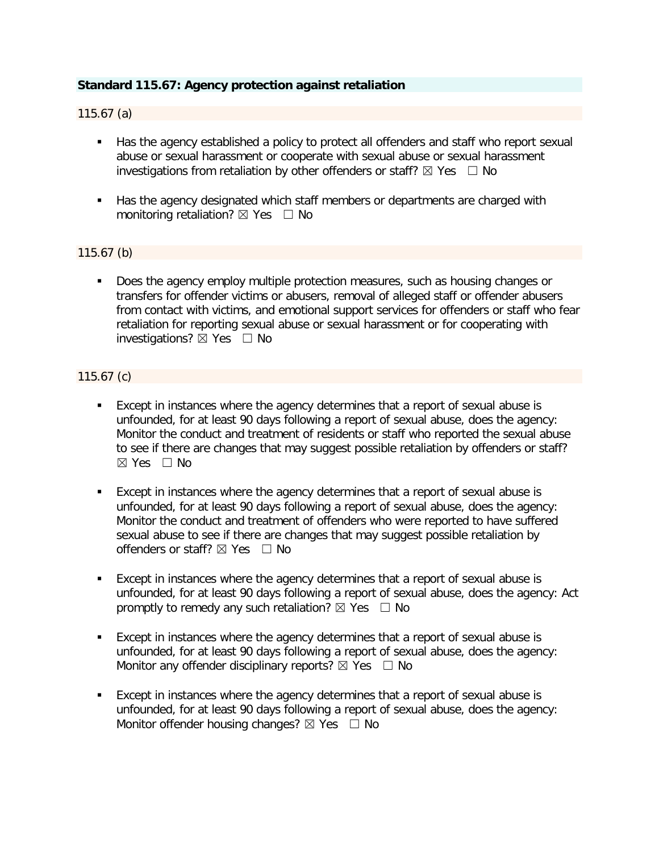## **Standard 115.67: Agency protection against retaliation**

#### 115.67 (a)

- Has the agency established a policy to protect all offenders and staff who report sexual abuse or sexual harassment or cooperate with sexual abuse or sexual harassment investigations from retaliation by other offenders or staff?  $\boxtimes$  Yes  $\Box$  No
- Has the agency designated which staff members or departments are charged with monitoring retaliation?  $\boxtimes$  Yes  $\Box$  No

#### 115.67 (b)

Does the agency employ multiple protection measures, such as housing changes or transfers for offender victims or abusers, removal of alleged staff or offender abusers from contact with victims, and emotional support services for offenders or staff who fear retaliation for reporting sexual abuse or sexual harassment or for cooperating with investigations?  $\boxtimes$  Yes  $\Box$  No

#### 115.67 (c)

- Except in instances where the agency determines that a report of sexual abuse is unfounded, for at least 90 days following a report of sexual abuse, does the agency: Monitor the conduct and treatment of residents or staff who reported the sexual abuse to see if there are changes that may suggest possible retaliation by offenders or staff? ☒ Yes ☐ No
- Except in instances where the agency determines that a report of sexual abuse is unfounded, for at least 90 days following a report of sexual abuse, does the agency: Monitor the conduct and treatment of offenders who were reported to have suffered sexual abuse to see if there are changes that may suggest possible retaliation by offenders or staff?  $\boxtimes$  Yes  $\Box$  No
- Except in instances where the agency determines that a report of sexual abuse is unfounded, for at least 90 days following a report of sexual abuse, does the agency: Act promptly to remedy any such retaliation?  $\boxtimes$  Yes  $\Box$  No
- Except in instances where the agency determines that a report of sexual abuse is unfounded, for at least 90 days following a report of sexual abuse, does the agency: Monitor any offender disciplinary reports?  $\boxtimes$  Yes  $\Box$  No
- Except in instances where the agency determines that a report of sexual abuse is unfounded, for at least 90 days following a report of sexual abuse, does the agency: Monitor offender housing changes?  $\boxtimes$  Yes  $\Box$  No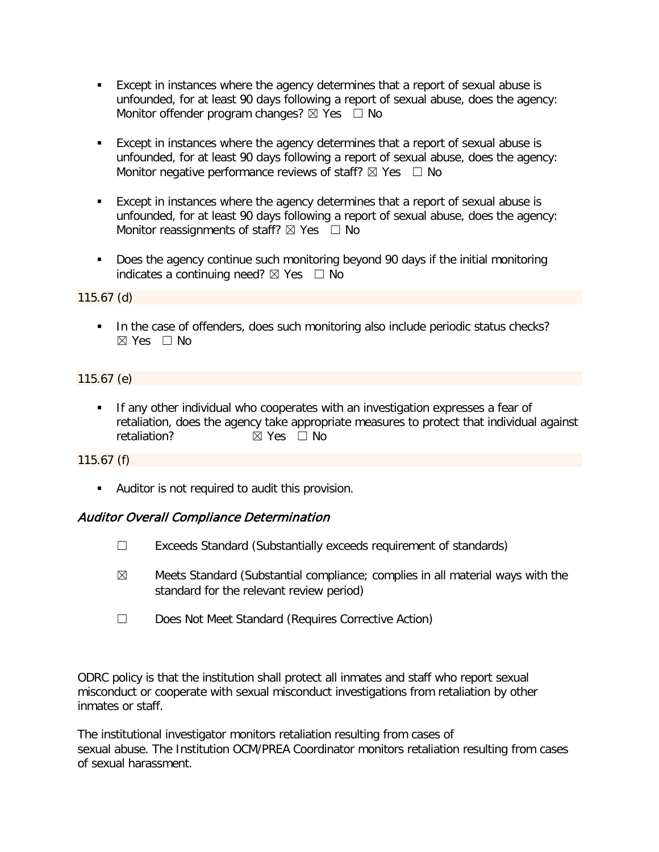- Except in instances where the agency determines that a report of sexual abuse is unfounded, for at least 90 days following a report of sexual abuse, does the agency: Monitor offender program changes?  $\boxtimes$  Yes  $\Box$  No
- Except in instances where the agency determines that a report of sexual abuse is unfounded, for at least 90 days following a report of sexual abuse, does the agency: Monitor negative performance reviews of staff?  $\boxtimes$  Yes  $\Box$  No
- Except in instances where the agency determines that a report of sexual abuse is unfounded, for at least 90 days following a report of sexual abuse, does the agency: Monitor reassignments of staff?  $\boxtimes$  Yes  $\Box$  No
- Does the agency continue such monitoring beyond 90 days if the initial monitoring indicates a continuing need?  $\boxtimes$  Yes  $\Box$  No

## 115.67 (d)

In the case of offenders, does such monitoring also include periodic status checks?  $\boxtimes$  Yes  $\Box$  No

## 115.67 (e)

**If any other individual who cooperates with an investigation expresses a fear of** retaliation, does the agency take appropriate measures to protect that individual against retaliation? **⊠** Yes □ No

## 115.67 (f)

Auditor is not required to audit this provision.

## Auditor Overall Compliance Determination

- ☐ Exceeds Standard (Substantially exceeds requirement of standards)
- $\boxtimes$  Meets Standard (Substantial compliance; complies in all material ways with the standard for the relevant review period)
- ☐ Does Not Meet Standard (Requires Corrective Action)

ODRC policy is that the institution shall protect all inmates and staff who report sexual misconduct or cooperate with sexual misconduct investigations from retaliation by other inmates or staff.

The institutional investigator monitors retaliation resulting from cases of sexual abuse. The Institution OCM/PREA Coordinator monitors retaliation resulting from cases of sexual harassment.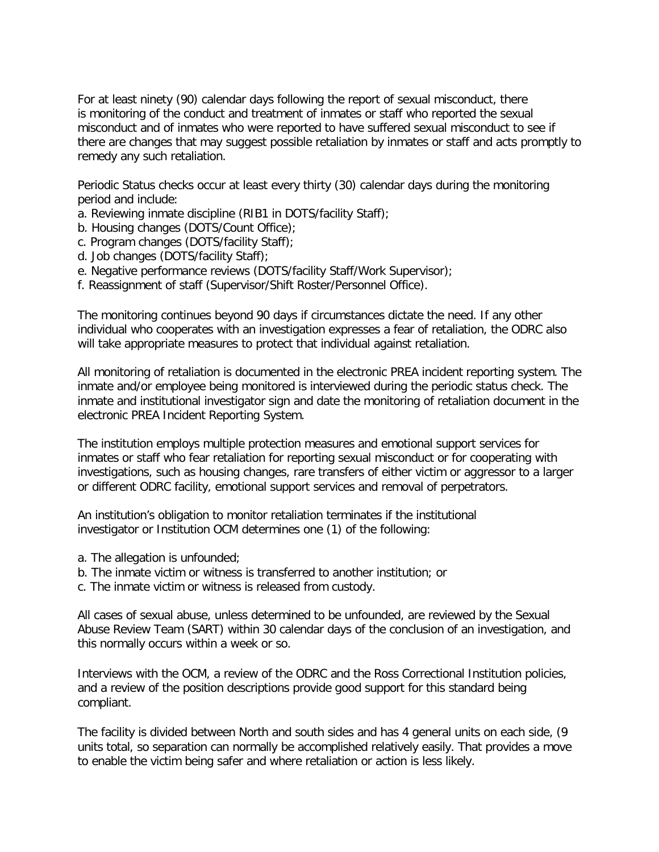For at least ninety (90) calendar days following the report of sexual misconduct, there is monitoring of the conduct and treatment of inmates or staff who reported the sexual misconduct and of inmates who were reported to have suffered sexual misconduct to see if there are changes that may suggest possible retaliation by inmates or staff and acts promptly to remedy any such retaliation.

Periodic Status checks occur at least every thirty (30) calendar days during the monitoring period and include:

- a. Reviewing inmate discipline (RIB1 in DOTS/facility Staff);
- b. Housing changes (DOTS/Count Office);
- c. Program changes (DOTS/facility Staff);
- d. Job changes (DOTS/facility Staff);
- e. Negative performance reviews (DOTS/facility Staff/Work Supervisor);
- f. Reassignment of staff (Supervisor/Shift Roster/Personnel Office).

The monitoring continues beyond 90 days if circumstances dictate the need. If any other individual who cooperates with an investigation expresses a fear of retaliation, the ODRC also will take appropriate measures to protect that individual against retaliation.

All monitoring of retaliation is documented in the electronic PREA incident reporting system. The inmate and/or employee being monitored is interviewed during the periodic status check. The inmate and institutional investigator sign and date the monitoring of retaliation document in the electronic PREA Incident Reporting System.

The institution employs multiple protection measures and emotional support services for inmates or staff who fear retaliation for reporting sexual misconduct or for cooperating with investigations, such as housing changes, rare transfers of either victim or aggressor to a larger or different ODRC facility, emotional support services and removal of perpetrators.

An institution's obligation to monitor retaliation terminates if the institutional investigator or Institution OCM determines one (1) of the following:

- a. The allegation is unfounded;
- b. The inmate victim or witness is transferred to another institution; or
- c. The inmate victim or witness is released from custody.

All cases of sexual abuse, unless determined to be unfounded, are reviewed by the Sexual Abuse Review Team (SART) within 30 calendar days of the conclusion of an investigation, and this normally occurs within a week or so.

Interviews with the OCM, a review of the ODRC and the Ross Correctional Institution policies, and a review of the position descriptions provide good support for this standard being compliant.

The facility is divided between North and south sides and has 4 general units on each side, (9 units total, so separation can normally be accomplished relatively easily. That provides a move to enable the victim being safer and where retaliation or action is less likely.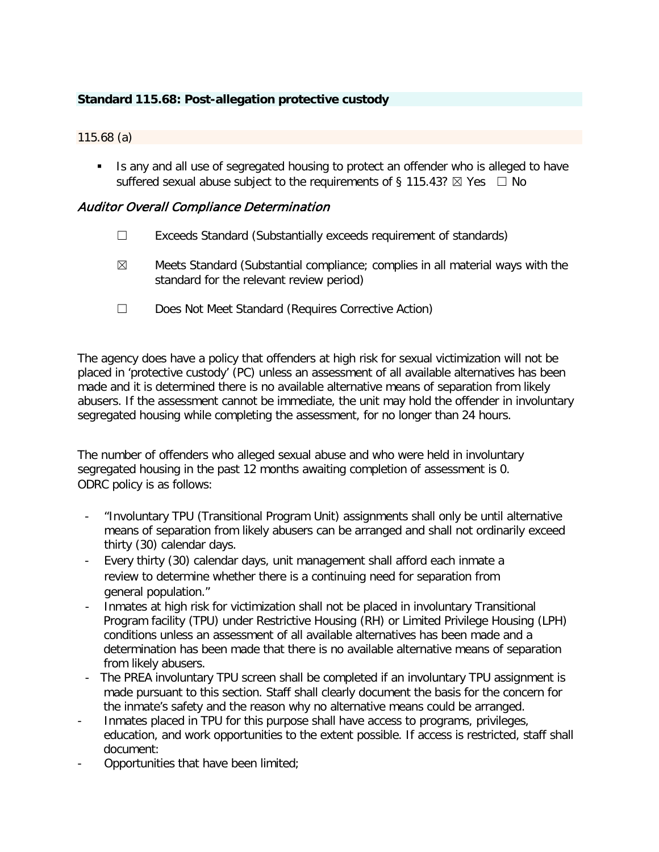# **Standard 115.68: Post-allegation protective custody**

#### 115.68 (a)

Is any and all use of segregated housing to protect an offender who is alleged to have suffered sexual abuse subject to the requirements of § 115.43?  $\boxtimes$  Yes  $\Box$  No

## Auditor Overall Compliance Determination

- $\Box$  Exceeds Standard (Substantially exceeds requirement of standards)
- $\boxtimes$  Meets Standard (Substantial compliance; complies in all material ways with the standard for the relevant review period)
- ☐ Does Not Meet Standard (Requires Corrective Action)

The agency does have a policy that offenders at high risk for sexual victimization will not be placed in 'protective custody' (PC) unless an assessment of all available alternatives has been made and it is determined there is no available alternative means of separation from likely abusers. If the assessment cannot be immediate, the unit may hold the offender in involuntary segregated housing while completing the assessment, for no longer than 24 hours.

The number of offenders who alleged sexual abuse and who were held in involuntary segregated housing in the past 12 months awaiting completion of assessment is 0. ODRC policy is as follows:

- "Involuntary TPU (Transitional Program Unit) assignments shall only be until alternative means of separation from likely abusers can be arranged and shall not ordinarily exceed thirty (30) calendar days.
- Every thirty (30) calendar days, unit management shall afford each inmate a review to determine whether there is a continuing need for separation from general population."
- Inmates at high risk for victimization shall not be placed in involuntary Transitional Program facility (TPU) under Restrictive Housing (RH) or Limited Privilege Housing (LPH) conditions unless an assessment of all available alternatives has been made and a determination has been made that there is no available alternative means of separation from likely abusers.
- The PREA involuntary TPU screen shall be completed if an involuntary TPU assignment is made pursuant to this section. Staff shall clearly document the basis for the concern for the inmate's safety and the reason why no alternative means could be arranged.
- Inmates placed in TPU for this purpose shall have access to programs, privileges, education, and work opportunities to the extent possible. If access is restricted, staff shall document:
- Opportunities that have been limited;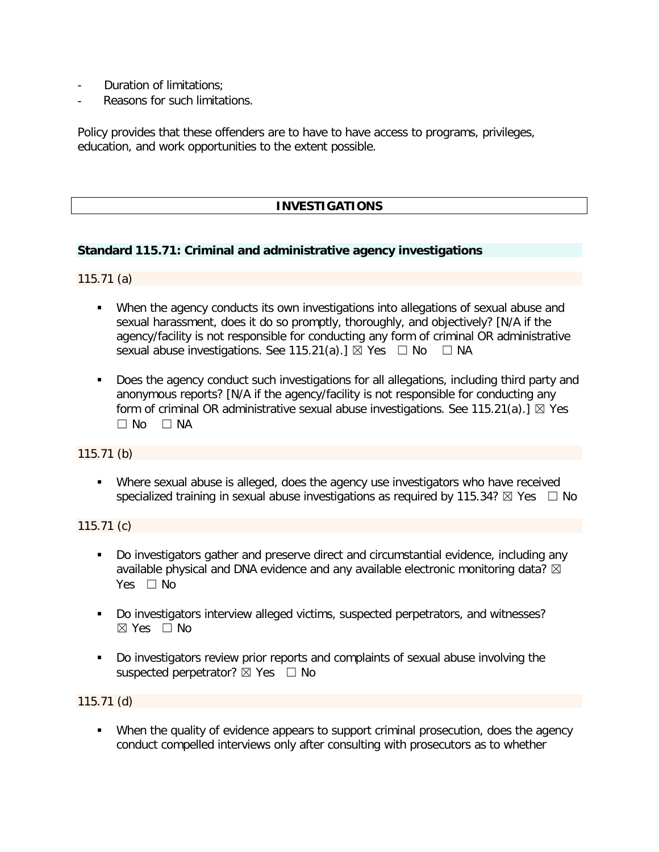- Duration of limitations:
- Reasons for such limitations.

Policy provides that these offenders are to have to have access to programs, privileges, education, and work opportunities to the extent possible.

# **INVESTIGATIONS**

#### **Standard 115.71: Criminal and administrative agency investigations**

115.71 (a)

- When the agency conducts its own investigations into allegations of sexual abuse and sexual harassment, does it do so promptly, thoroughly, and objectively? [N/A if the agency/facility is not responsible for conducting any form of criminal OR administrative sexual abuse investigations. See 115.21(a).]  $\boxtimes$  Yes  $\Box$  No  $\Box$  NA
- Does the agency conduct such investigations for all allegations, including third party and anonymous reports? [N/A if the agency/facility is not responsible for conducting any form of criminal OR administrative sexual abuse investigations. See 115.21(a).]  $\boxtimes$  Yes  $\Box$  No  $\Box$  NA

#### 115.71 (b)

 Where sexual abuse is alleged, does the agency use investigators who have received specialized training in sexual abuse investigations as required by 115.34?  $\boxtimes$  Yes  $\Box$  No

115.71 (c)

- Do investigators gather and preserve direct and circumstantial evidence, including any available physical and DNA evidence and any available electronic monitoring data?  $\boxtimes$ Yes □ No
- Do investigators interview alleged victims, suspected perpetrators, and witnesses?  $\boxtimes$  Yes  $\Box$  No
- Do investigators review prior reports and complaints of sexual abuse involving the suspected perpetrator?  $\boxtimes$  Yes  $\Box$  No

115.71 (d)

 When the quality of evidence appears to support criminal prosecution, does the agency conduct compelled interviews only after consulting with prosecutors as to whether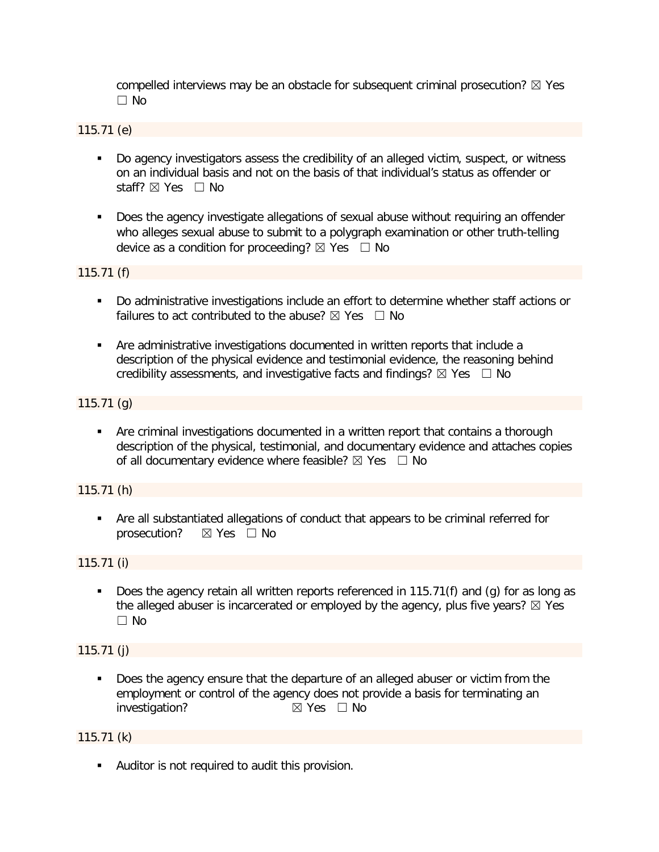compelled interviews may be an obstacle for subsequent criminal prosecution?  $\boxtimes$  Yes ☐ No

115.71 (e)

- Do agency investigators assess the credibility of an alleged victim, suspect, or witness on an individual basis and not on the basis of that individual's status as offender or staff? ⊠ Yes □ No
- **Does the agency investigate allegations of sexual abuse without requiring an offender** who alleges sexual abuse to submit to a polygraph examination or other truth-telling device as a condition for proceeding?  $\boxtimes$  Yes  $\Box$  No

115.71 (f)

- Do administrative investigations include an effort to determine whether staff actions or failures to act contributed to the abuse?  $\boxtimes$  Yes  $\Box$  No
- Are administrative investigations documented in written reports that include a description of the physical evidence and testimonial evidence, the reasoning behind credibility assessments, and investigative facts and findings?  $\boxtimes$  Yes  $\Box$  No

## 115.71 (g)

 Are criminal investigations documented in a written report that contains a thorough description of the physical, testimonial, and documentary evidence and attaches copies of all documentary evidence where feasible?  $\boxtimes$  Yes  $\Box$  No

## 115.71 (h)

 Are all substantiated allegations of conduct that appears to be criminal referred for prosecution? ⊠ Yes □ No

115.71 (i)

Does the agency retain all written reports referenced in 115.71(f) and (g) for as long as the alleged abuser is incarcerated or employed by the agency, plus five years?  $\boxtimes$  Yes ☐ No

115.71 (j)

 Does the agency ensure that the departure of an alleged abuser or victim from the employment or control of the agency does not provide a basis for terminating an investigation? **investigation? investigation**? **investigation** 

115.71 (k)

**Auditor is not required to audit this provision.**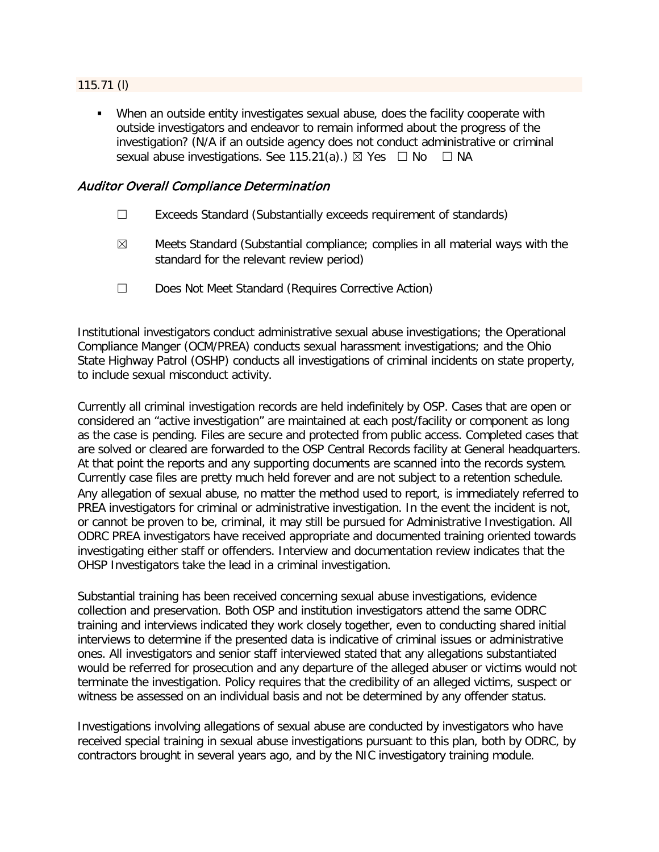## 115.71 (l)

 When an outside entity investigates sexual abuse, does the facility cooperate with outside investigators and endeavor to remain informed about the progress of the investigation? (N/A if an outside agency does not conduct administrative or criminal sexual abuse investigations. See 115.21(a).)  $\boxtimes$  Yes  $\Box$  No  $\Box$  NA

## Auditor Overall Compliance Determination

- ☐ Exceeds Standard (Substantially exceeds requirement of standards)
- $\boxtimes$  Meets Standard (Substantial compliance; complies in all material ways with the standard for the relevant review period)
- ☐ Does Not Meet Standard (Requires Corrective Action)

Institutional investigators conduct administrative sexual abuse investigations; the Operational Compliance Manger (OCM/PREA) conducts sexual harassment investigations; and the Ohio State Highway Patrol (OSHP) conducts all investigations of criminal incidents on state property, to include sexual misconduct activity.

Currently all criminal investigation records are held indefinitely by OSP. Cases that are open or considered an "active investigation" are maintained at each post/facility or component as long as the case is pending. Files are secure and protected from public access. Completed cases that are solved or cleared are forwarded to the OSP Central Records facility at General headquarters. At that point the reports and any supporting documents are scanned into the records system. Currently case files are pretty much held forever and are not subject to a retention schedule. Any allegation of sexual abuse, no matter the method used to report, is immediately referred to PREA investigators for criminal or administrative investigation. In the event the incident is not, or cannot be proven to be, criminal, it may still be pursued for Administrative Investigation. All ODRC PREA investigators have received appropriate and documented training oriented towards investigating either staff or offenders. Interview and documentation review indicates that the OHSP Investigators take the lead in a criminal investigation.

Substantial training has been received concerning sexual abuse investigations, evidence collection and preservation. Both OSP and institution investigators attend the same ODRC training and interviews indicated they work closely together, even to conducting shared initial interviews to determine if the presented data is indicative of criminal issues or administrative ones. All investigators and senior staff interviewed stated that any allegations substantiated would be referred for prosecution and any departure of the alleged abuser or victims would not terminate the investigation. Policy requires that the credibility of an alleged victims, suspect or witness be assessed on an individual basis and not be determined by any offender status.

Investigations involving allegations of sexual abuse are conducted by investigators who have received special training in sexual abuse investigations pursuant to this plan, both by ODRC, by contractors brought in several years ago, and by the NIC investigatory training module.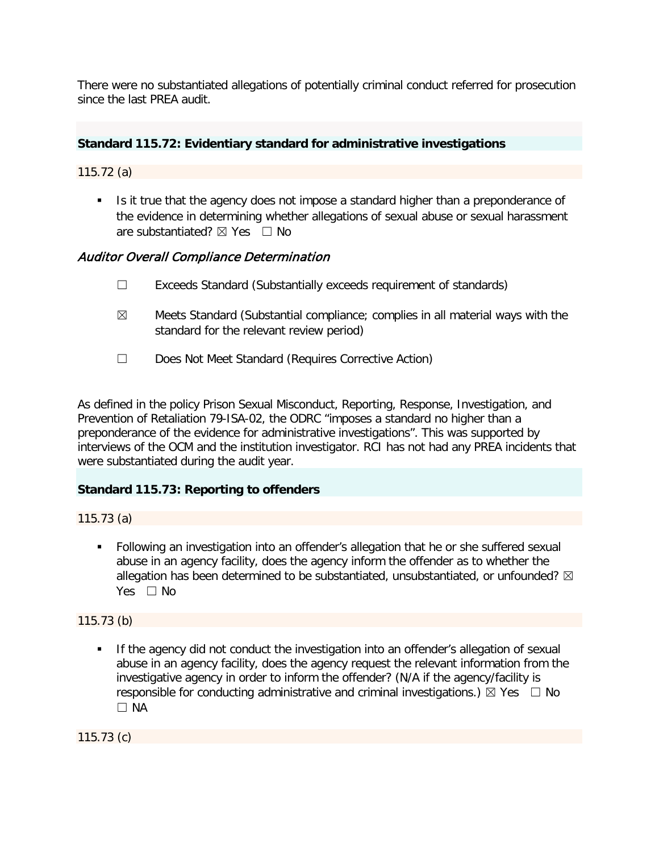There were no substantiated allegations of potentially criminal conduct referred for prosecution since the last PREA audit.

## **Standard 115.72: Evidentiary standard for administrative investigations**

115.72 (a)

Is it true that the agency does not impose a standard higher than a preponderance of the evidence in determining whether allegations of sexual abuse or sexual harassment are substantiated?  $\boxtimes$  Yes  $\Box$  No

# Auditor Overall Compliance Determination

- ☐ Exceeds Standard (Substantially exceeds requirement of standards)
- $\boxtimes$  Meets Standard (Substantial compliance; complies in all material ways with the standard for the relevant review period)
- ☐ Does Not Meet Standard (Requires Corrective Action)

As defined in the policy Prison Sexual Misconduct, Reporting, Response, Investigation, and Prevention of Retaliation 79-ISA-02, the ODRC "imposes a standard no higher than a preponderance of the evidence for administrative investigations". This was supported by interviews of the OCM and the institution investigator. RCI has not had any PREA incidents that were substantiated during the audit year.

## **Standard 115.73: Reporting to offenders**

115.73 (a)

 Following an investigation into an offender's allegation that he or she suffered sexual abuse in an agency facility, does the agency inform the offender as to whether the allegation has been determined to be substantiated, unsubstantiated, or unfounded?  $\boxtimes$ Yes □ No

115.73 (b)

**If the agency did not conduct the investigation into an offender's allegation of sexual** abuse in an agency facility, does the agency request the relevant information from the investigative agency in order to inform the offender? (N/A if the agency/facility is responsible for conducting administrative and criminal investigations.)  $\boxtimes$  Yes  $\Box$  No  $\Box$  NA

115.73 (c)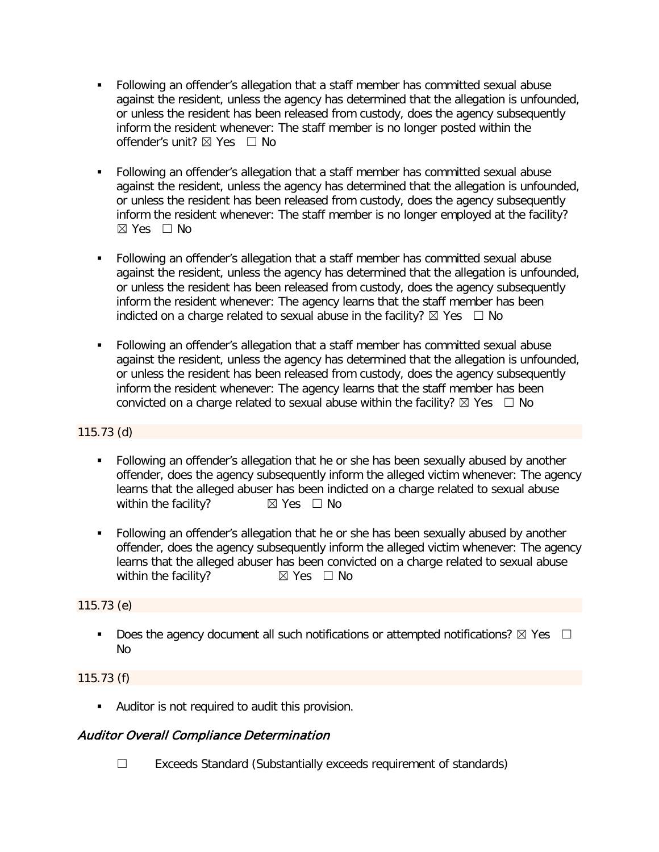- Following an offender's allegation that a staff member has committed sexual abuse against the resident, unless the agency has determined that the allegation is unfounded, or unless the resident has been released from custody, does the agency subsequently inform the resident whenever: The staff member is no longer posted within the offender's unit? ☒ Yes ☐ No
- Following an offender's allegation that a staff member has committed sexual abuse against the resident, unless the agency has determined that the allegation is unfounded, or unless the resident has been released from custody, does the agency subsequently inform the resident whenever: The staff member is no longer employed at the facility?  $\boxtimes$  Yes  $\Box$  No
- Following an offender's allegation that a staff member has committed sexual abuse against the resident, unless the agency has determined that the allegation is unfounded, or unless the resident has been released from custody, does the agency subsequently inform the resident whenever: The agency learns that the staff member has been indicted on a charge related to sexual abuse in the facility?  $\boxtimes$  Yes  $\Box$  No
- Following an offender's allegation that a staff member has committed sexual abuse against the resident, unless the agency has determined that the allegation is unfounded, or unless the resident has been released from custody, does the agency subsequently inform the resident whenever: The agency learns that the staff member has been convicted on a charge related to sexual abuse within the facility?  $\boxtimes$  Yes  $\Box$  No

# 115.73 (d)

- Following an offender's allegation that he or she has been sexually abused by another offender, does the agency subsequently inform the alleged victim whenever: The agency learns that the alleged abuser has been indicted on a charge related to sexual abuse within the facility?  $\boxtimes$  Yes  $\Box$  No
- Following an offender's allegation that he or she has been sexually abused by another offender, does the agency subsequently inform the alleged victim whenever: The agency learns that the alleged abuser has been convicted on a charge related to sexual abuse<br>within the facility?  $\boxtimes$  Yes  $\Box$  No within the facility?

# 115.73 (e)

Does the agency document all such notifications or attempted notifications?  $\boxtimes$  Yes  $\Box$ No

## 115.73 (f)

Auditor is not required to audit this provision.

# Auditor Overall Compliance Determination

☐ Exceeds Standard (Substantially exceeds requirement of standards)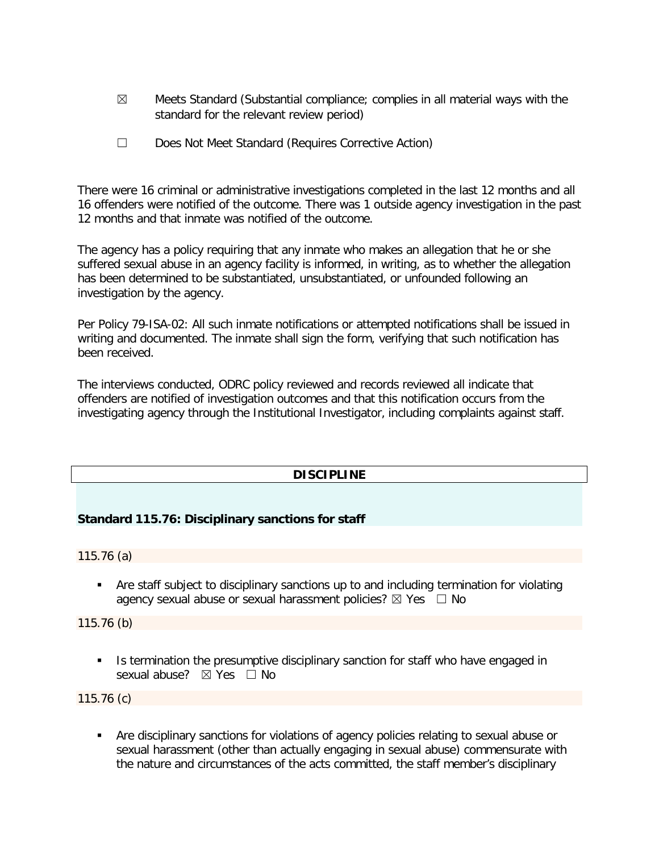- $\boxtimes$  Meets Standard (Substantial compliance; complies in all material ways with the standard for the relevant review period)
- ☐ Does Not Meet Standard (Requires Corrective Action)

There were 16 criminal or administrative investigations completed in the last 12 months and all 16 offenders were notified of the outcome. There was 1 outside agency investigation in the past 12 months and that inmate was notified of the outcome.

The agency has a policy requiring that any inmate who makes an allegation that he or she suffered sexual abuse in an agency facility is informed, in writing, as to whether the allegation has been determined to be substantiated, unsubstantiated, or unfounded following an investigation by the agency.

Per Policy 79-ISA-02: All such inmate notifications or attempted notifications shall be issued in writing and documented. The inmate shall sign the form, verifying that such notification has been received.

The interviews conducted, ODRC policy reviewed and records reviewed all indicate that offenders are notified of investigation outcomes and that this notification occurs from the investigating agency through the Institutional Investigator, including complaints against staff.

# **DISCIPLINE**

## **Standard 115.76: Disciplinary sanctions for staff**

115.76 (a)

 Are staff subject to disciplinary sanctions up to and including termination for violating agency sexual abuse or sexual harassment policies?  $\boxtimes$  Yes  $\Box$  No

115.76 (b)

If Its termination the presumptive disciplinary sanction for staff who have engaged in sexual abuse? ⊠ Yes □ No

115.76 (c)

 Are disciplinary sanctions for violations of agency policies relating to sexual abuse or sexual harassment (other than actually engaging in sexual abuse) commensurate with the nature and circumstances of the acts committed, the staff member's disciplinary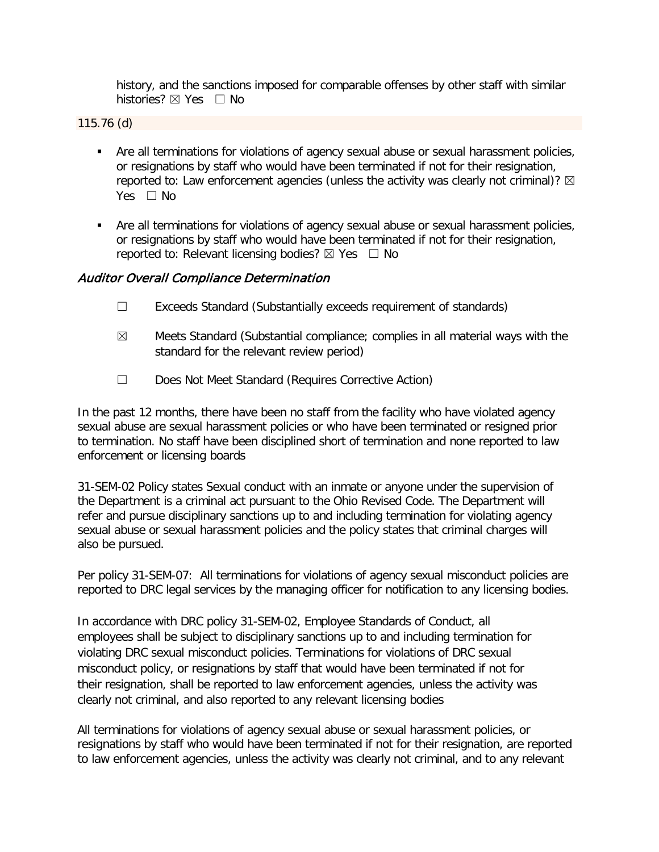history, and the sanctions imposed for comparable offenses by other staff with similar histories? ⊠ Yes □ No

115.76 (d)

- **Are all terminations for violations of agency sexual abuse or sexual harassment policies,** or resignations by staff who would have been terminated if not for their resignation, reported to: Law enforcement agencies (unless the activity was clearly not criminal)?  $\boxtimes$ Yes □ No
- **Are all terminations for violations of agency sexual abuse or sexual harassment policies,** or resignations by staff who would have been terminated if not for their resignation, reported to: Relevant licensing bodies?  $\boxtimes$  Yes  $\Box$  No

## Auditor Overall Compliance Determination

- ☐ Exceeds Standard (Substantially exceeds requirement of standards)
- $\boxtimes$  Meets Standard (Substantial compliance; complies in all material ways with the standard for the relevant review period)
- ☐ Does Not Meet Standard (Requires Corrective Action)

In the past 12 months, there have been no staff from the facility who have violated agency sexual abuse are sexual harassment policies or who have been terminated or resigned prior to termination. No staff have been disciplined short of termination and none reported to law enforcement or licensing boards

31-SEM-02 Policy states Sexual conduct with an inmate or anyone under the supervision of the Department is a criminal act pursuant to the Ohio Revised Code. The Department will refer and pursue disciplinary sanctions up to and including termination for violating agency sexual abuse or sexual harassment policies and the policy states that criminal charges will also be pursued.

Per policy 31-SEM-07: All terminations for violations of agency sexual misconduct policies are reported to DRC legal services by the managing officer for notification to any licensing bodies.

In accordance with DRC policy 31-SEM-02, Employee Standards of Conduct, all employees shall be subject to disciplinary sanctions up to and including termination for violating DRC sexual misconduct policies. Terminations for violations of DRC sexual misconduct policy, or resignations by staff that would have been terminated if not for their resignation, shall be reported to law enforcement agencies, unless the activity was clearly not criminal, and also reported to any relevant licensing bodies

All terminations for violations of agency sexual abuse or sexual harassment policies, or resignations by staff who would have been terminated if not for their resignation, are reported to law enforcement agencies, unless the activity was clearly not criminal, and to any relevant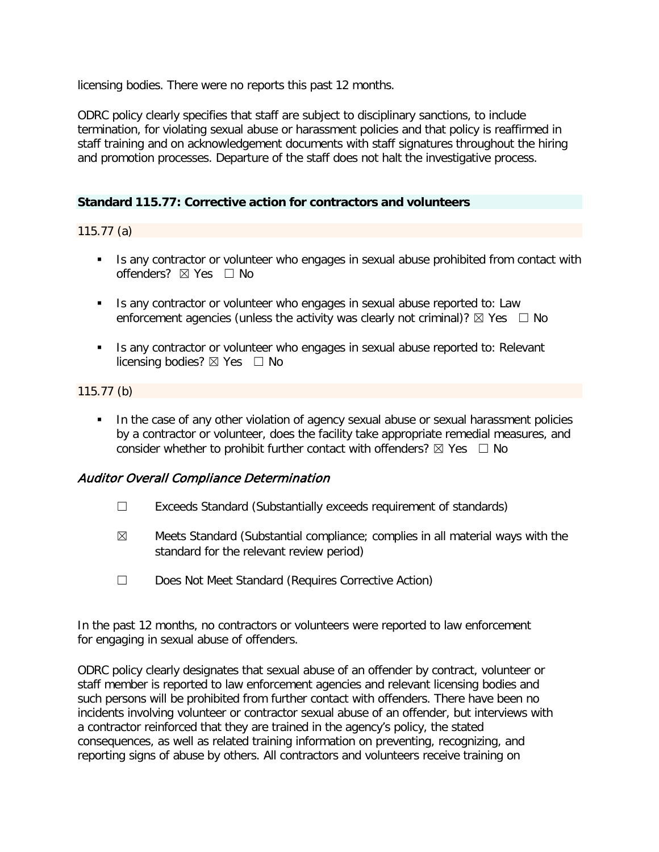licensing bodies. There were no reports this past 12 months.

ODRC policy clearly specifies that staff are subject to disciplinary sanctions, to include termination, for violating sexual abuse or harassment policies and that policy is reaffirmed in staff training and on acknowledgement documents with staff signatures throughout the hiring and promotion processes. Departure of the staff does not halt the investigative process.

## **Standard 115.77: Corrective action for contractors and volunteers**

115.77 (a)

- Is any contractor or volunteer who engages in sexual abuse prohibited from contact with offenders? ☒ Yes ☐ No
- Is any contractor or volunteer who engages in sexual abuse reported to: Law enforcement agencies (unless the activity was clearly not criminal)?  $\boxtimes$  Yes  $\Box$  No
- Is any contractor or volunteer who engages in sexual abuse reported to: Relevant licensing bodies?  $\boxtimes$  Yes  $\Box$  No

## 115.77 (b)

 In the case of any other violation of agency sexual abuse or sexual harassment policies by a contractor or volunteer, does the facility take appropriate remedial measures, and consider whether to prohibit further contact with offenders?  $\boxtimes$  Yes  $\Box$  No

## Auditor Overall Compliance Determination

- ☐ Exceeds Standard (Substantially exceeds requirement of standards)
- $\boxtimes$  Meets Standard (Substantial compliance; complies in all material ways with the standard for the relevant review period)
- ☐ Does Not Meet Standard (Requires Corrective Action)

In the past 12 months, no contractors or volunteers were reported to law enforcement for engaging in sexual abuse of offenders.

ODRC policy clearly designates that sexual abuse of an offender by contract, volunteer or staff member is reported to law enforcement agencies and relevant licensing bodies and such persons will be prohibited from further contact with offenders. There have been no incidents involving volunteer or contractor sexual abuse of an offender, but interviews with a contractor reinforced that they are trained in the agency's policy, the stated consequences, as well as related training information on preventing, recognizing, and reporting signs of abuse by others. All contractors and volunteers receive training on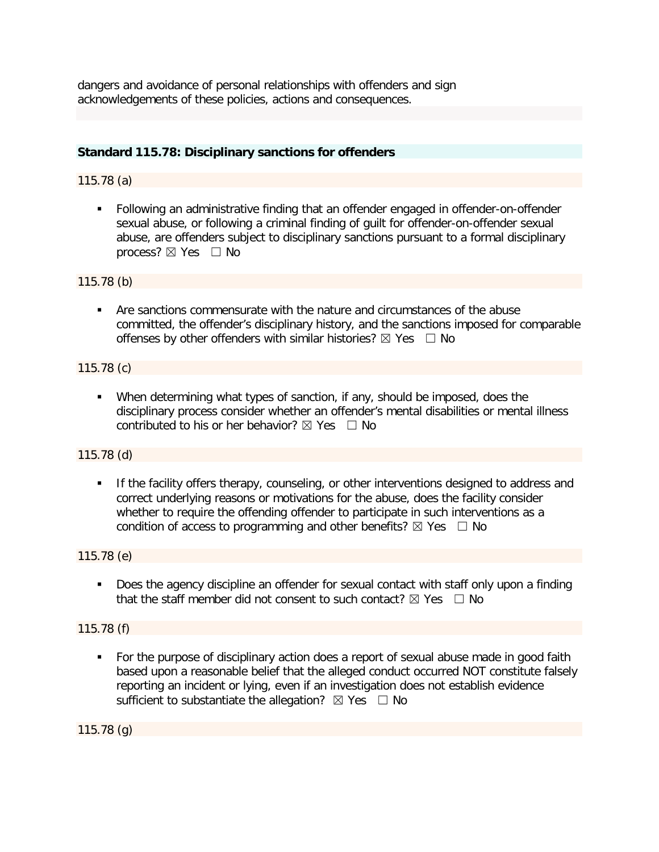dangers and avoidance of personal relationships with offenders and sign acknowledgements of these policies, actions and consequences.

## **Standard 115.78: Disciplinary sanctions for offenders**

## 115.78 (a)

 Following an administrative finding that an offender engaged in offender-on-offender sexual abuse, or following a criminal finding of guilt for offender-on-offender sexual abuse, are offenders subject to disciplinary sanctions pursuant to a formal disciplinary process?  $\boxtimes$  Yes  $\Box$  No

#### 115.78 (b)

 Are sanctions commensurate with the nature and circumstances of the abuse committed, the offender's disciplinary history, and the sanctions imposed for comparable offenses by other offenders with similar histories?  $\boxtimes$  Yes  $\Box$  No

#### 115.78 (c)

 When determining what types of sanction, if any, should be imposed, does the disciplinary process consider whether an offender's mental disabilities or mental illness contributed to his or her behavior?  $\boxtimes$  Yes  $\Box$  No

## 115.78 (d)

**If the facility offers therapy, counseling, or other interventions designed to address and** correct underlying reasons or motivations for the abuse, does the facility consider whether to require the offending offender to participate in such interventions as a condition of access to programming and other benefits?  $\boxtimes$  Yes  $\Box$  No

## 115.78 (e)

**Does the agency discipline an offender for sexual contact with staff only upon a finding** that the staff member did not consent to such contact?  $\boxtimes$  Yes  $\Box$  No

## 115.78 (f)

• For the purpose of disciplinary action does a report of sexual abuse made in good faith based upon a reasonable belief that the alleged conduct occurred NOT constitute falsely reporting an incident or lying, even if an investigation does not establish evidence sufficient to substantiate the allegation?  $\boxtimes$  Yes  $\Box$  No

115.78 (g)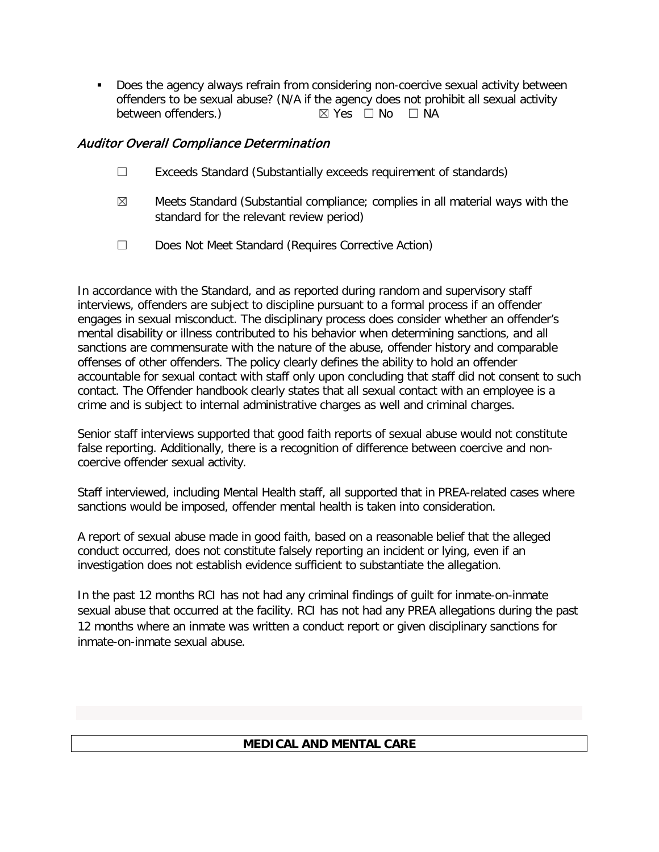Does the agency always refrain from considering non-coercive sexual activity between offenders to be sexual abuse? (N/A if the agency does not prohibit all sexual activity between offenders.)  $\boxtimes$  Yes  $\Box$  No  $\Box$  NA  $\boxtimes$  Yes  $\Box$  No  $\Box$  NA

# Auditor Overall Compliance Determination

- ☐ Exceeds Standard (Substantially exceeds requirement of standards)
- $\boxtimes$  Meets Standard (Substantial compliance; complies in all material ways with the standard for the relevant review period)
- ☐ Does Not Meet Standard (Requires Corrective Action)

In accordance with the Standard, and as reported during random and supervisory staff interviews, offenders are subject to discipline pursuant to a formal process if an offender engages in sexual misconduct. The disciplinary process does consider whether an offender's mental disability or illness contributed to his behavior when determining sanctions, and all sanctions are commensurate with the nature of the abuse, offender history and comparable offenses of other offenders. The policy clearly defines the ability to hold an offender accountable for sexual contact with staff only upon concluding that staff did not consent to such contact. The Offender handbook clearly states that all sexual contact with an employee is a crime and is subject to internal administrative charges as well and criminal charges.

Senior staff interviews supported that good faith reports of sexual abuse would not constitute false reporting. Additionally, there is a recognition of difference between coercive and noncoercive offender sexual activity.

Staff interviewed, including Mental Health staff, all supported that in PREA-related cases where sanctions would be imposed, offender mental health is taken into consideration.

A report of sexual abuse made in good faith, based on a reasonable belief that the alleged conduct occurred, does not constitute falsely reporting an incident or lying, even if an investigation does not establish evidence sufficient to substantiate the allegation.

In the past 12 months RCI has not had any criminal findings of guilt for inmate-on-inmate sexual abuse that occurred at the facility. RCI has not had any PREA allegations during the past 12 months where an inmate was written a conduct report or given disciplinary sanctions for inmate-on-inmate sexual abuse.

# **MEDICAL AND MENTAL CARE**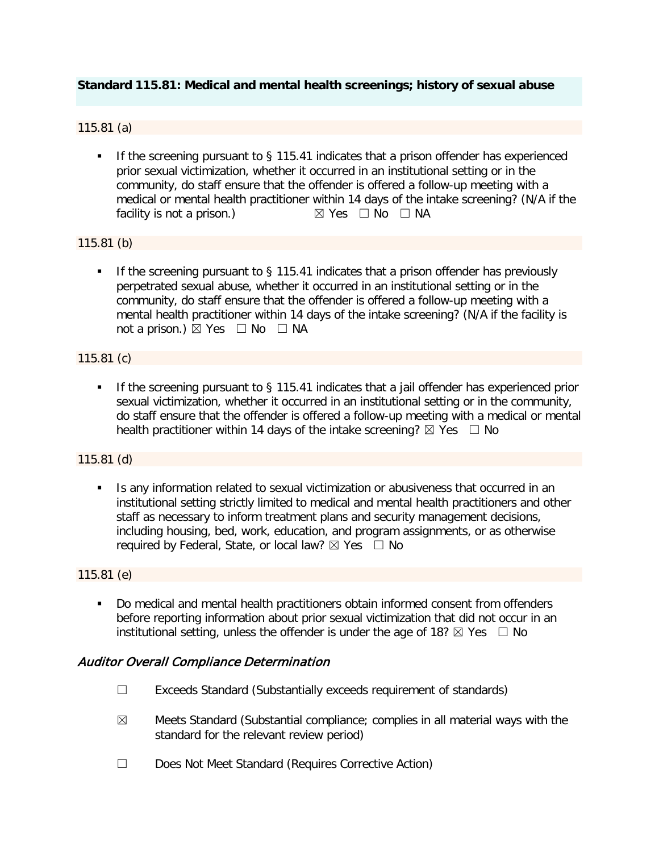## **Standard 115.81: Medical and mental health screenings; history of sexual abuse**

#### 115.81 (a)

 If the screening pursuant to § 115.41 indicates that a prison offender has experienced prior sexual victimization, whether it occurred in an institutional setting or in the community, do staff ensure that the offender is offered a follow-up meeting with a medical or mental health practitioner within 14 days of the intake screening? (N/A if the facility is not a prison.)  $\boxtimes$  Yes  $\Box$  No  $\Box$  NA facility is not a prison.)

## 115.81 (b)

If the screening pursuant to  $\S$  115.41 indicates that a prison offender has previously perpetrated sexual abuse, whether it occurred in an institutional setting or in the community, do staff ensure that the offender is offered a follow-up meeting with a mental health practitioner within 14 days of the intake screening? (N/A if the facility is not a prison.)  $\boxtimes$  Yes  $\Box$  No  $\Box$  NA

#### 115.81 (c)

If the screening pursuant to  $\S$  115.41 indicates that a jail offender has experienced prior sexual victimization, whether it occurred in an institutional setting or in the community, do staff ensure that the offender is offered a follow-up meeting with a medical or mental health practitioner within 14 days of the intake screening?  $\boxtimes$  Yes  $\Box$  No

#### 115.81 (d)

Is any information related to sexual victimization or abusiveness that occurred in an institutional setting strictly limited to medical and mental health practitioners and other staff as necessary to inform treatment plans and security management decisions, including housing, bed, work, education, and program assignments, or as otherwise required by Federal, State, or local law?  $\boxtimes$  Yes  $\Box$  No

#### 115.81 (e)

Do medical and mental health practitioners obtain informed consent from offenders before reporting information about prior sexual victimization that did not occur in an institutional setting, unless the offender is under the age of 18?  $\boxtimes$  Yes  $\Box$  No

## Auditor Overall Compliance Determination

- ☐ Exceeds Standard (Substantially exceeds requirement of standards)
- $\boxtimes$  Meets Standard (Substantial compliance; complies in all material ways with the standard for the relevant review period)
- ☐ Does Not Meet Standard (Requires Corrective Action)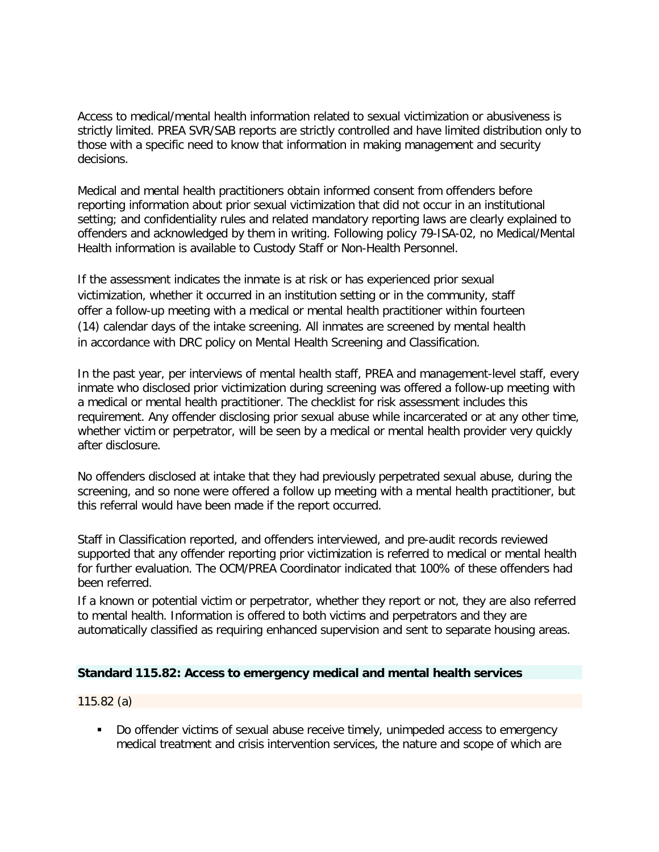Access to medical/mental health information related to sexual victimization or abusiveness is strictly limited. PREA SVR/SAB reports are strictly controlled and have limited distribution only to those with a specific need to know that information in making management and security decisions.

Medical and mental health practitioners obtain informed consent from offenders before reporting information about prior sexual victimization that did not occur in an institutional setting; and confidentiality rules and related mandatory reporting laws are clearly explained to offenders and acknowledged by them in writing. Following policy 79-ISA-02, no Medical/Mental Health information is available to Custody Staff or Non-Health Personnel.

If the assessment indicates the inmate is at risk or has experienced prior sexual victimization, whether it occurred in an institution setting or in the community, staff offer a follow-up meeting with a medical or mental health practitioner within fourteen (14) calendar days of the intake screening. All inmates are screened by mental health in accordance with DRC policy on Mental Health Screening and Classification.

In the past year, per interviews of mental health staff, PREA and management-level staff, every inmate who disclosed prior victimization during screening was offered a follow-up meeting with a medical or mental health practitioner. The checklist for risk assessment includes this requirement. Any offender disclosing prior sexual abuse while incarcerated or at any other time, whether victim or perpetrator, will be seen by a medical or mental health provider very quickly after disclosure.

No offenders disclosed at intake that they had previously perpetrated sexual abuse, during the screening, and so none were offered a follow up meeting with a mental health practitioner, but this referral would have been made if the report occurred.

Staff in Classification reported, and offenders interviewed, and pre-audit records reviewed supported that any offender reporting prior victimization is referred to medical or mental health for further evaluation. The OCM/PREA Coordinator indicated that 100% of these offenders had been referred.

If a known or potential victim or perpetrator, whether they report or not, they are also referred to mental health. Information is offered to both victims and perpetrators and they are automatically classified as requiring enhanced supervision and sent to separate housing areas.

## **Standard 115.82: Access to emergency medical and mental health services**

115.82 (a)

 Do offender victims of sexual abuse receive timely, unimpeded access to emergency medical treatment and crisis intervention services, the nature and scope of which are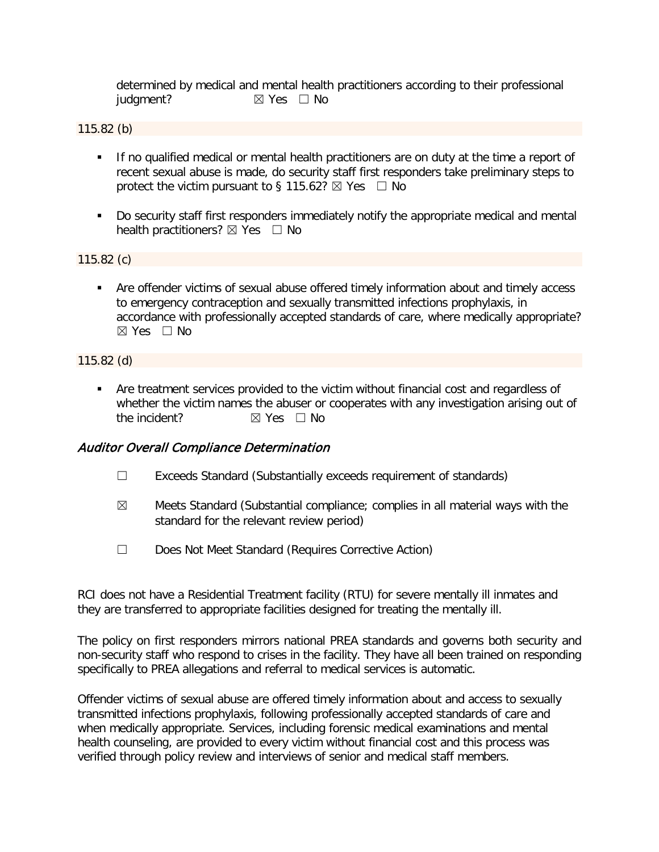determined by medical and mental health practitioners according to their professional judgment? **⊠** Yes □ No

#### 115.82 (b)

- If no qualified medical or mental health practitioners are on duty at the time a report of recent sexual abuse is made, do security staff first responders take preliminary steps to protect the victim pursuant to § 115.62?  $\boxtimes$  Yes  $\Box$  No
- Do security staff first responders immediately notify the appropriate medical and mental health practitioners?  $\boxtimes$  Yes  $\Box$  No

#### 115.82 (c)

 Are offender victims of sexual abuse offered timely information about and timely access to emergency contraception and sexually transmitted infections prophylaxis, in accordance with professionally accepted standards of care, where medically appropriate? ☒ Yes ☐ No

#### 115.82 (d)

 Are treatment services provided to the victim without financial cost and regardless of whether the victim names the abuser or cooperates with any investigation arising out of the incident? **⊠** Yes □ No

## Auditor Overall Compliance Determination

- ☐ Exceeds Standard (Substantially exceeds requirement of standards)
- $\boxtimes$  Meets Standard (Substantial compliance; complies in all material ways with the standard for the relevant review period)
- ☐ Does Not Meet Standard (Requires Corrective Action)

RCI does not have a Residential Treatment facility (RTU) for severe mentally ill inmates and they are transferred to appropriate facilities designed for treating the mentally ill.

The policy on first responders mirrors national PREA standards and governs both security and non-security staff who respond to crises in the facility. They have all been trained on responding specifically to PREA allegations and referral to medical services is automatic.

Offender victims of sexual abuse are offered timely information about and access to sexually transmitted infections prophylaxis, following professionally accepted standards of care and when medically appropriate. Services, including forensic medical examinations and mental health counseling, are provided to every victim without financial cost and this process was verified through policy review and interviews of senior and medical staff members.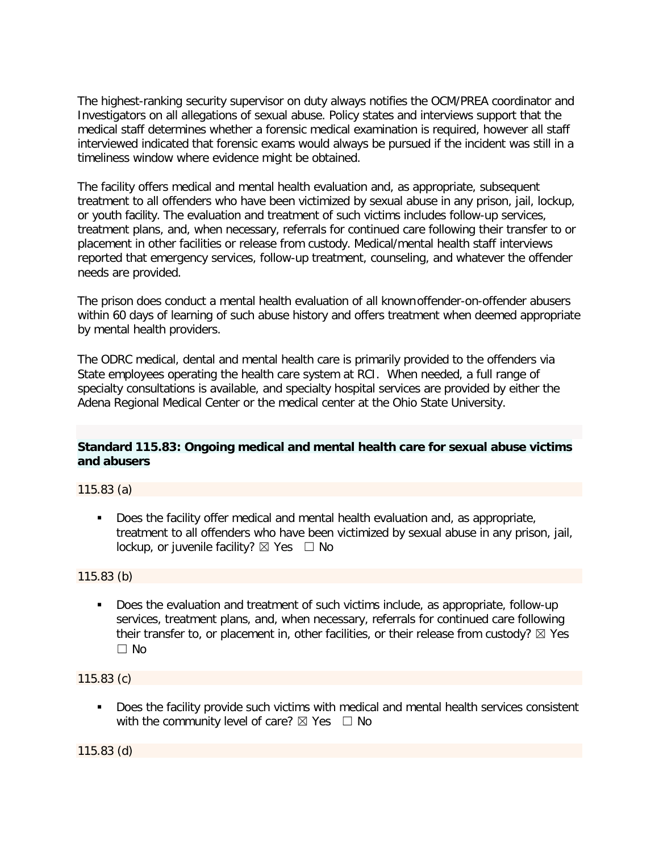The highest-ranking security supervisor on duty always notifies the OCM/PREA coordinator and Investigators on all allegations of sexual abuse. Policy states and interviews support that the medical staff determines whether a forensic medical examination is required, however all staff interviewed indicated that forensic exams would always be pursued if the incident was still in a timeliness window where evidence might be obtained.

The facility offers medical and mental health evaluation and, as appropriate, subsequent treatment to all offenders who have been victimized by sexual abuse in any prison, jail, lockup, or youth facility. The evaluation and treatment of such victims includes follow-up services, treatment plans, and, when necessary, referrals for continued care following their transfer to or placement in other facilities or release from custody. Medical/mental health staff interviews reported that emergency services, follow-up treatment, counseling, and whatever the offender needs are provided.

The prison does conduct a mental health evaluation of all knownoffender-on-offender abusers within 60 days of learning of such abuse history and offers treatment when deemed appropriate by mental health providers.

The ODRC medical, dental and mental health care is primarily provided to the offenders via State employees operating the health care system at RCI. When needed, a full range of specialty consultations is available, and specialty hospital services are provided by either the Adena Regional Medical Center or the medical center at the Ohio State University.

## **Standard 115.83: Ongoing medical and mental health care for sexual abuse victims and abusers**

115.83 (a)

 Does the facility offer medical and mental health evaluation and, as appropriate, treatment to all offenders who have been victimized by sexual abuse in any prison, jail, lockup, or juvenile facility?  $\boxtimes$  Yes  $\Box$  No

115.83 (b)

 Does the evaluation and treatment of such victims include, as appropriate, follow-up services, treatment plans, and, when necessary, referrals for continued care following their transfer to, or placement in, other facilities, or their release from custody?  $\boxtimes$  Yes ☐ No

115.83 (c)

**Does the facility provide such victims with medical and mental health services consistent** with the community level of care?  $\boxtimes$  Yes  $\Box$  No

115.83 (d)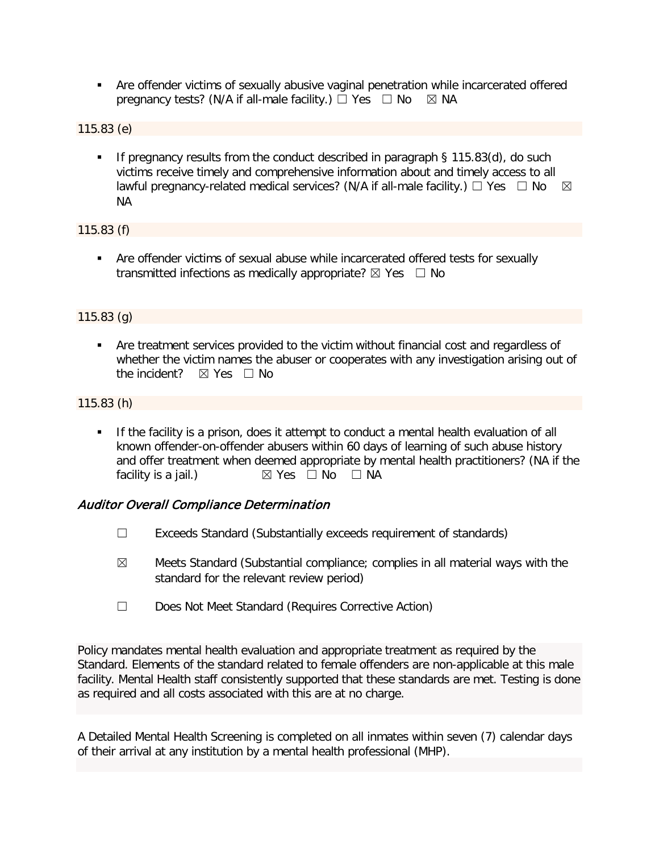Are offender victims of sexually abusive vaginal penetration while incarcerated offered pregnancy tests? (N/A if all-male facility.)  $\Box$  Yes  $\Box$  No  $\boxtimes$  NA

115.83 (e)

If pregnancy results from the conduct described in paragraph  $\S$  115.83(d), do such victims receive timely and comprehensive information about and timely access to all lawful pregnancy-related medical services? (N/A if all-male facility.)  $\Box$  Yes  $\Box$  No  $\boxtimes$ NA

115.83 (f)

 Are offender victims of sexual abuse while incarcerated offered tests for sexually transmitted infections as medically appropriate?  $\boxtimes$  Yes  $\Box$  No

#### 115.83 (g)

 Are treatment services provided to the victim without financial cost and regardless of whether the victim names the abuser or cooperates with any investigation arising out of the incident?  $\boxtimes$  Yes  $\Box$  No

#### 115.83 (h)

 If the facility is a prison, does it attempt to conduct a mental health evaluation of all known offender-on-offender abusers within 60 days of learning of such abuse history and offer treatment when deemed appropriate by mental health practitioners? (NA if the facility is a jail.)  $\boxtimes$  Yes  $\Box$  No  $\Box$  NA

## Auditor Overall Compliance Determination

- ☐ Exceeds Standard (Substantially exceeds requirement of standards)
- $\boxtimes$  Meets Standard (Substantial compliance; complies in all material ways with the standard for the relevant review period)
- ☐ Does Not Meet Standard (Requires Corrective Action)

Policy mandates mental health evaluation and appropriate treatment as required by the Standard. Elements of the standard related to female offenders are non-applicable at this male facility. Mental Health staff consistently supported that these standards are met. Testing is done as required and all costs associated with this are at no charge.

A Detailed Mental Health Screening is completed on all inmates within seven (7) calendar days of their arrival at any institution by a mental health professional (MHP).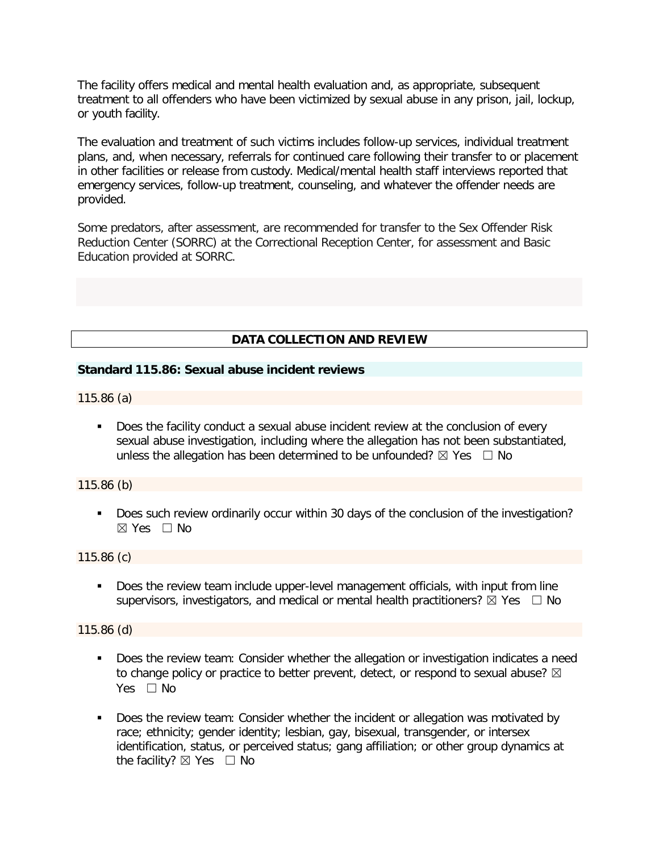The facility offers medical and mental health evaluation and, as appropriate, subsequent treatment to all offenders who have been victimized by sexual abuse in any prison, jail, lockup, or youth facility.

The evaluation and treatment of such victims includes follow-up services, individual treatment plans, and, when necessary, referrals for continued care following their transfer to or placement in other facilities or release from custody. Medical/mental health staff interviews reported that emergency services, follow-up treatment, counseling, and whatever the offender needs are provided.

Some predators, after assessment, are recommended for transfer to the Sex Offender Risk Reduction Center (SORRC) at the Correctional Reception Center, for assessment and Basic Education provided at SORRC.

## **DATA COLLECTION AND REVIEW**

#### **Standard 115.86: Sexual abuse incident reviews**

115.86 (a)

 Does the facility conduct a sexual abuse incident review at the conclusion of every sexual abuse investigation, including where the allegation has not been substantiated, unless the allegation has been determined to be unfounded?  $\boxtimes$  Yes  $\Box$  No

#### 115.86 (b)

 Does such review ordinarily occur within 30 days of the conclusion of the investigation?  $\boxtimes$  Yes  $\Box$  No

#### 115.86 (c)

Does the review team include upper-level management officials, with input from line supervisors, investigators, and medical or mental health practitioners?  $\boxtimes$  Yes  $\Box$  No

#### 115.86 (d)

- Does the review team: Consider whether the allegation or investigation indicates a need to change policy or practice to better prevent, detect, or respond to sexual abuse?  $\boxtimes$ Yes □ No
- Does the review team: Consider whether the incident or allegation was motivated by race; ethnicity; gender identity; lesbian, gay, bisexual, transgender, or intersex identification, status, or perceived status; gang affiliation; or other group dynamics at the facility?  $\boxtimes$  Yes  $\Box$  No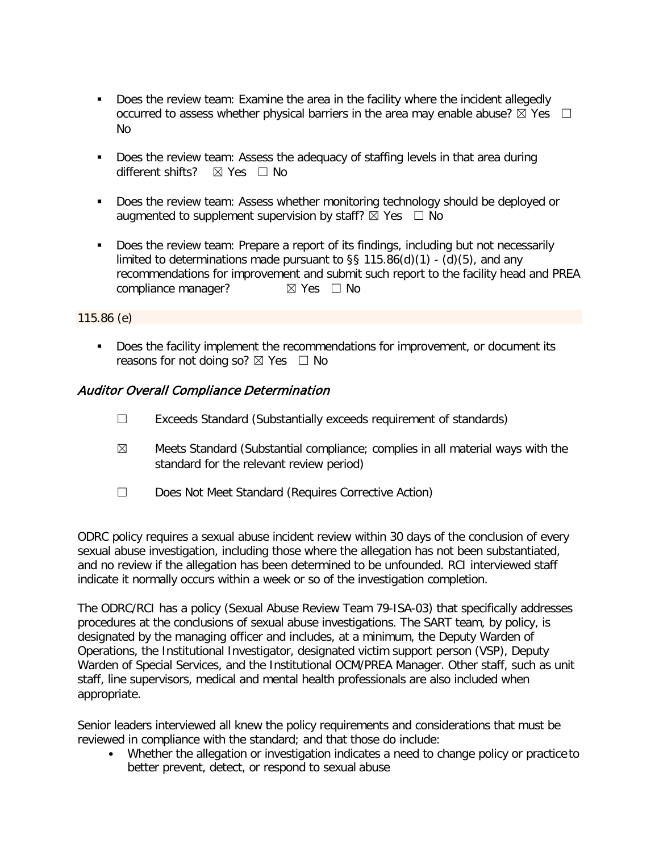- Does the review team: Examine the area in the facility where the incident allegedly occurred to assess whether physical barriers in the area may enable abuse?  $\boxtimes$  Yes  $\Box$ No
- Does the review team: Assess the adequacy of staffing levels in that area during different shifts?  $⊠$  Yes  $□$  No
- Does the review team: Assess whether monitoring technology should be deployed or augmented to supplement supervision by staff?  $\boxtimes$  Yes  $\Box$  No
- Does the review team: Prepare a report of its findings, including but not necessarily limited to determinations made pursuant to  $\S$ § 115.86(d)(1) - (d)(5), and any recommendations for improvement and submit such report to the facility head and PREA compliance manager? **⊠** Yes □ No

#### 115.86 (e)

**Does the facility implement the recommendations for improvement, or document its** reasons for not doing so?  $\boxtimes$  Yes  $\Box$  No

## Auditor Overall Compliance Determination

- ☐ Exceeds Standard (Substantially exceeds requirement of standards)
- $\boxtimes$  Meets Standard (Substantial compliance; complies in all material ways with the standard for the relevant review period)
- ☐ Does Not Meet Standard (Requires Corrective Action)

ODRC policy requires a sexual abuse incident review within 30 days of the conclusion of every sexual abuse investigation, including those where the allegation has not been substantiated, and no review if the allegation has been determined to be unfounded. RCI interviewed staff indicate it normally occurs within a week or so of the investigation completion.

The ODRC/RCI has a policy (Sexual Abuse Review Team 79-ISA-03) that specifically addresses procedures at the conclusions of sexual abuse investigations. The SART team, by policy, is designated by the managing officer and includes, at a minimum, the Deputy Warden of Operations, the Institutional Investigator, designated victim support person (VSP), Deputy Warden of Special Services, and the Institutional OCM/PREA Manager. Other staff, such as unit staff, line supervisors, medical and mental health professionals are also included when appropriate.

Senior leaders interviewed all knew the policy requirements and considerations that must be reviewed in compliance with the standard; and that those do include:

• Whether the allegation or investigation indicates a need to change policy or practice to better prevent, detect, or respond to sexual abuse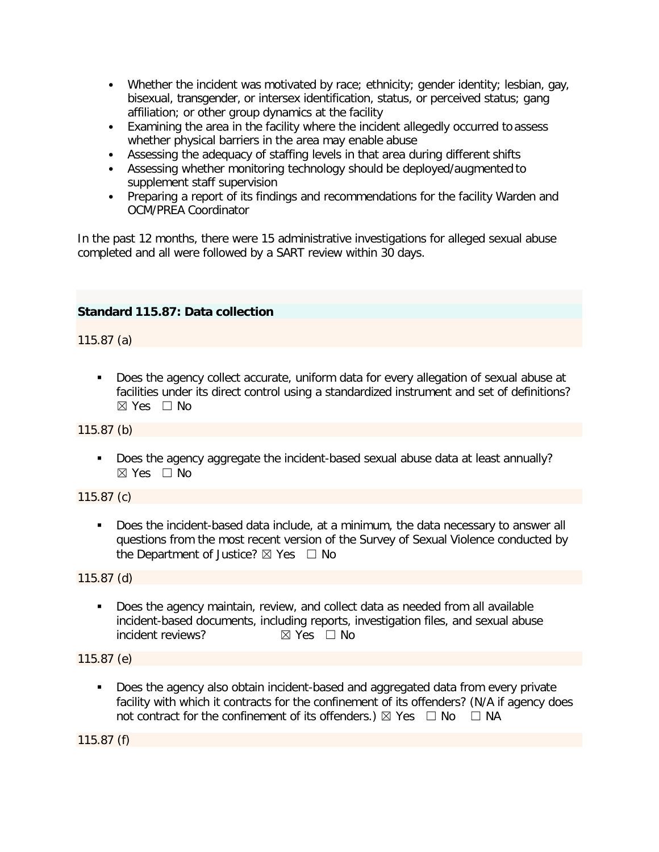- Whether the incident was motivated by race; ethnicity; gender identity; lesbian, gay, bisexual, transgender, or intersex identification, status, or perceived status; gang affiliation; or other group dynamics at the facility
- Examining the area in the facility where the incident allegedly occurred to assess whether physical barriers in the area may enable abuse
- Assessing the adequacy of staffing levels in that area during different shifts
- Assessing whether monitoring technology should be deployed/augmented to supplement staff supervision
- Preparing a report of its findings and recommendations for the facility Warden and OCM/PREA Coordinator

In the past 12 months, there were 15 administrative investigations for alleged sexual abuse completed and all were followed by a SART review within 30 days.

# **Standard 115.87: Data collection**

115.87 (a)

 Does the agency collect accurate, uniform data for every allegation of sexual abuse at facilities under its direct control using a standardized instrument and set of definitions?  $\boxtimes$  Yes  $\Box$  No

115.87 (b)

Does the agency aggregate the incident-based sexual abuse data at least annually? ☒ Yes ☐ No

115.87 (c)

 Does the incident-based data include, at a minimum, the data necessary to answer all questions from the most recent version of the Survey of Sexual Violence conducted by the Department of Justice?  $\boxtimes$  Yes  $\Box$  No

115.87 (d)

 Does the agency maintain, review, and collect data as needed from all available incident-based documents, including reports, investigation files, and sexual abuse incident reviews? ☒ Yes ☐ No

115.87 (e)

 Does the agency also obtain incident-based and aggregated data from every private facility with which it contracts for the confinement of its offenders? (N/A if agency does not contract for the confinement of its offenders.)  $\boxtimes$  Yes  $\Box$  No  $\Box$  NA

115.87 (f)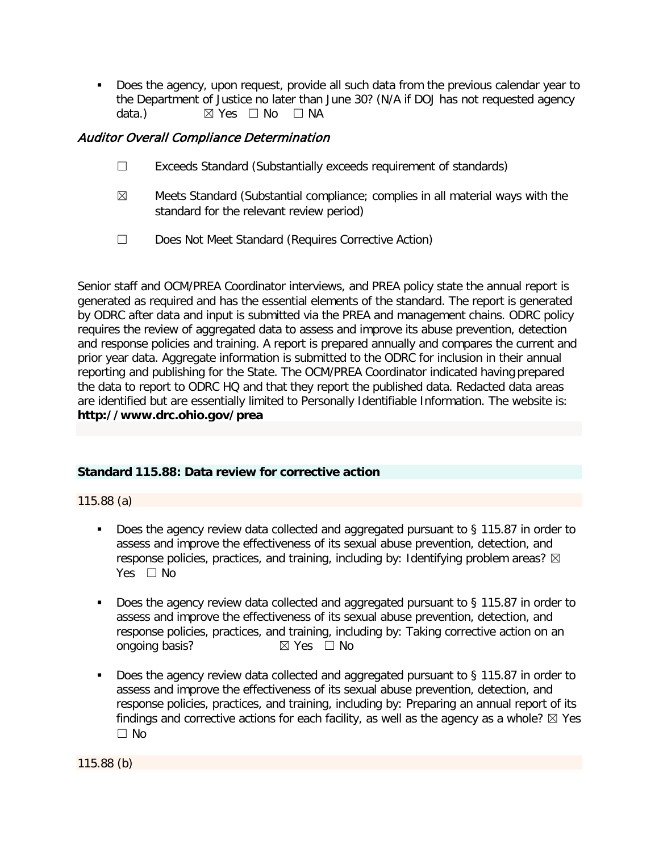Does the agency, upon request, provide all such data from the previous calendar year to the Department of Justice no later than June 30? (N/A if DOJ has not requested agency data.) **⊠** Yes □ No □ NA

# Auditor Overall Compliance Determination

- ☐ Exceeds Standard (Substantially exceeds requirement of standards)
- $\boxtimes$  Meets Standard (Substantial compliance; complies in all material ways with the standard for the relevant review period)
- ☐ Does Not Meet Standard (Requires Corrective Action)

Senior staff and OCM/PREA Coordinator interviews, and PREA policy state the annual report is generated as required and has the essential elements of the standard. The report is generated by ODRC after data and input is submitted via the PREA and management chains. ODRC policy requires the review of aggregated data to assess and improve its abuse prevention, detection and response policies and training. A report is prepared annually and compares the current and prior year data. Aggregate information is submitted to the ODRC for inclusion in their annual reporting and publishing for the State. The OCM/PREA Coordinator indicated having prepared the data to report to ODRC HQ and that they report the published data. Redacted data areas are identified but are essentially limited to Personally Identifiable Information. The website is: **http://www.drc.ohio.gov/prea**

## **Standard 115.88: Data review for corrective action**

115.88 (a)

- Does the agency review data collected and aggregated pursuant to § 115.87 in order to assess and improve the effectiveness of its sexual abuse prevention, detection, and response policies, practices, and training, including by: Identifying problem areas?  $\boxtimes$ Yes  $\Box$  No
- Does the agency review data collected and aggregated pursuant to § 115.87 in order to assess and improve the effectiveness of its sexual abuse prevention, detection, and response policies, practices, and training, including by: Taking corrective action on an one on an  $\boxtimes$  Yes  $\Box$  No ongoing basis?
- Does the agency review data collected and aggregated pursuant to § 115.87 in order to assess and improve the effectiveness of its sexual abuse prevention, detection, and response policies, practices, and training, including by: Preparing an annual report of its findings and corrective actions for each facility, as well as the agency as a whole?  $\boxtimes$  Yes ☐ No

115.88 (b)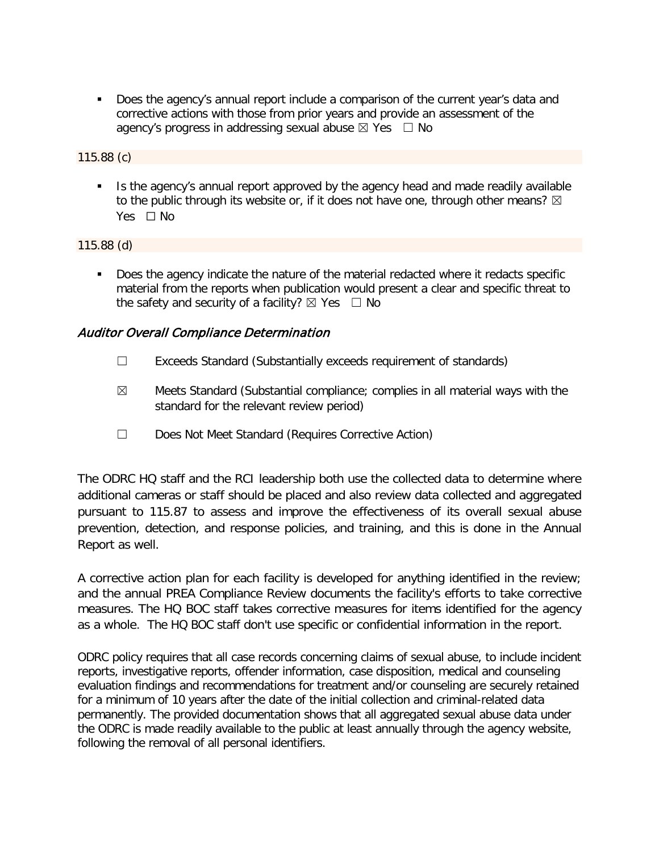Does the agency's annual report include a comparison of the current year's data and corrective actions with those from prior years and provide an assessment of the agency's progress in addressing sexual abuse  $\boxtimes$  Yes  $\Box$  No

#### 115.88 (c)

Is the agency's annual report approved by the agency head and made readily available to the public through its website or, if it does not have one, through other means?  $\boxtimes$ Yes □ No

#### 115.88 (d)

 Does the agency indicate the nature of the material redacted where it redacts specific material from the reports when publication would present a clear and specific threat to the safety and security of a facility?  $\boxtimes$  Yes  $\Box$  No

## Auditor Overall Compliance Determination

- ☐ Exceeds Standard (Substantially exceeds requirement of standards)
- $\boxtimes$  Meets Standard (Substantial compliance; complies in all material ways with the standard for the relevant review period)
- ☐ Does Not Meet Standard (Requires Corrective Action)

The ODRC HQ staff and the RCI leadership both use the collected data to determine where additional cameras or staff should be placed and also review data collected and aggregated pursuant to 115.87 to assess and improve the effectiveness of its overall sexual abuse prevention, detection, and response policies, and training, and this is done in the Annual Report as well.

A corrective action plan for each facility is developed for anything identified in the review; and the annual PREA Compliance Review documents the facility's efforts to take corrective measures. The HQ BOC staff takes corrective measures for items identified for the agency as a whole. The HQ BOC staff don't use specific or confidential information in the report.

ODRC policy requires that all case records concerning claims of sexual abuse, to include incident reports, investigative reports, offender information, case disposition, medical and counseling evaluation findings and recommendations for treatment and/or counseling are securely retained for a minimum of 10 years after the date of the initial collection and criminal-related data permanently. The provided documentation shows that all aggregated sexual abuse data under the ODRC is made readily available to the public at least annually through the agency website, following the removal of all personal identifiers.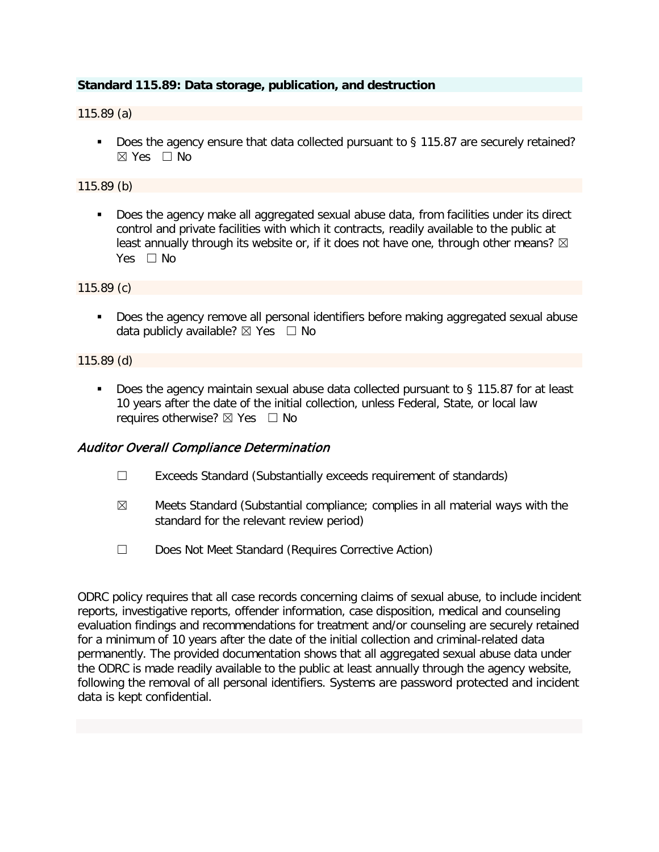## **Standard 115.89: Data storage, publication, and destruction**

#### 115.89 (a)

Does the agency ensure that data collected pursuant to § 115.87 are securely retained?  $\boxtimes$  Yes  $\Box$  No

#### 115.89 (b)

 Does the agency make all aggregated sexual abuse data, from facilities under its direct control and private facilities with which it contracts, readily available to the public at least annually through its website or, if it does not have one, through other means?  $\boxtimes$ Yes □ No

115.89 (c)

**Does the agency remove all personal identifiers before making aggregated sexual abuse** data publicly available?  $\boxtimes$  Yes  $\Box$  No

#### 115.89 (d)

■ Does the agency maintain sexual abuse data collected pursuant to § 115.87 for at least 10 years after the date of the initial collection, unless Federal, State, or local law requires otherwise?  $\boxtimes$  Yes  $\Box$  No

## Auditor Overall Compliance Determination

- ☐ Exceeds Standard (Substantially exceeds requirement of standards)
- $\boxtimes$  Meets Standard (Substantial compliance; complies in all material ways with the standard for the relevant review period)
- ☐ Does Not Meet Standard (Requires Corrective Action)

ODRC policy requires that all case records concerning claims of sexual abuse, to include incident reports, investigative reports, offender information, case disposition, medical and counseling evaluation findings and recommendations for treatment and/or counseling are securely retained for a minimum of 10 years after the date of the initial collection and criminal-related data permanently. The provided documentation shows that all aggregated sexual abuse data under the ODRC is made readily available to the public at least annually through the agency website, following the removal of all personal identifiers. Systems are password protected and incident data is kept confidential.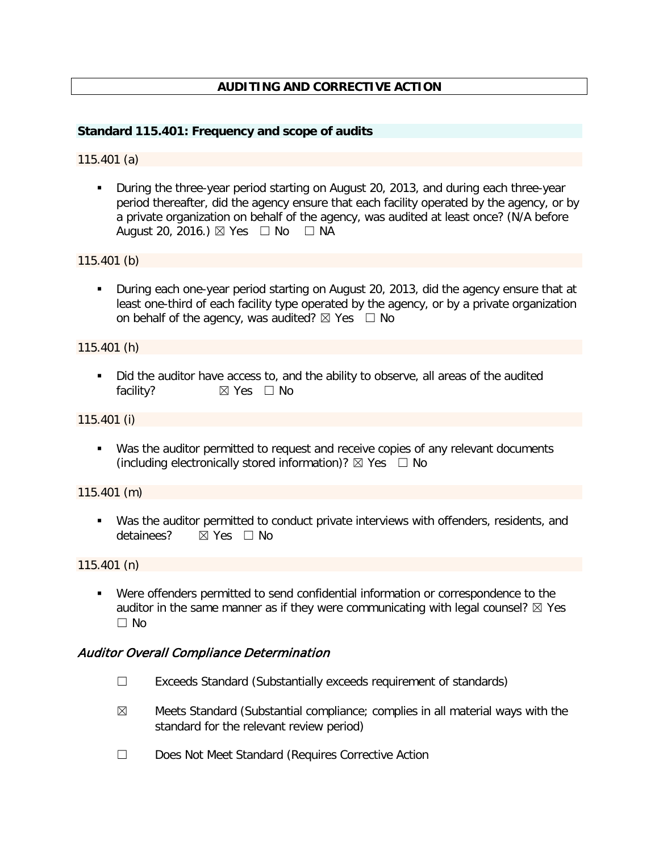# **AUDITING AND CORRECTIVE ACTION**

#### **Standard 115.401: Frequency and scope of audits**

#### 115.401 (a)

 During the three-year period starting on August 20, 2013, and during each three-year period thereafter, did the agency ensure that each facility operated by the agency, or by a private organization on behalf of the agency, was audited at least once? (N/A before August 20, 2016.)  $\boxtimes$  Yes  $\Box$  No  $\Box$  NA

115.401 (b)

**During each one-year period starting on August 20, 2013, did the agency ensure that at** least one-third of each facility type operated by the agency, or by a private organization on behalf of the agency, was audited?  $\boxtimes$  Yes  $\Box$  No

#### 115.401 (h)

 Did the auditor have access to, and the ability to observe, all areas of the audited facility? **⊠** Yes □ No

115.401 (i)

 Was the auditor permitted to request and receive copies of any relevant documents (including electronically stored information)?  $\boxtimes$  Yes  $\Box$  No

115.401 (m)

 Was the auditor permitted to conduct private interviews with offenders, residents, and detainees? **⊠ Yes** □ No

115.401 (n)

 Were offenders permitted to send confidential information or correspondence to the auditor in the same manner as if they were communicating with legal counsel?  $\boxtimes$  Yes  $\Box$  No

## Auditor Overall Compliance Determination

- ☐ Exceeds Standard (Substantially exceeds requirement of standards)
- $\boxtimes$  Meets Standard (Substantial compliance; complies in all material ways with the standard for the relevant review period)
- ☐ Does Not Meet Standard (Requires Corrective Action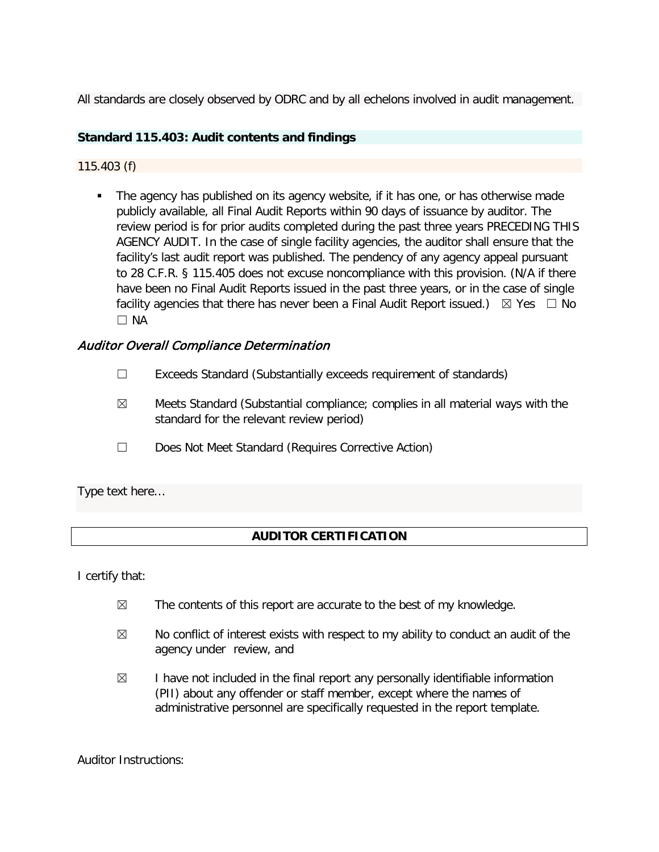All standards are closely observed by ODRC and by all echelons involved in audit management.

# **Standard 115.403: Audit contents and findings**

## 115.403 (f)

 The agency has published on its agency website, if it has one, or has otherwise made publicly available, all Final Audit Reports within 90 days of issuance by auditor. The review period is for prior audits completed during the past three years PRECEDING THIS AGENCY AUDIT. In the case of single facility agencies, the auditor shall ensure that the facility's last audit report was published. The pendency of any agency appeal pursuant to 28 C.F.R. § 115.405 does not excuse noncompliance with this provision. (N/A if there have been no Final Audit Reports issued in the past three years, or in the case of single facility agencies that there has never been a Final Audit Report issued.)  $\boxtimes$  Yes  $\Box$  No ☐ NA

# Auditor Overall Compliance Determination

- ☐ Exceeds Standard (Substantially exceeds requirement of standards)
- $\boxtimes$  Meets Standard (Substantial compliance; complies in all material ways with the standard for the relevant review period)
- ☐ Does Not Meet Standard (Requires Corrective Action)

Type text here…

## **AUDITOR CERTIFICATION**

I certify that:

- $\boxtimes$  The contents of this report are accurate to the best of my knowledge.
- $\boxtimes$  No conflict of interest exists with respect to my ability to conduct an audit of the agency under review, and
- $\boxtimes$  I have not included in the final report any personally identifiable information (PII) about any offender or staff member, except where the names of administrative personnel are specifically requested in the report template.

Auditor Instructions: